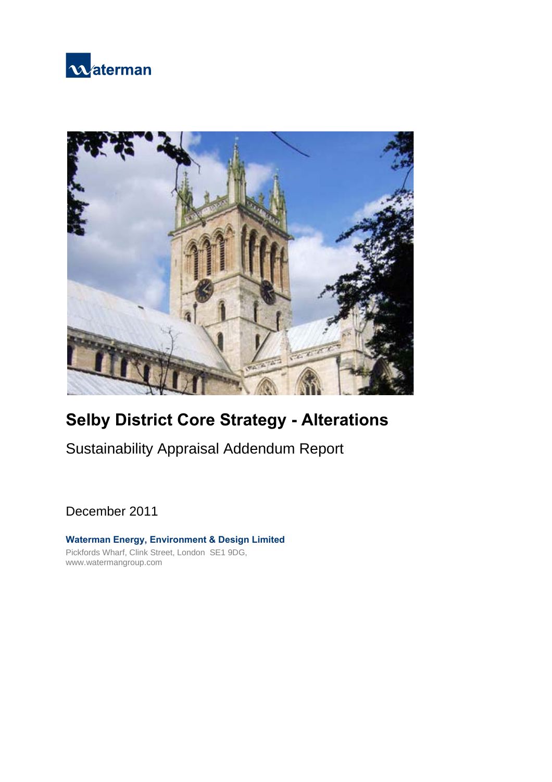



# **Selby District Core Strategy - Alterations**

Sustainability Appraisal Addendum Report

December 2011

**Waterman Energy, Environment & Design Limited**  Pickfords Wharf, Clink Street, London SE1 9DG, www.watermangroup.com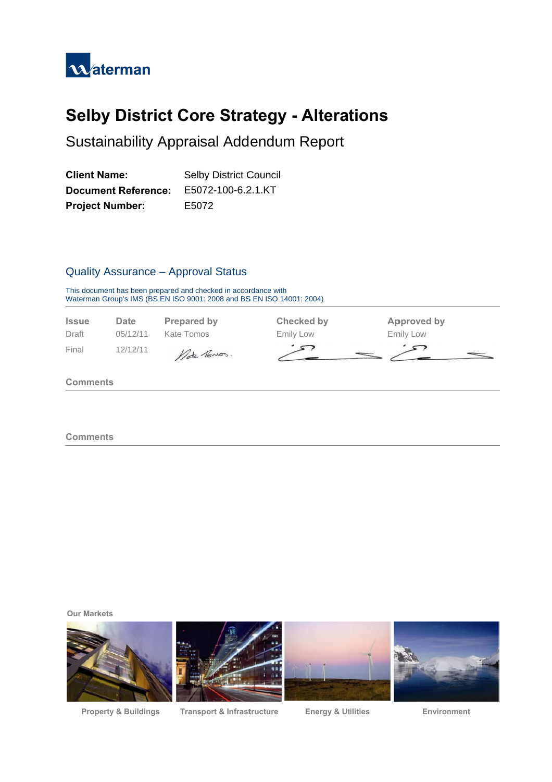

# **Selby District Core Strategy - Alterations**

Sustainability Appraisal Addendum Report

| <b>Client Name:</b>        | <b>Selby District Council</b> |
|----------------------------|-------------------------------|
| <b>Document Reference:</b> | E5072-100-6.2.1.KT            |
| <b>Project Number:</b>     | E5072                         |

### Quality Assurance - Approval Status

This docum Waterman ment has been Group's IMS (B prepared and c BS EN ISO 900 hecked in accor 1: 2008 and BS rdance with S EN ISO 14001 : 2004)



**Comments** 

**Our Markets** 



**Property & Buildin** 

**ngs Transport & Infrastructure** 

**Energy & Utilities** 

Environment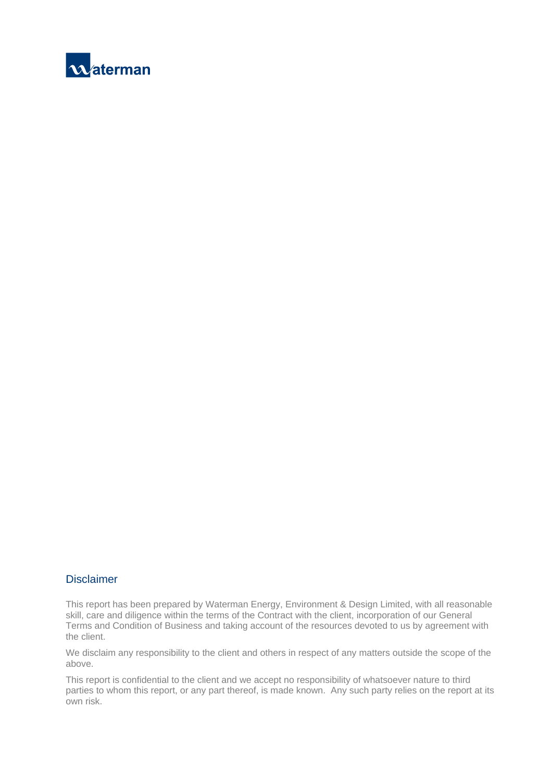

#### **Disclaimer**

This report has been prepared by Waterman Energy, Environment & Design Limited, with all reasonable skill, care and diligence within the terms of the Contract with the client, incorporation of our General Terms and Condition of Business and taking account of the resources devoted to us by agreement with the client.

We disclaim any responsibility to the client and others in respect of any matters outside the scope of the above.

This report is confidential to the client and we accept no responsibility of whatsoever nature to third parties to whom this report, or any part thereof, is made known. Any such party relies on the report at its own risk.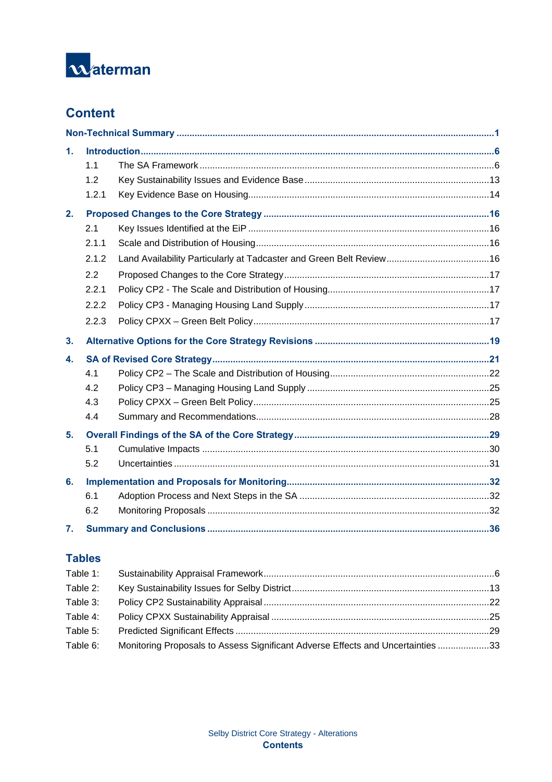

# **Content**

| 1. |       |  |
|----|-------|--|
|    | 1.1   |  |
|    | 1.2   |  |
|    | 1.2.1 |  |
| 2. |       |  |
|    | 2.1   |  |
|    | 2.1.1 |  |
|    | 2.1.2 |  |
|    | 2.2   |  |
|    | 2.2.1 |  |
|    | 2.2.2 |  |
|    | 2.2.3 |  |
| 3. |       |  |
| 4. |       |  |
|    | 4.1   |  |
|    | 4.2   |  |
|    | 4.3   |  |
|    | 4.4   |  |
| 5. |       |  |
|    | 5.1   |  |
|    | 5.2   |  |
| 6. |       |  |
|    | 6.1   |  |
|    | 6.2   |  |
| 7. |       |  |

# **Tables**

| Table 1: |                                                                                 |  |
|----------|---------------------------------------------------------------------------------|--|
| Table 2: |                                                                                 |  |
| Table 3: |                                                                                 |  |
| Table 4: |                                                                                 |  |
| Table 5: |                                                                                 |  |
| Table 6: | Monitoring Proposals to Assess Significant Adverse Effects and Uncertainties 33 |  |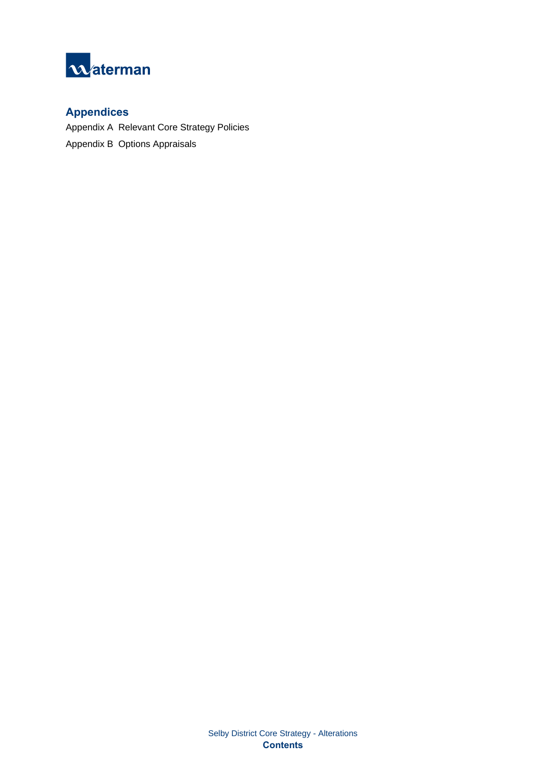

# **Appendices**

Appendix A Relevant Core Strategy Policies Appendix B Options Appraisals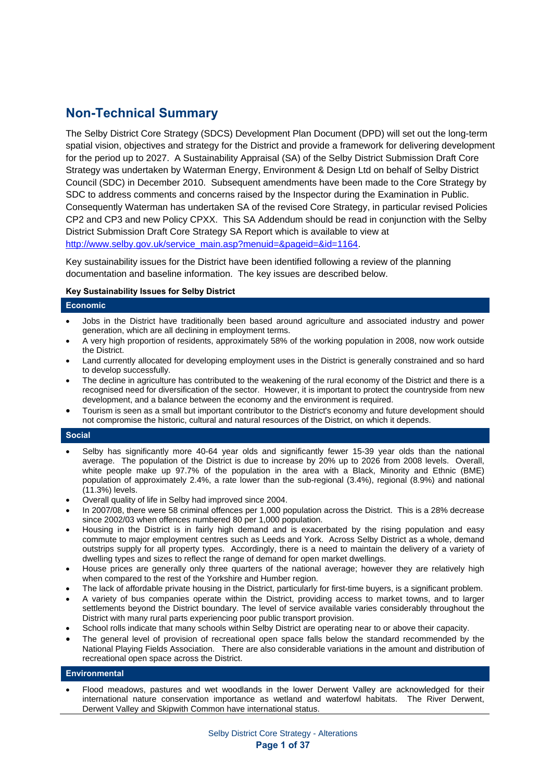# **Non-Technical Summary**

The Selby District Core Strategy (SDCS) Development Plan Document (DPD) will set out the long-term spatial vision, objectives and strategy for the District and provide a framework for delivering development for the period up to 2027. A Sustainability Appraisal (SA) of the Selby District Submission Draft Core Strategy was undertaken by Waterman Energy, Environment & Design Ltd on behalf of Selby District Council (SDC) in December 2010. Subsequent amendments have been made to the Core Strategy by SDC to address comments and concerns raised by the Inspector during the Examination in Public. Consequently Waterman has undertaken SA of the revised Core Strategy, in particular revised Policies CP2 and CP3 and new Policy CPXX. This SA Addendum should be read in conjunction with the Selby District Submission Draft Core Strategy SA Report which is available to view at http://www.selby.gov.uk/service\_main.asp?menuid=&pageid=&id=1164.

Key sustainability issues for the District have been identified following a review of the planning documentation and baseline information. The key issues are described below.

#### **Key Sustainability Issues for Selby District**

#### **Economic**

- Jobs in the District have traditionally been based around agriculture and associated industry and power generation, which are all declining in employment terms.
- A very high proportion of residents, approximately 58% of the working population in 2008, now work outside the District.
- Land currently allocated for developing employment uses in the District is generally constrained and so hard to develop successfully.
- The decline in agriculture has contributed to the weakening of the rural economy of the District and there is a recognised need for diversification of the sector. However, it is important to protect the countryside from new development, and a balance between the economy and the environment is required.
- Tourism is seen as a small but important contributor to the District's economy and future development should not compromise the historic, cultural and natural resources of the District, on which it depends.

#### **Social**

- Selby has significantly more 40-64 year olds and significantly fewer 15-39 year olds than the national average. The population of the District is due to increase by 20% up to 2026 from 2008 levels. Overall, white people make up 97.7% of the population in the area with a Black, Minority and Ethnic (BME) population of approximately 2.4%, a rate lower than the sub-regional (3.4%), regional (8.9%) and national (11.3%) levels.
- Overall quality of life in Selby had improved since 2004.
- In 2007/08, there were 58 criminal offences per 1,000 population across the District. This is a 28% decrease since 2002/03 when offences numbered 80 per 1,000 population.
- Housing in the District is in fairly high demand and is exacerbated by the rising population and easy commute to major employment centres such as Leeds and York. Across Selby District as a whole, demand outstrips supply for all property types. Accordingly, there is a need to maintain the delivery of a variety of dwelling types and sizes to reflect the range of demand for open market dwellings.
- House prices are generally only three quarters of the national average; however they are relatively high when compared to the rest of the Yorkshire and Humber region.
- The lack of affordable private housing in the District, particularly for first-time buyers, is a significant problem.
- A variety of bus companies operate within the District, providing access to market towns, and to larger settlements beyond the District boundary. The level of service available varies considerably throughout the District with many rural parts experiencing poor public transport provision.
- School rolls indicate that many schools within Selby District are operating near to or above their capacity.
- The general level of provision of recreational open space falls below the standard recommended by the National Playing Fields Association. There are also considerable variations in the amount and distribution of recreational open space across the District.

#### **Environmental**

• Flood meadows, pastures and wet woodlands in the lower Derwent Valley are acknowledged for their international nature conservation importance as wetland and waterfowl habitats. The River Derwent, Derwent Valley and Skipwith Common have international status.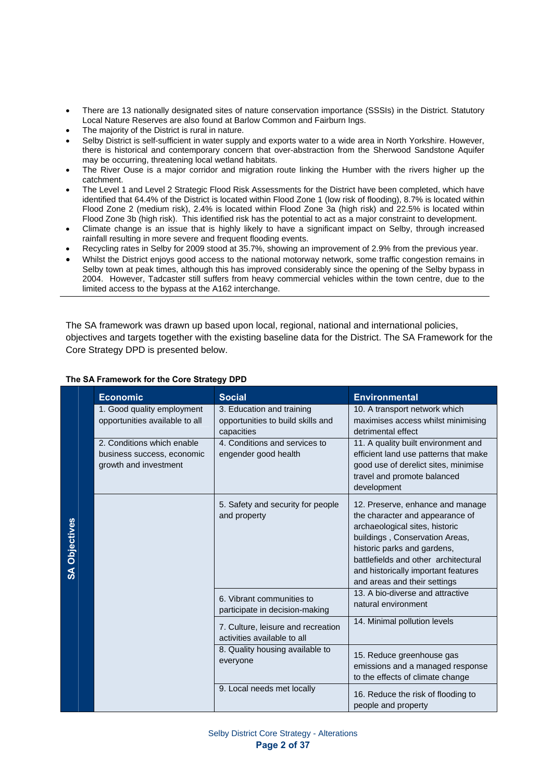- There are 13 nationally designated sites of nature conservation importance (SSSIs) in the District. Statutory Local Nature Reserves are also found at Barlow Common and Fairburn Ings.
- The majority of the District is rural in nature.
- Selby District is self-sufficient in water supply and exports water to a wide area in North Yorkshire. However, there is historical and contemporary concern that over-abstraction from the Sherwood Sandstone Aquifer may be occurring, threatening local wetland habitats.
- The River Ouse is a major corridor and migration route linking the Humber with the rivers higher up the catchment.
- The Level 1 and Level 2 Strategic Flood Risk Assessments for the District have been completed, which have identified that 64.4% of the District is located within Flood Zone 1 (low risk of flooding), 8.7% is located within Flood Zone 2 (medium risk), 2.4% is located within Flood Zone 3a (high risk) and 22.5% is located within Flood Zone 3b (high risk). This identified risk has the potential to act as a major constraint to development.
- Climate change is an issue that is highly likely to have a significant impact on Selby, through increased rainfall resulting in more severe and frequent flooding events.
- Recycling rates in Selby for 2009 stood at 35.7%, showing an improvement of 2.9% from the previous year.
- Whilst the District enjoys good access to the national motorway network, some traffic congestion remains in Selby town at peak times, although this has improved considerably since the opening of the Selby bypass in 2004. However, Tadcaster still suffers from heavy commercial vehicles within the town centre, due to the limited access to the bypass at the A162 interchange.

The SA framework was drawn up based upon local, regional, national and international policies, objectives and targets together with the existing baseline data for the District. The SA Framework for the Core Strategy DPD is presented below.

|                      | <b>Economic</b>                                                                   | <b>Social</b>                                                                | <b>Environmental</b>                                                                                                                                                                                                                                                                  |
|----------------------|-----------------------------------------------------------------------------------|------------------------------------------------------------------------------|---------------------------------------------------------------------------------------------------------------------------------------------------------------------------------------------------------------------------------------------------------------------------------------|
|                      | 1. Good quality employment<br>opportunities available to all                      | 3. Education and training<br>opportunities to build skills and<br>capacities | 10. A transport network which<br>maximises access whilst minimising<br>detrimental effect                                                                                                                                                                                             |
|                      | 2. Conditions which enable<br>business success, economic<br>growth and investment | 4. Conditions and services to<br>engender good health                        | 11. A quality built environment and<br>efficient land use patterns that make<br>good use of derelict sites, minimise<br>travel and promote balanced<br>development                                                                                                                    |
| <b>SA Objectives</b> |                                                                                   | 5. Safety and security for people<br>and property                            | 12. Preserve, enhance and manage<br>the character and appearance of<br>archaeological sites, historic<br>buildings, Conservation Areas,<br>historic parks and gardens,<br>battlefields and other architectural<br>and historically important features<br>and areas and their settings |
|                      |                                                                                   | 6. Vibrant communities to<br>participate in decision-making                  | 13. A bio-diverse and attractive<br>natural environment                                                                                                                                                                                                                               |
|                      |                                                                                   | 7. Culture, leisure and recreation<br>activities available to all            | 14. Minimal pollution levels                                                                                                                                                                                                                                                          |
|                      |                                                                                   | 8. Quality housing available to<br>everyone                                  | 15. Reduce greenhouse gas<br>emissions and a managed response<br>to the effects of climate change                                                                                                                                                                                     |
|                      |                                                                                   | 9. Local needs met locally                                                   | 16. Reduce the risk of flooding to<br>people and property                                                                                                                                                                                                                             |

#### **The SA Framework for the Core Strategy DPD**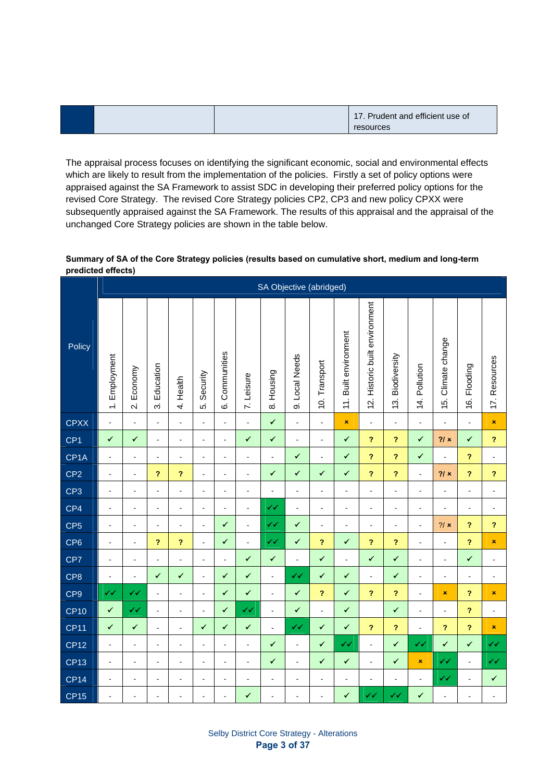|  | 17. Prudent and efficient use of |
|--|----------------------------------|
|  | resources                        |

The appraisal process focuses on identifying the significant economic, social and environmental effects which are likely to result from the implementation of the policies. Firstly a set of policy options were appraised against the SA Framework to assist SDC in developing their preferred policy options for the revised Core Strategy. The revised Core Strategy policies CP2, CP3 and new policy CPXX were subsequently appraised against the SA Framework. The results of this appraisal and the appraisal of the unchanged Core Strategy policies are shown in the table below.

#### **Summary of SA of the Core Strategy policies (results based on cumulative short, medium and long-term predicted effects)**

|                   |                |                                     |                             |                            |                       |                  |                | SA Objective (abridged)  |                          |                            |                       |                                |                            |                |                    |                            |                          |
|-------------------|----------------|-------------------------------------|-----------------------------|----------------------------|-----------------------|------------------|----------------|--------------------------|--------------------------|----------------------------|-----------------------|--------------------------------|----------------------------|----------------|--------------------|----------------------------|--------------------------|
| Policy            | 1. Employment  | Economy<br>$\overline{\mathcal{N}}$ | Education<br>$\dot{\infty}$ | 4. Health                  | Security<br>$\vec{S}$ | Communities<br>Ġ | 7. Leisure     | Housing<br>$\infty$      | 9. Local Needs           | 10. Transport              | 11. Built environment | 12. Historic built environment | 13. Biodiversity           | 14. Pollution  | 15. Climate change | 16. Flooding               | 17. Resources            |
| <b>CPXX</b>       | $\Box$         | $\blacksquare$                      | $\Box$                      | $\blacksquare$             | $\blacksquare$        | $\Box$           | $\blacksquare$ | $\checkmark$             | $\blacksquare$           | $\Box$                     | $\pmb{\times}$        | $\Box$                         | $\Box$                     | $\Box$         | $\blacksquare$     | $\Box$                     | $\pmb{\times}$           |
| CP <sub>1</sub>   | $\checkmark$   | $\checkmark$                        | $\Box$                      | $\blacksquare$             | $\blacksquare$        | $\frac{1}{2}$    | $\checkmark$   | $\checkmark$             | $\overline{\phantom{a}}$ | $\blacksquare$             | $\checkmark$          | $\overline{\mathbf{r}}$        | $\overline{\mathbf{r}}$    | $\checkmark$   | 2/x                | $\checkmark$               | $\overline{\mathbf{r}}$  |
| CP <sub>1</sub> A | $\blacksquare$ | $\blacksquare$                      | $\blacksquare$              | $\blacksquare$             | $\blacksquare$        | $\frac{1}{2}$    | $\blacksquare$ | $\Box$                   | $\checkmark$             | $\blacksquare$             | $\checkmark$          | $\overline{\mathbf{r}}$        | $\overline{\mathbf{r}}$    | $\checkmark$   | $\blacksquare$     | $\boldsymbol{\mathcal{P}}$ | $\blacksquare$           |
| CP <sub>2</sub>   | $\blacksquare$ | $\blacksquare$                      | $\boldsymbol{P}$            | $\boldsymbol{P}$           | $\blacksquare$        | $\blacksquare$   | $\blacksquare$ | $\checkmark$             | $\checkmark$             | ✔                          | $\checkmark$          | $\overline{\mathbf{r}}$        | $\boldsymbol{\mathcal{P}}$ | $\blacksquare$ | 21x                | $\boldsymbol{P}$           | $\ddot{\phantom{0}}$     |
| CP <sub>3</sub>   | $\blacksquare$ | $\blacksquare$                      | $\blacksquare$              | $\blacksquare$             | $\blacksquare$        | $\overline{a}$   | $\blacksquare$ | $\blacksquare$           | $\blacksquare$           | $\overline{a}$             | $\blacksquare$        | $\blacksquare$                 | $\frac{1}{2}$              | $\Box$         | $\blacksquare$     | $\blacksquare$             | $\blacksquare$           |
| CP4               | $\blacksquare$ | $\blacksquare$                      | $\blacksquare$              | $\blacksquare$             | $\blacksquare$        | $\overline{a}$   | $\blacksquare$ | ✓√                       | $\overline{\phantom{a}}$ | $\blacksquare$             | $\blacksquare$        | $\blacksquare$                 | $\blacksquare$             | $\blacksquare$ | $\blacksquare$     | $\blacksquare$             | $\blacksquare$           |
| CP <sub>5</sub>   | $\blacksquare$ | $\blacksquare$                      | $\blacksquare$              | $\blacksquare$             | $\blacksquare$        | $\checkmark$     | $\blacksquare$ | ✔                        | $\checkmark$             | $\blacksquare$             | $\blacksquare$        | $\blacksquare$                 | $\blacksquare$             | $\blacksquare$ | 2/x                | $\boldsymbol{\mathcal{P}}$ | $\overline{\mathbf{?}}$  |
| CP <sub>6</sub>   | $\blacksquare$ | $\blacksquare$                      | $\boldsymbol{\mathcal{P}}$  | $\boldsymbol{\mathcal{P}}$ | $\blacksquare$        | ✔                | $\blacksquare$ | ∢√                       | ✔                        | $\boldsymbol{\mathcal{P}}$ | $\checkmark$          | ?                              | $\boldsymbol{\mathcal{P}}$ | $\blacksquare$ | $\blacksquare$     | $\boldsymbol{\mathcal{P}}$ | $\pmb{\times}$           |
| CP7               | $\Box$         | $\blacksquare$                      | $\blacksquare$              | $\blacksquare$             | $\blacksquare$        | $\frac{1}{2}$    | $\checkmark$   | $\checkmark$             | $\blacksquare$           | $\checkmark$               | $\blacksquare$        | $\checkmark$                   | $\checkmark$               | $\blacksquare$ | $\blacksquare$     | $\checkmark$               | $\overline{\phantom{a}}$ |
| CP <sub>8</sub>   | $\Box$         | $\blacksquare$                      | $\checkmark$                | ✔                          | $\blacksquare$        | $\checkmark$     | $\checkmark$   | $\Box$                   | $\checkmark$             | ✓                          | $\checkmark$          | $\blacksquare$                 | $\checkmark$               | $\Box$         | $\blacksquare$     | $\blacksquare$             | $\blacksquare$           |
| CP <sub>9</sub>   | ✔✔             | ✓✓                                  | $\Box$                      | $\blacksquare$             | $\blacksquare$        | $\checkmark$     | $\checkmark$   | $\Box$                   | $\checkmark$             | $\boldsymbol{\mathcal{P}}$ | $\checkmark$          | $\overline{\mathbf{r}}$        | $\overline{\mathbf{r}}$    | $\Box$         | $\pmb{\times}$     | $\boldsymbol{\mathcal{P}}$ | $\pmb{\times}$           |
| <b>CP10</b>       | $\checkmark$   | $\checkmark$                        | $\Box$                      | $\overline{\phantom{a}}$   | $\overline{a}$        | $\checkmark$     | $\checkmark$   | $\Box$                   | $\checkmark$             | $\blacksquare$             | $\checkmark$          |                                | $\checkmark$               | $\Box$         | $\blacksquare$     | $\overline{\mathbf{C}}$    | $\overline{\phantom{a}}$ |
| <b>CP11</b>       | $\checkmark$   | $\checkmark$                        | $\blacksquare$              | $\blacksquare$             | $\checkmark$          | $\checkmark$     | $\checkmark$   | $\overline{\phantom{a}}$ | $\checkmark$             | $\checkmark$               | $\checkmark$          | ?                              | $\overline{\mathbf{r}}$    | $\blacksquare$ | ?                  | $\boldsymbol{\mathcal{P}}$ | $\pmb{\times}$           |
| <b>CP12</b>       | $\blacksquare$ | $\blacksquare$                      | $\blacksquare$              | $\blacksquare$             | $\blacksquare$        | $\blacksquare$   | $\blacksquare$ | $\checkmark$             | $\blacksquare$           | $\checkmark$               | ✓✓                    | $\blacksquare$                 | $\checkmark$               | ✓√             | $\checkmark$       | $\checkmark$               | $\checkmark$             |
| <b>CP13</b>       | $\blacksquare$ | $\blacksquare$                      | $\blacksquare$              | $\blacksquare$             | $\blacksquare$        | $\overline{a}$   | $\blacksquare$ | $\checkmark$             | $\blacksquare$           | ✔                          | $\checkmark$          | $\Box$                         | $\checkmark$               | $\pmb{\times}$ | $\checkmark$       | $\Box$                     | $\checkmark$             |
| <b>CP14</b>       | $\Box$         | $\blacksquare$                      | $\blacksquare$              | $\blacksquare$             | $\sim$                | $\overline{a}$   | $\blacksquare$ | $\blacksquare$           | $\overline{a}$           | $\blacksquare$             | $\overline{a}$        | ÷,                             | $\blacksquare$             | $\blacksquare$ | $\checkmark$       | $\Box$                     | $\checkmark$             |
| <b>CP15</b>       | $\blacksquare$ | Ĭ.                                  | $\overline{a}$              | $\overline{\phantom{a}}$   | $\blacksquare$        | $\overline{a}$   | $\checkmark$   | $\overline{a}$           | $\overline{a}$           | $\blacksquare$             | $\checkmark$          | ∢√                             | ✔✔                         | $\checkmark$   | $\overline{a}$     | $\overline{a}$             | $\blacksquare$           |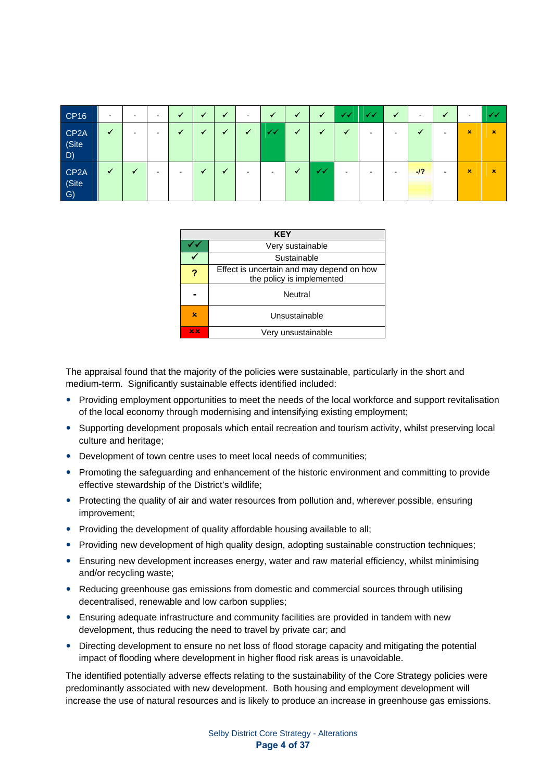| <b>CP16</b>                                 | $\blacksquare$ | $\,$           | $\,$                     | ✔ | $\cdot$ | $\checkmark$             | $\,$         | $\checkmark$             | √                        | ✓            | <b>N</b> | ✔✔ | ✓                        | $\blacksquare$ | ✔                        | $\,$        | シン             |
|---------------------------------------------|----------------|----------------|--------------------------|---|---------|--------------------------|--------------|--------------------------|--------------------------|--------------|----------|----|--------------------------|----------------|--------------------------|-------------|----------------|
| CP <sub>2</sub> A<br>(Site<br>D)            | ✓              | $\blacksquare$ | $\,$                     |   |         | $\overline{\phantom{a}}$ | $\checkmark$ | ر ر                      | $\checkmark$             | -4           | $\cdot$  |    | $\overline{\phantom{a}}$ | ✔              | $\blacksquare$           | $\mathbf x$ | ×              |
| CP <sub>2</sub> A<br>(Site<br>$\mathcal{G}$ | ✔              | ✔              | $\overline{\phantom{a}}$ | - |         | $\cdot$                  | -            | $\overline{\phantom{0}}$ | $\overline{\phantom{a}}$ | $\checkmark$ | -        | -  | $\blacksquare$           | $-12$          | $\overline{\phantom{a}}$ | $\mathbf x$ | $\pmb{\times}$ |

|   | <b>KEY</b>                                                             |  |  |  |  |  |
|---|------------------------------------------------------------------------|--|--|--|--|--|
|   | Very sustainable                                                       |  |  |  |  |  |
|   | Sustainable                                                            |  |  |  |  |  |
| ? | Effect is uncertain and may depend on how<br>the policy is implemented |  |  |  |  |  |
|   | Neutral                                                                |  |  |  |  |  |
| × | Unsustainable                                                          |  |  |  |  |  |
| x | Very unsustainable                                                     |  |  |  |  |  |

The appraisal found that the majority of the policies were sustainable, particularly in the short and medium-term. Significantly sustainable effects identified included:

- Providing employment opportunities to meet the needs of the local workforce and support revitalisation of the local economy through modernising and intensifying existing employment;
- Supporting development proposals which entail recreation and tourism activity, whilst preserving local culture and heritage;
- Development of town centre uses to meet local needs of communities;
- Promoting the safeguarding and enhancement of the historic environment and committing to provide effective stewardship of the District's wildlife;
- Protecting the quality of air and water resources from pollution and, wherever possible, ensuring improvement;
- Providing the development of quality affordable housing available to all:
- Providing new development of high quality design, adopting sustainable construction techniques;
- Ensuring new development increases energy, water and raw material efficiency, whilst minimising and/or recycling waste;
- Reducing greenhouse gas emissions from domestic and commercial sources through utilising decentralised, renewable and low carbon supplies;
- Ensuring adequate infrastructure and community facilities are provided in tandem with new development, thus reducing the need to travel by private car; and
- Directing development to ensure no net loss of flood storage capacity and mitigating the potential impact of flooding where development in higher flood risk areas is unavoidable.

The identified potentially adverse effects relating to the sustainability of the Core Strategy policies were predominantly associated with new development. Both housing and employment development will increase the use of natural resources and is likely to produce an increase in greenhouse gas emissions.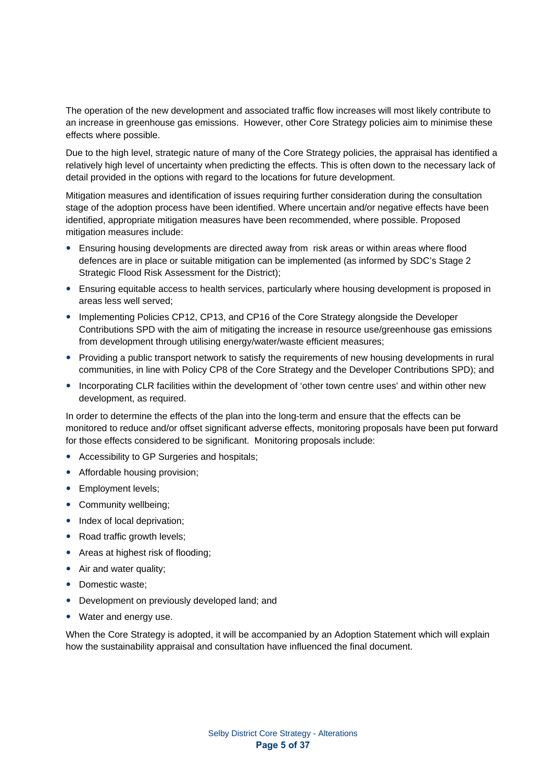The operation of the new development and associated traffic flow increases will most likely contribute to an increase in greenhouse gas emissions. However, other Core Strategy policies aim to minimise these effects where possible.

Due to the high level, strategic nature of many of the Core Strategy policies, the appraisal has identified a relatively high level of uncertainty when predicting the effects. This is often down to the necessary lack of detail provided in the options with regard to the locations for future development.

Mitigation measures and identification of issues requiring further consideration during the consultation stage of the adoption process have been identified. Where uncertain and/or negative effects have been identified, appropriate mitigation measures have been recommended, where possible. Proposed mitigation measures include:

- Ensuring housing developments are directed away from risk areas or within areas where flood defences are in place or suitable mitigation can be implemented (as informed by SDC's Stage 2 Strategic Flood Risk Assessment for the District);
- Ensuring equitable access to health services, particularly where housing development is proposed in areas less well served;
- Implementing Policies CP12, CP13, and CP16 of the Core Strategy alongside the Developer Contributions SPD with the aim of mitigating the increase in resource use/greenhouse gas emissions from development through utilising energy/water/waste efficient measures:
- Providing a public transport network to satisfy the requirements of new housing developments in rural communities, in line with Policy CP8 of the Core Strategy and the Developer Contributions SPD); and
- Incorporating CLR facilities within the development of 'other town centre uses' and within other new development, as required.

In order to determine the effects of the plan into the long-term and ensure that the effects can be monitored to reduce and/or offset significant adverse effects, monitoring proposals have been put forward for those effects considered to be significant. Monitoring proposals include:

- Accessibility to GP Surgeries and hospitals;
- Affordable housing provision;
- Employment levels;
- Community wellbeing;
- Index of local deprivation;
- Road traffic growth levels;
- Areas at highest risk of flooding;
- Air and water quality;
- Domestic waste:
- Development on previously developed land; and
- Water and energy use.

When the Core Strategy is adopted, it will be accompanied by an Adoption Statement which will explain how the sustainability appraisal and consultation have influenced the final document.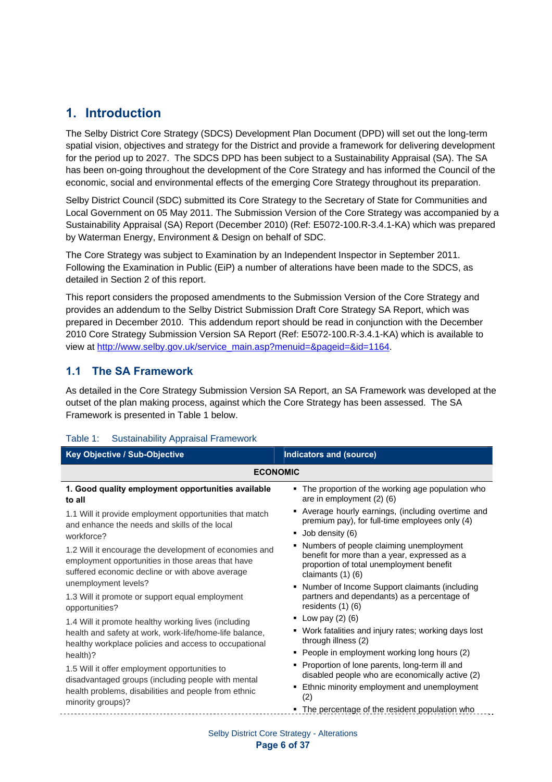# **1. Introduction**

The Selby District Core Strategy (SDCS) Development Plan Document (DPD) will set out the long-term spatial vision, objectives and strategy for the District and provide a framework for delivering development for the period up to 2027. The SDCS DPD has been subject to a Sustainability Appraisal (SA). The SA has been on-going throughout the development of the Core Strategy and has informed the Council of the economic, social and environmental effects of the emerging Core Strategy throughout its preparation.

Selby District Council (SDC) submitted its Core Strategy to the Secretary of State for Communities and Local Government on 05 May 2011. The Submission Version of the Core Strategy was accompanied by a Sustainability Appraisal (SA) Report (December 2010) (Ref: E5072-100.R-3.4.1-KA) which was prepared by Waterman Energy, Environment & Design on behalf of SDC.

The Core Strategy was subject to Examination by an Independent Inspector in September 2011. Following the Examination in Public (EiP) a number of alterations have been made to the SDCS, as detailed in Section 2 of this report.

This report considers the proposed amendments to the Submission Version of the Core Strategy and provides an addendum to the Selby District Submission Draft Core Strategy SA Report, which was prepared in December 2010. This addendum report should be read in conjunction with the December 2010 Core Strategy Submission Version SA Report (Ref: E5072-100.R-3.4.1-KA) which is available to view at http://www.selby.gov.uk/service\_main.asp?menuid=&pageid=&id=1164.

### **1.1 The SA Framework**

As detailed in the Core Strategy Submission Version SA Report, an SA Framework was developed at the outset of the plan making process, against which the Core Strategy has been assessed. The SA Framework is presented in Table 1 below.

| Key Objective / Sub-Objective                                                                                                                                  | <b>Indicators and (source)</b>                                                                                                                                 |  |  |  |  |  |  |
|----------------------------------------------------------------------------------------------------------------------------------------------------------------|----------------------------------------------------------------------------------------------------------------------------------------------------------------|--|--|--|--|--|--|
| <b>ECONOMIC</b>                                                                                                                                                |                                                                                                                                                                |  |  |  |  |  |  |
| 1. Good quality employment opportunities available<br>to all                                                                                                   | • The proportion of the working age population who<br>are in employment $(2)$ $(6)$                                                                            |  |  |  |  |  |  |
| 1.1 Will it provide employment opportunities that match<br>and enhance the needs and skills of the local                                                       | • Average hourly earnings, (including overtime and<br>premium pay), for full-time employees only (4)                                                           |  |  |  |  |  |  |
| workforce?                                                                                                                                                     | ■ Job density (6)                                                                                                                                              |  |  |  |  |  |  |
| 1.2 Will it encourage the development of economies and<br>employment opportunities in those areas that have<br>suffered economic decline or with above average | • Numbers of people claiming unemployment<br>benefit for more than a year, expressed as a<br>proportion of total unemployment benefit<br>claimants $(1)$ $(6)$ |  |  |  |  |  |  |
| unemployment levels?                                                                                                                                           | • Number of Income Support claimants (including                                                                                                                |  |  |  |  |  |  |
| 1.3 Will it promote or support equal employment<br>opportunities?                                                                                              | partners and dependants) as a percentage of<br>residents (1) (6)                                                                                               |  |  |  |  |  |  |
| 1.4 Will it promote healthy working lives (including                                                                                                           | <b>•</b> Low pay $(2)$ $(6)$                                                                                                                                   |  |  |  |  |  |  |
| health and safety at work, work-life/home-life balance,<br>healthy workplace policies and access to occupational                                               | • Work fatalities and injury rates; working days lost<br>through illness (2)                                                                                   |  |  |  |  |  |  |
| health)?                                                                                                                                                       | • People in employment working long hours (2)                                                                                                                  |  |  |  |  |  |  |
| 1.5 Will it offer employment opportunities to<br>disadvantaged groups (including people with mental                                                            | • Proportion of lone parents, long-term ill and<br>disabled people who are economically active (2)                                                             |  |  |  |  |  |  |
| health problems, disabilities and people from ethnic<br>minority groups)?                                                                                      | Ethnic minority employment and unemployment<br>(2)                                                                                                             |  |  |  |  |  |  |
|                                                                                                                                                                | • The percentage of the resident population who                                                                                                                |  |  |  |  |  |  |
|                                                                                                                                                                |                                                                                                                                                                |  |  |  |  |  |  |

### Table 1: Sustainability Appraisal Framework

Selby District Core Strategy - Alterations **Page 6 of 37**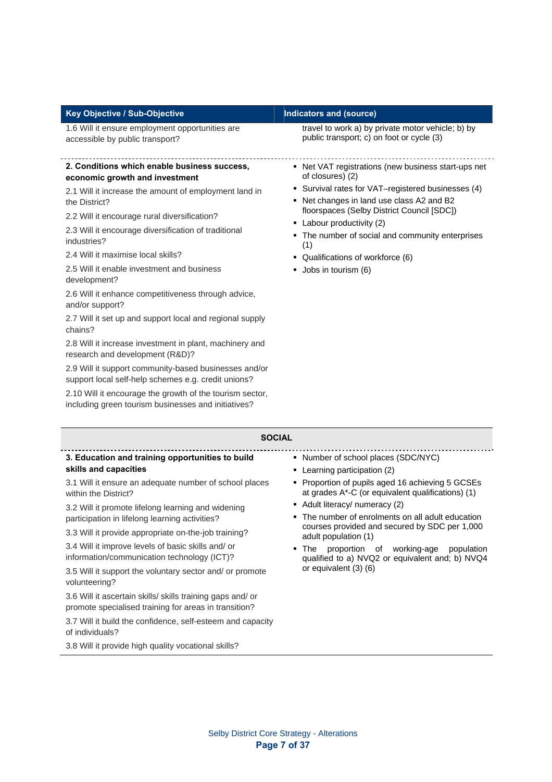|  |  | Key Objective / Sub-Objective |  |
|--|--|-------------------------------|--|
|--|--|-------------------------------|--|

1.6 Will it ensure employment opportunities are accessible by public transport?

#### **2. Conditions which enable business success, economic growth and investment**

2.1 Will it increase the amount of employment land in the District?

2.2 Will it encourage rural diversification?

2.3 Will it encourage diversification of traditional industries?

2.4 Will it maximise local skills?

2.5 Will it enable investment and business development?

2.6 Will it enhance competitiveness through advice, and/or support?

2.7 Will it set up and support local and regional supply chains?

2.8 Will it increase investment in plant, machinery and research and development (R&D)?

2.9 Will it support community-based businesses and/or support local self-help schemes e.g. credit unions?

2.10 Will it encourage the growth of the tourism sector, including green tourism businesses and initiatives?

#### **Indicators and (source)**

travel to work a) by private motor vehicle; b) by public transport; c) on foot or cycle (3)

- Net VAT registrations (new business start-ups net of closures) (2)
- Survival rates for VAT–registered businesses (4)
- Net changes in land use class A2 and B2 floorspaces (Selby District Council [SDC])
- Labour productivity (2)
- The number of social and community enterprises (1)
- Qualifications of workforce (6)
- **Jobs in tourism (6)**

| <b>SOCIAL</b>                                                                                                                                                                                                                                                                                                                                         |                                                                                                                                                                                                                                                                                                                                                             |  |  |  |  |  |
|-------------------------------------------------------------------------------------------------------------------------------------------------------------------------------------------------------------------------------------------------------------------------------------------------------------------------------------------------------|-------------------------------------------------------------------------------------------------------------------------------------------------------------------------------------------------------------------------------------------------------------------------------------------------------------------------------------------------------------|--|--|--|--|--|
| 3. Education and training opportunities to build<br>skills and capacities<br>3.1 Will it ensure an adequate number of school places                                                                                                                                                                                                                   | • Number of school places (SDC/NYC)<br>Learning participation (2)<br>٠<br>Proportion of pupils aged 16 achieving 5 GCSEs                                                                                                                                                                                                                                    |  |  |  |  |  |
| within the District?<br>3.2 Will it promote lifelong learning and widening<br>participation in lifelong learning activities?<br>3.3 Will it provide appropriate on-the-job training?<br>3.4 Will it improve levels of basic skills and/ or<br>information/communication technology (ICT)?<br>3.5 Will it support the voluntary sector and/ or promote | at grades A*-C (or equivalent qualifications) (1)<br>• Adult literacy/ numeracy (2)<br>• The number of enrolments on all adult education<br>courses provided and secured by SDC per 1,000<br>adult population (1)<br>of working-age<br>proportion<br>The<br>population<br>٠<br>qualified to a) NVQ2 or equivalent and; b) NVQ4<br>or equivalent $(3)$ $(6)$ |  |  |  |  |  |
| volunteering?<br>3.6 Will it ascertain skills/ skills training gaps and/ or<br>promote specialised training for areas in transition?<br>3.7 Will it build the confidence, self-esteem and capacity<br>of individuals?                                                                                                                                 |                                                                                                                                                                                                                                                                                                                                                             |  |  |  |  |  |

3.8 Will it provide high quality vocational skills?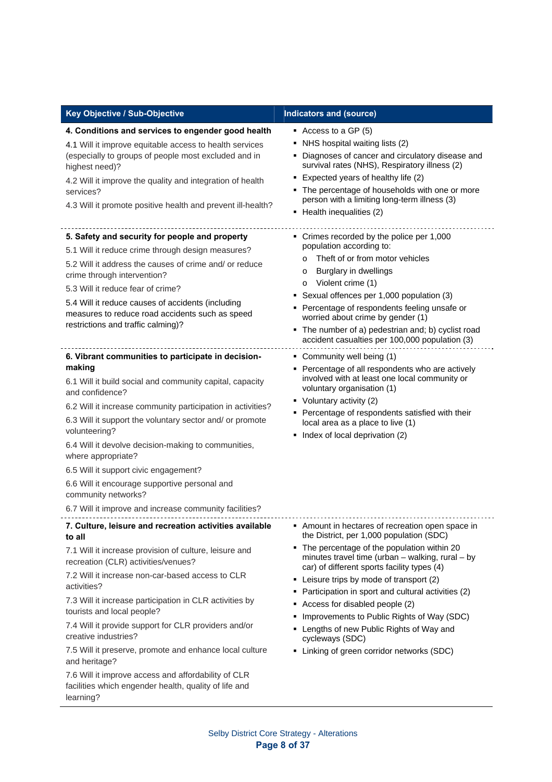| Key Objective / Sub-Objective                                                                                                                                                                                                                                                                                                                                                                                                                                                                                                                                                                                           | <b>Indicators and (source)</b>                                                                                                                                                                                                                                                                                                                                                                                                                                                                                                                    |
|-------------------------------------------------------------------------------------------------------------------------------------------------------------------------------------------------------------------------------------------------------------------------------------------------------------------------------------------------------------------------------------------------------------------------------------------------------------------------------------------------------------------------------------------------------------------------------------------------------------------------|---------------------------------------------------------------------------------------------------------------------------------------------------------------------------------------------------------------------------------------------------------------------------------------------------------------------------------------------------------------------------------------------------------------------------------------------------------------------------------------------------------------------------------------------------|
| 4. Conditions and services to engender good health<br>4.1 Will it improve equitable access to health services<br>(especially to groups of people most excluded and in<br>highest need)?<br>4.2 Will it improve the quality and integration of health<br>services?<br>4.3 Will it promote positive health and prevent ill-health?                                                                                                                                                                                                                                                                                        | Access to a GP (5)<br>• NHS hospital waiting lists (2)<br>• Diagnoses of cancer and circulatory disease and<br>survival rates (NHS), Respiratory illness (2)<br>• Expected years of healthy life (2)<br>• The percentage of households with one or more<br>person with a limiting long-term illness (3)<br>• Health inequalities (2)                                                                                                                                                                                                              |
| 5. Safety and security for people and property<br>5.1 Will it reduce crime through design measures?<br>5.2 Will it address the causes of crime and/or reduce<br>crime through intervention?<br>5.3 Will it reduce fear of crime?<br>5.4 Will it reduce causes of accidents (including<br>measures to reduce road accidents such as speed<br>restrictions and traffic calming)?                                                                                                                                                                                                                                          | • Crimes recorded by the police per 1,000<br>population according to:<br>Theft of or from motor vehicles<br>$\circ$<br><b>Burglary in dwellings</b><br>O<br>Violent crime (1)<br>$\circ$<br>Sexual offences per 1,000 population (3)<br>• Percentage of respondents feeling unsafe or<br>worried about crime by gender (1)<br>• The number of a) pedestrian and; b) cyclist road<br>accident casualties per 100,000 population (3)                                                                                                                |
| 6. Vibrant communities to participate in decision-<br>making<br>6.1 Will it build social and community capital, capacity<br>and confidence?<br>6.2 Will it increase community participation in activities?<br>6.3 Will it support the voluntary sector and/ or promote<br>volunteering?<br>6.4 Will it devolve decision-making to communities,<br>where appropriate?<br>6.5 Will it support civic engagement?<br>6.6 Will it encourage supportive personal and<br>community networks?<br>6.7 Will it improve and increase community facilities?                                                                         | • Community well being (1)<br>• Percentage of all respondents who are actively<br>involved with at least one local community or<br>voluntary organisation (1)<br>• Voluntary activity (2)<br>• Percentage of respondents satisfied with their<br>local area as a place to live (1)<br>• Index of local deprivation (2)                                                                                                                                                                                                                            |
| 7. Culture, leisure and recreation activities available<br>to all<br>7.1 Will it increase provision of culture, leisure and<br>recreation (CLR) activities/venues?<br>7.2 Will it increase non-car-based access to CLR<br>activities?<br>7.3 Will it increase participation in CLR activities by<br>tourists and local people?<br>7.4 Will it provide support for CLR providers and/or<br>creative industries?<br>7.5 Will it preserve, promote and enhance local culture<br>and heritage?<br>7.6 Will it improve access and affordability of CLR<br>facilities which engender health, quality of life and<br>learning? | Amount in hectares of recreation open space in<br>the District, per 1,000 population (SDC)<br>• The percentage of the population within 20<br>minutes travel time (urban - walking, rural - by<br>car) of different sports facility types (4)<br>• Leisure trips by mode of transport (2)<br>• Participation in sport and cultural activities (2)<br>Access for disabled people (2)<br>• Improvements to Public Rights of Way (SDC)<br>• Lengths of new Public Rights of Way and<br>cycleways (SDC)<br>• Linking of green corridor networks (SDC) |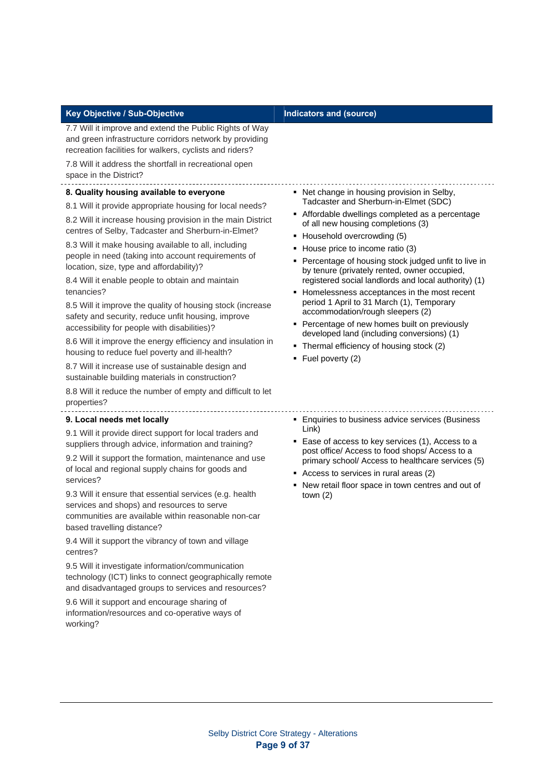| Key Objective / Sub-Objective                                                                                                                                                                                                                                                                                                                                                                                                                                                                                                                                                                                                                                                                                                                                                                                                                                                                                                      | <b>Indicators and (source)</b>                                                                                                                                                                                                                                                                                                                                                                                                                                                                                                                                                                                                                                                                                         |
|------------------------------------------------------------------------------------------------------------------------------------------------------------------------------------------------------------------------------------------------------------------------------------------------------------------------------------------------------------------------------------------------------------------------------------------------------------------------------------------------------------------------------------------------------------------------------------------------------------------------------------------------------------------------------------------------------------------------------------------------------------------------------------------------------------------------------------------------------------------------------------------------------------------------------------|------------------------------------------------------------------------------------------------------------------------------------------------------------------------------------------------------------------------------------------------------------------------------------------------------------------------------------------------------------------------------------------------------------------------------------------------------------------------------------------------------------------------------------------------------------------------------------------------------------------------------------------------------------------------------------------------------------------------|
| 7.7 Will it improve and extend the Public Rights of Way<br>and green infrastructure corridors network by providing<br>recreation facilities for walkers, cyclists and riders?<br>7.8 Will it address the shortfall in recreational open<br>space in the District?                                                                                                                                                                                                                                                                                                                                                                                                                                                                                                                                                                                                                                                                  |                                                                                                                                                                                                                                                                                                                                                                                                                                                                                                                                                                                                                                                                                                                        |
| 8. Quality housing available to everyone<br>8.1 Will it provide appropriate housing for local needs?<br>8.2 Will it increase housing provision in the main District<br>centres of Selby, Tadcaster and Sherburn-in-Elmet?<br>8.3 Will it make housing available to all, including<br>people in need (taking into account requirements of<br>location, size, type and affordability)?<br>8.4 Will it enable people to obtain and maintain<br>tenancies?<br>8.5 Will it improve the quality of housing stock (increase<br>safety and security, reduce unfit housing, improve<br>accessibility for people with disabilities)?<br>8.6 Will it improve the energy efficiency and insulation in<br>housing to reduce fuel poverty and ill-health?<br>8.7 Will it increase use of sustainable design and<br>sustainable building materials in construction?<br>8.8 Will it reduce the number of empty and difficult to let<br>properties? | • Net change in housing provision in Selby,<br>Tadcaster and Sherburn-in-Elmet (SDC)<br>Affordable dwellings completed as a percentage<br>of all new housing completions (3)<br>• Household overcrowding (5)<br>• House price to income ratio (3)<br>• Percentage of housing stock judged unfit to live in<br>by tenure (privately rented, owner occupied,<br>registered social landlords and local authority) (1)<br>• Homelessness acceptances in the most recent<br>period 1 April to 31 March (1), Temporary<br>accommodation/rough sleepers (2)<br>• Percentage of new homes built on previously<br>developed land (including conversions) (1)<br>• Thermal efficiency of housing stock (2)<br>• Fuel poverty (2) |
| 9. Local needs met locally<br>9.1 Will it provide direct support for local traders and<br>suppliers through advice, information and training?<br>9.2 Will it support the formation, maintenance and use<br>of local and regional supply chains for goods and<br>services?<br>9.3 Will it ensure that essential services (e.g. health<br>services and shops) and resources to serve<br>communities are available within reasonable non-car<br>based travelling distance?<br>9.4 Will it support the vibrancy of town and village<br>centres?<br>9.5 Will it investigate information/communication<br>technology (ICT) links to connect geographically remote<br>and disadvantaged groups to services and resources?<br>9.6 Will it support and encourage sharing of<br>information/resources and co-operative ways of<br>working?                                                                                                   | • Enquiries to business advice services (Business<br>Link)<br>■ Ease of access to key services (1), Access to a<br>post office/ Access to food shops/ Access to a<br>primary school/ Access to healthcare services (5)<br>Access to services in rural areas (2)<br>• New retail floor space in town centres and out of<br>town $(2)$                                                                                                                                                                                                                                                                                                                                                                                   |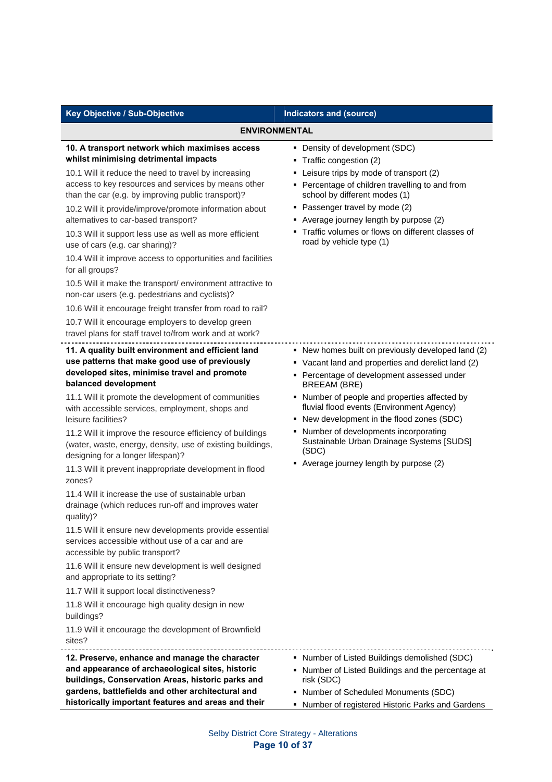| Key Objective / Sub-Objective                                                                                                                                                                                                                                                                                                                                                                                                                                                                                                                                                                                                                                                                                                                                                                                                                                                                                                                                                                                                                                                                              | <b>Indicators and (source)</b>                                                                                                                                                                                                                                                                                                                                                                                                                                       |
|------------------------------------------------------------------------------------------------------------------------------------------------------------------------------------------------------------------------------------------------------------------------------------------------------------------------------------------------------------------------------------------------------------------------------------------------------------------------------------------------------------------------------------------------------------------------------------------------------------------------------------------------------------------------------------------------------------------------------------------------------------------------------------------------------------------------------------------------------------------------------------------------------------------------------------------------------------------------------------------------------------------------------------------------------------------------------------------------------------|----------------------------------------------------------------------------------------------------------------------------------------------------------------------------------------------------------------------------------------------------------------------------------------------------------------------------------------------------------------------------------------------------------------------------------------------------------------------|
| <b>ENVIRONMENTAL</b>                                                                                                                                                                                                                                                                                                                                                                                                                                                                                                                                                                                                                                                                                                                                                                                                                                                                                                                                                                                                                                                                                       |                                                                                                                                                                                                                                                                                                                                                                                                                                                                      |
| 10. A transport network which maximises access<br>whilst minimising detrimental impacts<br>10.1 Will it reduce the need to travel by increasing<br>access to key resources and services by means other<br>than the car (e.g. by improving public transport)?<br>10.2 Will it provide/improve/promote information about<br>alternatives to car-based transport?<br>10.3 Will it support less use as well as more efficient<br>use of cars (e.g. car sharing)?<br>10.4 Will it improve access to opportunities and facilities<br>for all groups?<br>10.5 Will it make the transport/ environment attractive to<br>non-car users (e.g. pedestrians and cyclists)?<br>10.6 Will it encourage freight transfer from road to rail?<br>10.7 Will it encourage employers to develop green<br>travel plans for staff travel to/from work and at work?                                                                                                                                                                                                                                                               | • Density of development (SDC)<br>• Traffic congestion (2)<br>• Leisure trips by mode of transport (2)<br>• Percentage of children travelling to and from<br>school by different modes (1)<br>• Passenger travel by mode (2)<br>• Average journey length by purpose (2)<br>• Traffic volumes or flows on different classes of<br>road by vehicle type (1)                                                                                                            |
| 11. A quality built environment and efficient land<br>use patterns that make good use of previously<br>developed sites, minimise travel and promote<br>balanced development<br>11.1 Will it promote the development of communities<br>with accessible services, employment, shops and<br>leisure facilities?<br>11.2 Will it improve the resource efficiency of buildings<br>(water, waste, energy, density, use of existing buildings,<br>designing for a longer lifespan)?<br>11.3 Will it prevent inappropriate development in flood<br>zones?<br>11.4 Will it increase the use of sustainable urban<br>drainage (which reduces run-off and improves water<br>quality)?<br>11.5 Will it ensure new developments provide essential<br>services accessible without use of a car and are<br>accessible by public transport?<br>11.6 Will it ensure new development is well designed<br>and appropriate to its setting?<br>11.7 Will it support local distinctiveness?<br>11.8 Will it encourage high quality design in new<br>buildings?<br>11.9 Will it encourage the development of Brownfield<br>sites? | • New homes built on previously developed land (2)<br>• Vacant land and properties and derelict land (2)<br>• Percentage of development assessed under<br><b>BREEAM (BRE)</b><br>• Number of people and properties affected by<br>fluvial flood events (Environment Agency)<br>• New development in the flood zones (SDC)<br>• Number of developments incorporating<br>Sustainable Urban Drainage Systems [SUDS]<br>(SDC)<br>• Average journey length by purpose (2) |
| 12. Preserve, enhance and manage the character<br>and appearance of archaeological sites, historic<br>buildings, Conservation Areas, historic parks and<br>gardens, battlefields and other architectural and<br>historically important features and areas and their                                                                                                                                                                                                                                                                                                                                                                                                                                                                                                                                                                                                                                                                                                                                                                                                                                        | • Number of Listed Buildings demolished (SDC)<br>• Number of Listed Buildings and the percentage at<br>risk (SDC)<br>• Number of Scheduled Monuments (SDC)<br>• Number of registered Historic Parks and Gardens                                                                                                                                                                                                                                                      |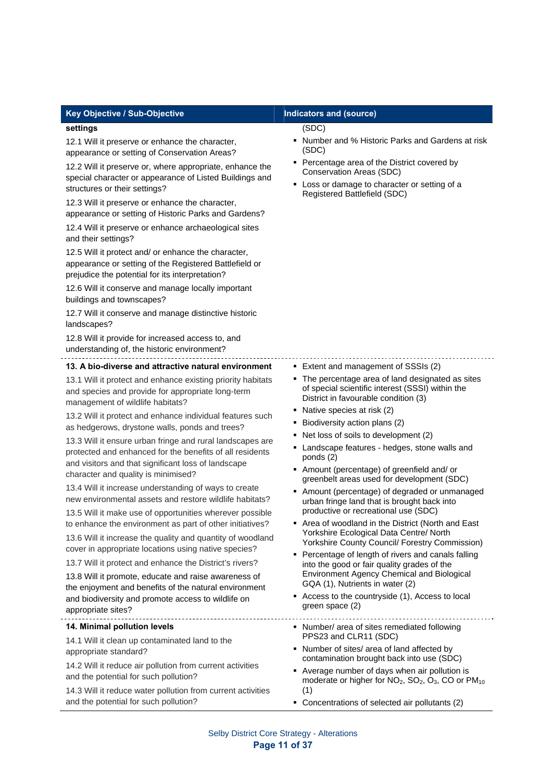#### Key Objective / Sub-Objective **Indicators and (source)**

#### **settings**

12.1 Will it preserve or enhance the character, appearance or setting of Conservation Areas?

12.2 Will it preserve or, where appropriate, enhance the special character or appearance of Listed Buildings and structures or their settings?

12.3 Will it preserve or enhance the character, appearance or setting of Historic Parks and Gardens?

12.4 Will it preserve or enhance archaeological sites and their settings?

12.5 Will it protect and/ or enhance the character, appearance or setting of the Registered Battlefield or prejudice the potential for its interpretation?

12.6 Will it conserve and manage locally important buildings and townscapes?

12.7 Will it conserve and manage distinctive historic landscapes?

12.8 Will it provide for increased access to, and understanding of, the historic environment?

#### **13. A bio-diverse and attractive natural environment**

13.1 Will it protect and enhance existing priority habitats and species and provide for appropriate long-term management of wildlife habitats?

13.2 Will it protect and enhance individual features such as hedgerows, drystone walls, ponds and trees?

13.3 Will it ensure urban fringe and rural landscapes are protected and enhanced for the benefits of all residents and visitors and that significant loss of landscape character and quality is minimised?

13.4 Will it increase understanding of ways to create new environmental assets and restore wildlife habitats?

13.5 Will it make use of opportunities wherever possible to enhance the environment as part of other initiatives?

13.6 Will it increase the quality and quantity of woodland cover in appropriate locations using native species?

13.7 Will it protect and enhance the District's rivers?

13.8 Will it promote, educate and raise awareness of the enjoyment and benefits of the natural environment and biodiversity and promote access to wildlife on appropriate sites?

#### **14. Minimal pollution levels**

14.1 Will it clean up contaminated land to the appropriate standard?

14.2 Will it reduce air pollution from current activities and the potential for such pollution?

14.3 Will it reduce water pollution from current activities and the potential for such pollution?

#### (SDC)

- Number and % Historic Parks and Gardens at risk (SDC)
- Percentage area of the District covered by Conservation Areas (SDC)
- Loss or damage to character or setting of a Registered Battlefield (SDC)

- Extent and management of SSSIs (2)
- The percentage area of land designated as sites of special scientific interest (SSSI) within the District in favourable condition (3)
- Native species at risk (2)
- **Biodiversity action plans (2)**
- Net loss of soils to development (2)
- Landscape features hedges, stone walls and ponds (2)
- Amount (percentage) of greenfield and/ or greenbelt areas used for development (SDC)
- Amount (percentage) of degraded or unmanaged urban fringe land that is brought back into productive or recreational use (SDC)
- Area of woodland in the District (North and East Yorkshire Ecological Data Centre/ North Yorkshire County Council/ Forestry Commission)
- **Percentage of length of rivers and canals falling** into the good or fair quality grades of the Environment Agency Chemical and Biological GQA (1), Nutrients in water (2)
- Access to the countryside (1), Access to local green space (2)
- Number/ area of sites remediated following PPS23 and CLR11 (SDC)
- Number of sites/ area of land affected by contamination brought back into use (SDC)
- Average number of days when air pollution is moderate or higher for  $NO<sub>2</sub>$ ,  $SO<sub>2</sub>$ ,  $O<sub>3</sub>$ , CO or  $PM<sub>10</sub>$ (1)
- Concentrations of selected air pollutants (2)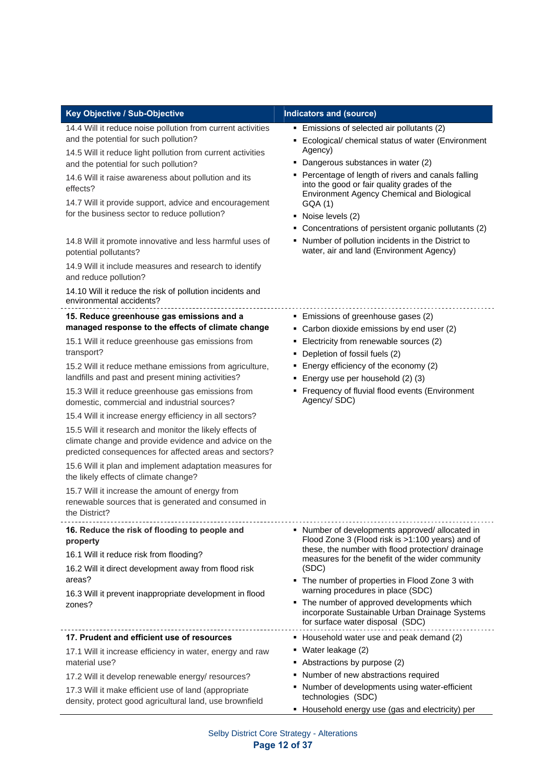| Key Objective / Sub-Objective                                                                                                                                                                                                                                                                                                                                                                                                                                                                                                                                                                                                                                                                                                                                                                                                                                  | Indicators and (source)                                                                                                                                                                                                                                                                                                                                                                                                                                                                           |
|----------------------------------------------------------------------------------------------------------------------------------------------------------------------------------------------------------------------------------------------------------------------------------------------------------------------------------------------------------------------------------------------------------------------------------------------------------------------------------------------------------------------------------------------------------------------------------------------------------------------------------------------------------------------------------------------------------------------------------------------------------------------------------------------------------------------------------------------------------------|---------------------------------------------------------------------------------------------------------------------------------------------------------------------------------------------------------------------------------------------------------------------------------------------------------------------------------------------------------------------------------------------------------------------------------------------------------------------------------------------------|
| 14.4 Will it reduce noise pollution from current activities<br>and the potential for such pollution?<br>14.5 Will it reduce light pollution from current activities<br>and the potential for such pollution?<br>14.6 Will it raise awareness about pollution and its<br>effects?<br>14.7 Will it provide support, advice and encouragement<br>for the business sector to reduce pollution?<br>14.8 Will it promote innovative and less harmful uses of<br>potential pollutants?<br>14.9 Will it include measures and research to identify<br>and reduce pollution?<br>14.10 Will it reduce the risk of pollution incidents and<br>environmental accidents?                                                                                                                                                                                                     | Emissions of selected air pollutants (2)<br>• Ecological/ chemical status of water (Environment<br>Agency)<br>• Dangerous substances in water (2)<br>• Percentage of length of rivers and canals falling<br>into the good or fair quality grades of the<br>Environment Agency Chemical and Biological<br>GQA (1)<br>• Noise levels (2)<br>• Concentrations of persistent organic pollutants (2)<br>• Number of pollution incidents in the District to<br>water, air and land (Environment Agency) |
| 15. Reduce greenhouse gas emissions and a<br>managed response to the effects of climate change<br>15.1 Will it reduce greenhouse gas emissions from<br>transport?<br>15.2 Will it reduce methane emissions from agriculture,<br>landfills and past and present mining activities?<br>15.3 Will it reduce greenhouse gas emissions from<br>domestic, commercial and industrial sources?<br>15.4 Will it increase energy efficiency in all sectors?<br>15.5 Will it research and monitor the likely effects of<br>climate change and provide evidence and advice on the<br>predicted consequences for affected areas and sectors?<br>15.6 Will it plan and implement adaptation measures for<br>the likely effects of climate change?<br>15.7 Will it increase the amount of energy from<br>renewable sources that is generated and consumed in<br>the District? | • Emissions of greenhouse gases (2)<br>• Carbon dioxide emissions by end user (2)<br>• Electricity from renewable sources (2)<br>• Depletion of fossil fuels (2)<br>• Energy efficiency of the economy (2)<br>• Energy use per household (2) (3)<br>• Frequency of fluvial flood events (Environment<br>Agency/SDC)                                                                                                                                                                               |
| 16. Reduce the risk of flooding to people and<br>property<br>16.1 Will it reduce risk from flooding?<br>16.2 Will it direct development away from flood risk<br>areas?<br>16.3 Will it prevent inappropriate development in flood<br>zones?                                                                                                                                                                                                                                                                                                                                                                                                                                                                                                                                                                                                                    | • Number of developments approved/allocated in<br>Flood Zone 3 (Flood risk is >1:100 years) and of<br>these, the number with flood protection/ drainage<br>measures for the benefit of the wider community<br>(SDC)<br>• The number of properties in Flood Zone 3 with<br>warning procedures in place (SDC)<br>• The number of approved developments which<br>incorporate Sustainable Urban Drainage Systems<br>for surface water disposal (SDC)                                                  |
| 17. Prudent and efficient use of resources<br>17.1 Will it increase efficiency in water, energy and raw<br>material use?<br>17.2 Will it develop renewable energy/ resources?<br>17.3 Will it make efficient use of land (appropriate<br>density, protect good agricultural land, use brownfield                                                                                                                                                                                                                                                                                                                                                                                                                                                                                                                                                               | • Household water use and peak demand (2)<br>• Water leakage (2)<br>• Abstractions by purpose (2)<br>• Number of new abstractions required<br>• Number of developments using water-efficient<br>technologies (SDC)<br>• Household energy use (gas and electricity) per                                                                                                                                                                                                                            |

Selby District Core Strategy - Alterations **Page 12 of 37**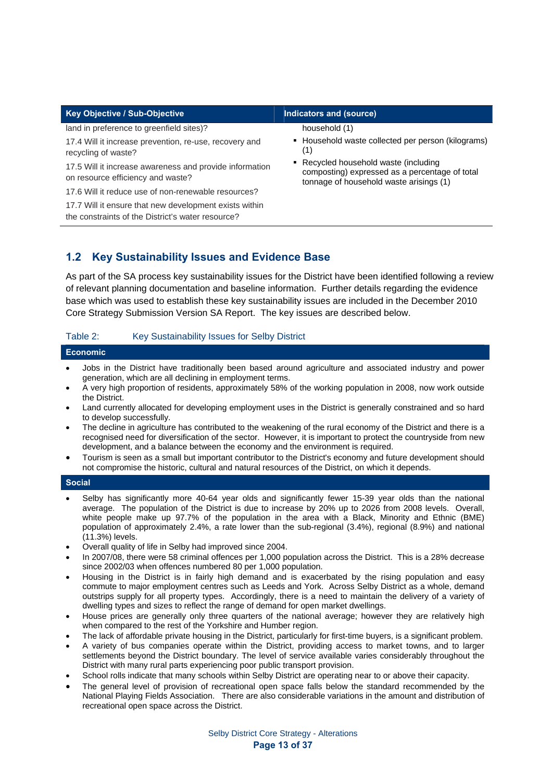| Key Objective / Sub-Objective                                                                               | Indicators and (source)                                                                                                            |
|-------------------------------------------------------------------------------------------------------------|------------------------------------------------------------------------------------------------------------------------------------|
| land in preference to greenfield sites)?                                                                    | household (1)                                                                                                                      |
| 17.4 Will it increase prevention, re-use, recovery and<br>recycling of waste?                               | • Household waste collected per person (kilograms)<br>(1)                                                                          |
| 17.5 Will it increase awareness and provide information<br>on resource efficiency and waste?                | • Recycled household waste (including<br>composting) expressed as a percentage of total<br>tonnage of household waste arisings (1) |
| 17.6 Will it reduce use of non-renewable resources?                                                         |                                                                                                                                    |
| 17.7 Will it ensure that new development exists within<br>the constraints of the District's water resource? |                                                                                                                                    |

### **1.2 Key Sustainability Issues and Evidence Base**

As part of the SA process key sustainability issues for the District have been identified following a review of relevant planning documentation and baseline information. Further details regarding the evidence base which was used to establish these key sustainability issues are included in the December 2010 Core Strategy Submission Version SA Report. The key issues are described below.

#### Table 2: Key Sustainability Issues for Selby District

| Economic |  |
|----------|--|
|          |  |

- Jobs in the District have traditionally been based around agriculture and associated industry and power generation, which are all declining in employment terms.
- A very high proportion of residents, approximately 58% of the working population in 2008, now work outside the District.
- Land currently allocated for developing employment uses in the District is generally constrained and so hard to develop successfully.
- The decline in agriculture has contributed to the weakening of the rural economy of the District and there is a recognised need for diversification of the sector. However, it is important to protect the countryside from new development, and a balance between the economy and the environment is required.
- Tourism is seen as a small but important contributor to the District's economy and future development should not compromise the historic, cultural and natural resources of the District, on which it depends.

#### **Social**

- Selby has significantly more 40-64 year olds and significantly fewer 15-39 year olds than the national average. The population of the District is due to increase by 20% up to 2026 from 2008 levels. Overall, white people make up 97.7% of the population in the area with a Black, Minority and Ethnic (BME) population of approximately 2.4%, a rate lower than the sub-regional (3.4%), regional (8.9%) and national (11.3%) levels.
- Overall quality of life in Selby had improved since 2004.
- In 2007/08, there were 58 criminal offences per 1,000 population across the District. This is a 28% decrease since 2002/03 when offences numbered 80 per 1,000 population.
- Housing in the District is in fairly high demand and is exacerbated by the rising population and easy commute to major employment centres such as Leeds and York. Across Selby District as a whole, demand outstrips supply for all property types. Accordingly, there is a need to maintain the delivery of a variety of dwelling types and sizes to reflect the range of demand for open market dwellings.
- House prices are generally only three quarters of the national average; however they are relatively high when compared to the rest of the Yorkshire and Humber region.
- The lack of affordable private housing in the District, particularly for first-time buyers, is a significant problem.
- A variety of bus companies operate within the District, providing access to market towns, and to larger settlements beyond the District boundary. The level of service available varies considerably throughout the District with many rural parts experiencing poor public transport provision.
- School rolls indicate that many schools within Selby District are operating near to or above their capacity.
- The general level of provision of recreational open space falls below the standard recommended by the National Playing Fields Association. There are also considerable variations in the amount and distribution of recreational open space across the District.

Selby District Core Strategy - Alterations **Page 13 of 37**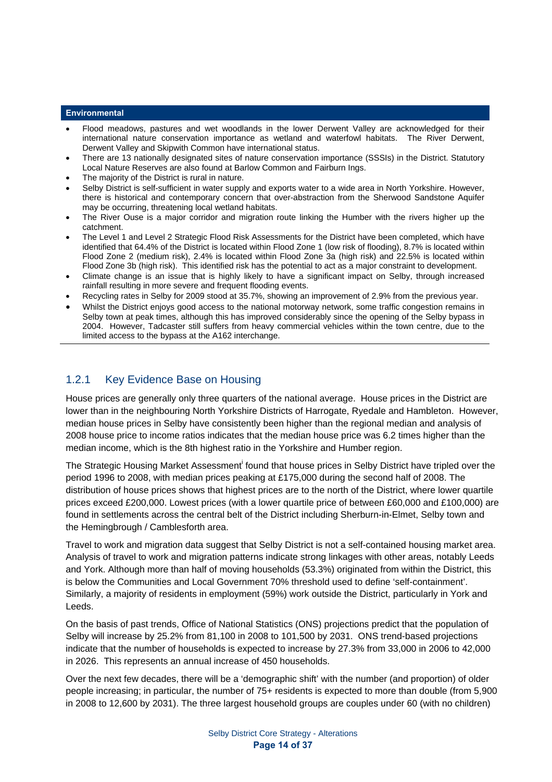#### **Environmental**

- Flood meadows, pastures and wet woodlands in the lower Derwent Valley are acknowledged for their international nature conservation importance as wetland and waterfowl habitats. The River Derwent, Derwent Valley and Skipwith Common have international status.
- There are 13 nationally designated sites of nature conservation importance (SSSIs) in the District. Statutory Local Nature Reserves are also found at Barlow Common and Fairburn Ings.
- The majority of the District is rural in nature.
- Selby District is self-sufficient in water supply and exports water to a wide area in North Yorkshire. However, there is historical and contemporary concern that over-abstraction from the Sherwood Sandstone Aquifer may be occurring, threatening local wetland habitats.
- The River Ouse is a major corridor and migration route linking the Humber with the rivers higher up the catchment.
- The Level 1 and Level 2 Strategic Flood Risk Assessments for the District have been completed, which have identified that 64.4% of the District is located within Flood Zone 1 (low risk of flooding), 8.7% is located within Flood Zone 2 (medium risk), 2.4% is located within Flood Zone 3a (high risk) and 22.5% is located within Flood Zone 3b (high risk). This identified risk has the potential to act as a major constraint to development.
- Climate change is an issue that is highly likely to have a significant impact on Selby, through increased rainfall resulting in more severe and frequent flooding events.
- Recycling rates in Selby for 2009 stood at 35.7%, showing an improvement of 2.9% from the previous year.
- Whilst the District enjoys good access to the national motorway network, some traffic congestion remains in Selby town at peak times, although this has improved considerably since the opening of the Selby bypass in 2004. However, Tadcaster still suffers from heavy commercial vehicles within the town centre, due to the limited access to the bypass at the A162 interchange.

### 1.2.1 Key Evidence Base on Housing

House prices are generally only three quarters of the national average. House prices in the District are lower than in the neighbouring North Yorkshire Districts of Harrogate, Ryedale and Hambleton. However, median house prices in Selby have consistently been higher than the regional median and analysis of 2008 house price to income ratios indicates that the median house price was 6.2 times higher than the median income, which is the 8th highest ratio in the Yorkshire and Humber region.

The Strategic Housing Market Assessment found that house prices in Selby District have tripled over the period 1996 to 2008, with median prices peaking at £175,000 during the second half of 2008. The distribution of house prices shows that highest prices are to the north of the District, where lower quartile prices exceed £200,000. Lowest prices (with a lower quartile price of between £60,000 and £100,000) are found in settlements across the central belt of the District including Sherburn-in-Elmet, Selby town and the Hemingbrough / Camblesforth area.

Travel to work and migration data suggest that Selby District is not a self-contained housing market area. Analysis of travel to work and migration patterns indicate strong linkages with other areas, notably Leeds and York. Although more than half of moving households (53.3%) originated from within the District, this is below the Communities and Local Government 70% threshold used to define 'self-containment'. Similarly, a majority of residents in employment (59%) work outside the District, particularly in York and Leeds.

On the basis of past trends, Office of National Statistics (ONS) projections predict that the population of Selby will increase by 25.2% from 81,100 in 2008 to 101,500 by 2031. ONS trend-based projections indicate that the number of households is expected to increase by 27.3% from 33,000 in 2006 to 42,000 in 2026. This represents an annual increase of 450 households.

Over the next few decades, there will be a 'demographic shift' with the number (and proportion) of older people increasing; in particular, the number of 75+ residents is expected to more than double (from 5,900 in 2008 to 12,600 by 2031). The three largest household groups are couples under 60 (with no children)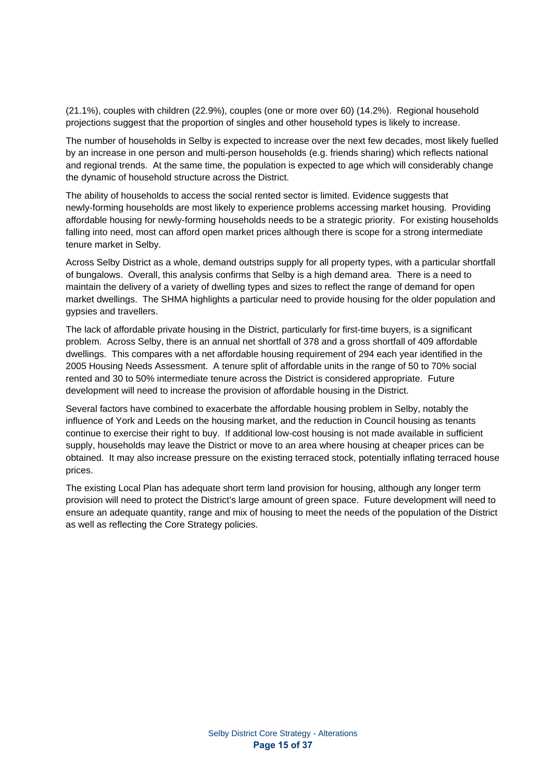(21.1%), couples with children (22.9%), couples (one or more over 60) (14.2%). Regional household projections suggest that the proportion of singles and other household types is likely to increase.

The number of households in Selby is expected to increase over the next few decades, most likely fuelled by an increase in one person and multi-person households (e.g. friends sharing) which reflects national and regional trends. At the same time, the population is expected to age which will considerably change the dynamic of household structure across the District.

The ability of households to access the social rented sector is limited. Evidence suggests that newly-forming households are most likely to experience problems accessing market housing. Providing affordable housing for newly-forming households needs to be a strategic priority. For existing households falling into need, most can afford open market prices although there is scope for a strong intermediate tenure market in Selby.

Across Selby District as a whole, demand outstrips supply for all property types, with a particular shortfall of bungalows. Overall, this analysis confirms that Selby is a high demand area. There is a need to maintain the delivery of a variety of dwelling types and sizes to reflect the range of demand for open market dwellings. The SHMA highlights a particular need to provide housing for the older population and gypsies and travellers.

The lack of affordable private housing in the District, particularly for first-time buyers, is a significant problem. Across Selby, there is an annual net shortfall of 378 and a gross shortfall of 409 affordable dwellings. This compares with a net affordable housing requirement of 294 each year identified in the 2005 Housing Needs Assessment. A tenure split of affordable units in the range of 50 to 70% social rented and 30 to 50% intermediate tenure across the District is considered appropriate. Future development will need to increase the provision of affordable housing in the District.

Several factors have combined to exacerbate the affordable housing problem in Selby, notably the influence of York and Leeds on the housing market, and the reduction in Council housing as tenants continue to exercise their right to buy. If additional low-cost housing is not made available in sufficient supply, households may leave the District or move to an area where housing at cheaper prices can be obtained. It may also increase pressure on the existing terraced stock, potentially inflating terraced house prices.

The existing Local Plan has adequate short term land provision for housing, although any longer term provision will need to protect the District's large amount of green space. Future development will need to ensure an adequate quantity, range and mix of housing to meet the needs of the population of the District as well as reflecting the Core Strategy policies.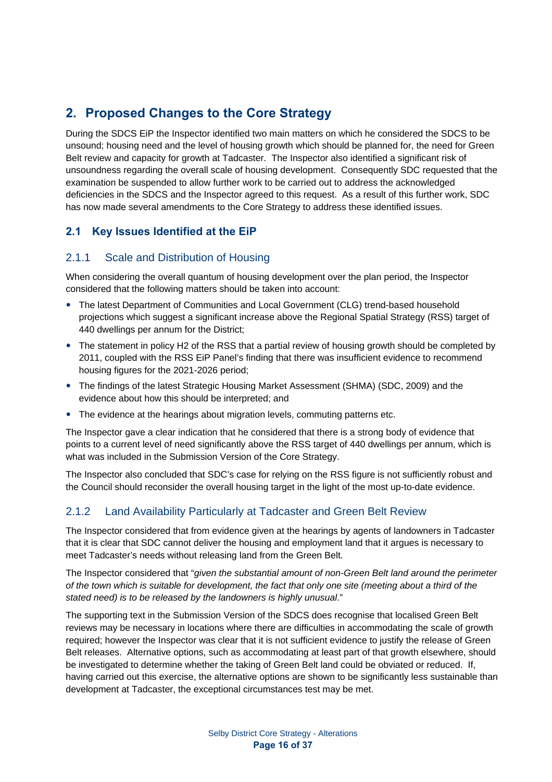# **2. Proposed Changes to the Core Strategy**

During the SDCS EiP the Inspector identified two main matters on which he considered the SDCS to be unsound; housing need and the level of housing growth which should be planned for, the need for Green Belt review and capacity for growth at Tadcaster. The Inspector also identified a significant risk of unsoundness regarding the overall scale of housing development. Consequently SDC requested that the examination be suspended to allow further work to be carried out to address the acknowledged deficiencies in the SDCS and the Inspector agreed to this request. As a result of this further work, SDC has now made several amendments to the Core Strategy to address these identified issues.

## **2.1 Key Issues Identified at the EiP**

### 2.1.1 Scale and Distribution of Housing

When considering the overall quantum of housing development over the plan period, the Inspector considered that the following matters should be taken into account:

- The latest Department of Communities and Local Government (CLG) trend-based household projections which suggest a significant increase above the Regional Spatial Strategy (RSS) target of 440 dwellings per annum for the District;
- The statement in policy H2 of the RSS that a partial review of housing growth should be completed by 2011, coupled with the RSS EiP Panel's finding that there was insufficient evidence to recommend housing figures for the 2021-2026 period;
- The findings of the latest Strategic Housing Market Assessment (SHMA) (SDC, 2009) and the evidence about how this should be interpreted; and
- The evidence at the hearings about migration levels, commuting patterns etc.

The Inspector gave a clear indication that he considered that there is a strong body of evidence that points to a current level of need significantly above the RSS target of 440 dwellings per annum, which is what was included in the Submission Version of the Core Strategy.

The Inspector also concluded that SDC's case for relying on the RSS figure is not sufficiently robust and the Council should reconsider the overall housing target in the light of the most up-to-date evidence.

### 2.1.2 Land Availability Particularly at Tadcaster and Green Belt Review

The Inspector considered that from evidence given at the hearings by agents of landowners in Tadcaster that it is clear that SDC cannot deliver the housing and employment land that it argues is necessary to meet Tadcaster's needs without releasing land from the Green Belt.

The Inspector considered that "*given the substantial amount of non-Green Belt land around the perimeter of the town which is suitable for development, the fact that only one site (meeting about a third of the stated need) is to be released by the landowners is highly unusual*."

The supporting text in the Submission Version of the SDCS does recognise that localised Green Belt reviews may be necessary in locations where there are difficulties in accommodating the scale of growth required; however the Inspector was clear that it is not sufficient evidence to justify the release of Green Belt releases. Alternative options, such as accommodating at least part of that growth elsewhere, should be investigated to determine whether the taking of Green Belt land could be obviated or reduced. If, having carried out this exercise, the alternative options are shown to be significantly less sustainable than development at Tadcaster, the exceptional circumstances test may be met.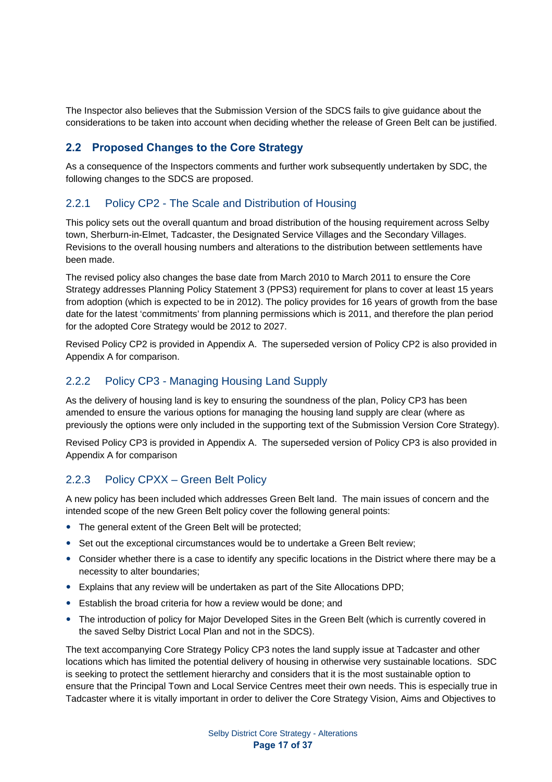The Inspector also believes that the Submission Version of the SDCS fails to give guidance about the considerations to be taken into account when deciding whether the release of Green Belt can be justified.

### **2.2 Proposed Changes to the Core Strategy**

As a consequence of the Inspectors comments and further work subsequently undertaken by SDC, the following changes to the SDCS are proposed.

### 2.2.1 Policy CP2 - The Scale and Distribution of Housing

This policy sets out the overall quantum and broad distribution of the housing requirement across Selby town, Sherburn-in-Elmet, Tadcaster, the Designated Service Villages and the Secondary Villages. Revisions to the overall housing numbers and alterations to the distribution between settlements have been made.

The revised policy also changes the base date from March 2010 to March 2011 to ensure the Core Strategy addresses Planning Policy Statement 3 (PPS3) requirement for plans to cover at least 15 years from adoption (which is expected to be in 2012). The policy provides for 16 years of growth from the base date for the latest 'commitments' from planning permissions which is 2011, and therefore the plan period for the adopted Core Strategy would be 2012 to 2027.

Revised Policy CP2 is provided in Appendix A. The superseded version of Policy CP2 is also provided in Appendix A for comparison.

### 2.2.2 Policy CP3 - Managing Housing Land Supply

As the delivery of housing land is key to ensuring the soundness of the plan, Policy CP3 has been amended to ensure the various options for managing the housing land supply are clear (where as previously the options were only included in the supporting text of the Submission Version Core Strategy).

Revised Policy CP3 is provided in Appendix A. The superseded version of Policy CP3 is also provided in Appendix A for comparison

### 2.2.3 Policy CPXX – Green Belt Policy

A new policy has been included which addresses Green Belt land. The main issues of concern and the intended scope of the new Green Belt policy cover the following general points:

- The general extent of the Green Belt will be protected;
- Set out the exceptional circumstances would be to undertake a Green Belt review;
- Consider whether there is a case to identify any specific locations in the District where there may be a necessity to alter boundaries;
- Explains that any review will be undertaken as part of the Site Allocations DPD;
- Establish the broad criteria for how a review would be done; and
- The introduction of policy for Major Developed Sites in the Green Belt (which is currently covered in the saved Selby District Local Plan and not in the SDCS).

The text accompanying Core Strategy Policy CP3 notes the land supply issue at Tadcaster and other locations which has limited the potential delivery of housing in otherwise very sustainable locations. SDC is seeking to protect the settlement hierarchy and considers that it is the most sustainable option to ensure that the Principal Town and Local Service Centres meet their own needs. This is especially true in Tadcaster where it is vitally important in order to deliver the Core Strategy Vision, Aims and Objectives to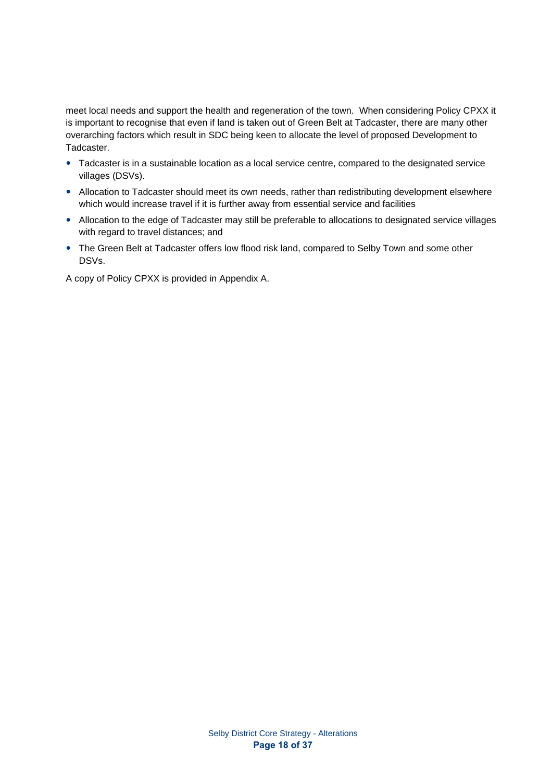meet local needs and support the health and regeneration of the town. When considering Policy CPXX it is important to recognise that even if land is taken out of Green Belt at Tadcaster, there are many other overarching factors which result in SDC being keen to allocate the level of proposed Development to Tadcaster.

- Tadcaster is in a sustainable location as a local service centre, compared to the designated service villages (DSVs).
- Allocation to Tadcaster should meet its own needs, rather than redistributing development elsewhere which would increase travel if it is further away from essential service and facilities
- Allocation to the edge of Tadcaster may still be preferable to allocations to designated service villages with regard to travel distances; and
- The Green Belt at Tadcaster offers low flood risk land, compared to Selby Town and some other DSVs.

A copy of Policy CPXX is provided in Appendix A.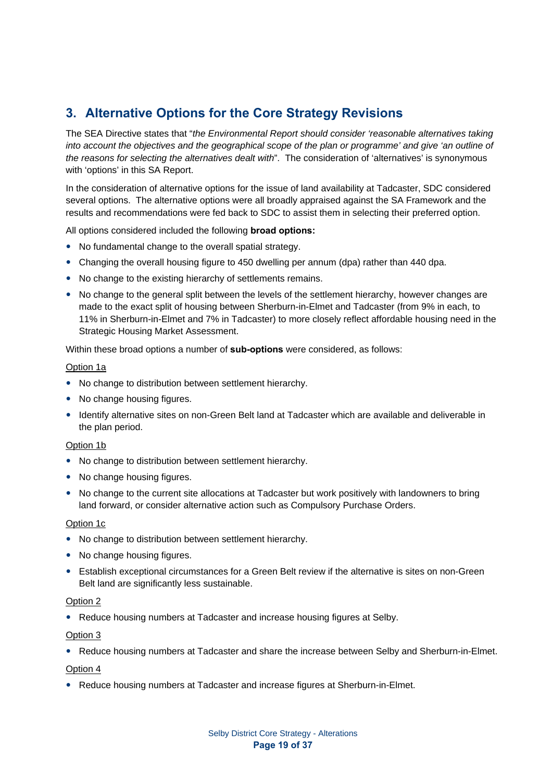# **3. Alternative Options for the Core Strategy Revisions**

The SEA Directive states that "*the Environmental Report should consider 'reasonable alternatives taking into account the objectives and the geographical scope of the plan or programme' and give 'an outline of the reasons for selecting the alternatives dealt with*". The consideration of 'alternatives' is synonymous with 'options' in this SA Report.

In the consideration of alternative options for the issue of land availability at Tadcaster, SDC considered several options. The alternative options were all broadly appraised against the SA Framework and the results and recommendations were fed back to SDC to assist them in selecting their preferred option.

All options considered included the following **broad options:** 

- No fundamental change to the overall spatial strategy.
- Changing the overall housing figure to 450 dwelling per annum (dpa) rather than 440 dpa.
- No change to the existing hierarchy of settlements remains.
- No change to the general split between the levels of the settlement hierarchy, however changes are made to the exact split of housing between Sherburn-in-Elmet and Tadcaster (from 9% in each, to 11% in Sherburn-in-Elmet and 7% in Tadcaster) to more closely reflect affordable housing need in the Strategic Housing Market Assessment.

Within these broad options a number of **sub-options** were considered, as follows:

#### Option 1a

- No change to distribution between settlement hierarchy.
- No change housing figures.
- Identify alternative sites on non-Green Belt land at Tadcaster which are available and deliverable in the plan period.

#### Option 1b

- No change to distribution between settlement hierarchy.
- No change housing figures.
- No change to the current site allocations at Tadcaster but work positively with landowners to bring land forward, or consider alternative action such as Compulsory Purchase Orders.

#### Option 1c

- No change to distribution between settlement hierarchy.
- No change housing figures.
- Establish exceptional circumstances for a Green Belt review if the alternative is sites on non-Green Belt land are significantly less sustainable.

#### Option 2

• Reduce housing numbers at Tadcaster and increase housing figures at Selby.

#### Option 3

• Reduce housing numbers at Tadcaster and share the increase between Selby and Sherburn-in-Elmet.

#### Option 4

• Reduce housing numbers at Tadcaster and increase figures at Sherburn-in-Elmet.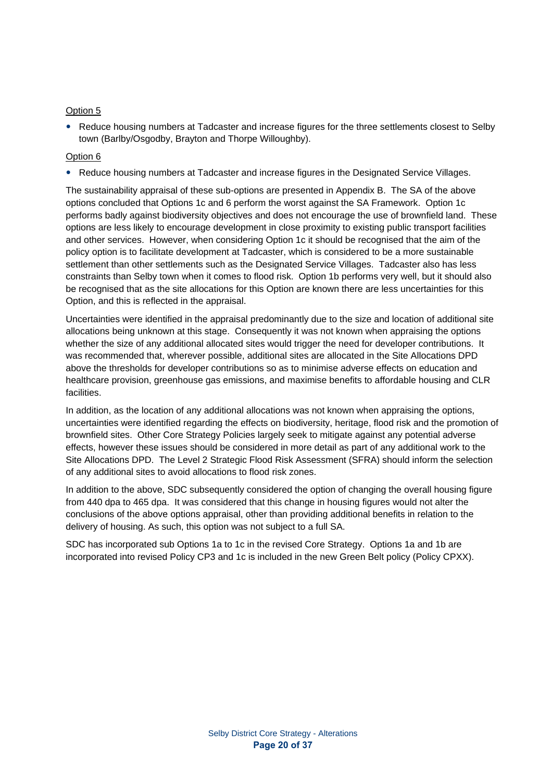#### Option 5

• Reduce housing numbers at Tadcaster and increase figures for the three settlements closest to Selby town (Barlby/Osgodby, Brayton and Thorpe Willoughby).

#### Option 6

• Reduce housing numbers at Tadcaster and increase figures in the Designated Service Villages.

The sustainability appraisal of these sub-options are presented in Appendix B. The SA of the above options concluded that Options 1c and 6 perform the worst against the SA Framework. Option 1c performs badly against biodiversity objectives and does not encourage the use of brownfield land. These options are less likely to encourage development in close proximity to existing public transport facilities and other services. However, when considering Option 1c it should be recognised that the aim of the policy option is to facilitate development at Tadcaster, which is considered to be a more sustainable settlement than other settlements such as the Designated Service Villages. Tadcaster also has less constraints than Selby town when it comes to flood risk. Option 1b performs very well, but it should also be recognised that as the site allocations for this Option are known there are less uncertainties for this Option, and this is reflected in the appraisal.

Uncertainties were identified in the appraisal predominantly due to the size and location of additional site allocations being unknown at this stage. Consequently it was not known when appraising the options whether the size of any additional allocated sites would trigger the need for developer contributions. It was recommended that, wherever possible, additional sites are allocated in the Site Allocations DPD above the thresholds for developer contributions so as to minimise adverse effects on education and healthcare provision, greenhouse gas emissions, and maximise benefits to affordable housing and CLR facilities.

In addition, as the location of any additional allocations was not known when appraising the options, uncertainties were identified regarding the effects on biodiversity, heritage, flood risk and the promotion of brownfield sites. Other Core Strategy Policies largely seek to mitigate against any potential adverse effects, however these issues should be considered in more detail as part of any additional work to the Site Allocations DPD. The Level 2 Strategic Flood Risk Assessment (SFRA) should inform the selection of any additional sites to avoid allocations to flood risk zones.

In addition to the above, SDC subsequently considered the option of changing the overall housing figure from 440 dpa to 465 dpa. It was considered that this change in housing figures would not alter the conclusions of the above options appraisal, other than providing additional benefits in relation to the delivery of housing. As such, this option was not subject to a full SA.

SDC has incorporated sub Options 1a to 1c in the revised Core Strategy. Options 1a and 1b are incorporated into revised Policy CP3 and 1c is included in the new Green Belt policy (Policy CPXX).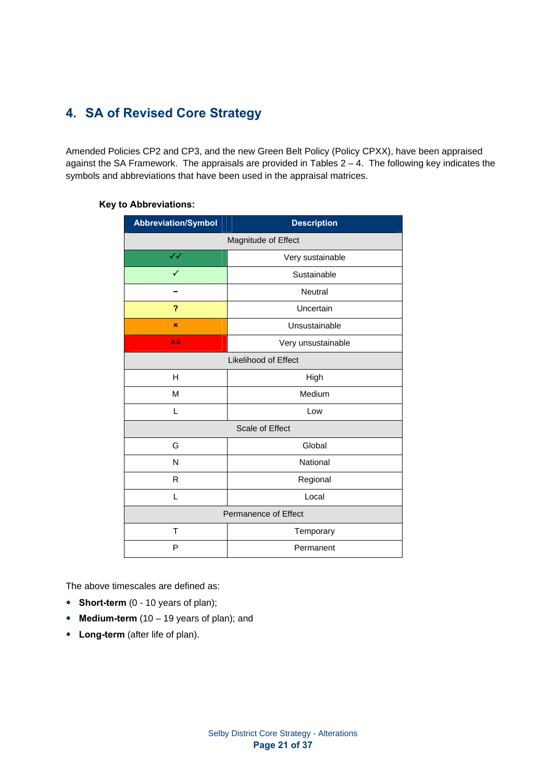# **4. SA of Revised Core Strategy**

Amended Policies CP2 and CP3, and the new Green Belt Policy (Policy CPXX), have been appraised against the SA Framework. The appraisals are provided in Tables 2 – 4. The following key indicates the symbols and abbreviations that have been used in the appraisal matrices.

|  | <b>Key to Abbreviations:</b> |  |
|--|------------------------------|--|
|--|------------------------------|--|

| <b>Abbreviation/Symbol</b> | <b>Description</b>     |  |  |  |  |  |  |
|----------------------------|------------------------|--|--|--|--|--|--|
|                            | Magnitude of Effect    |  |  |  |  |  |  |
| $\checkmark$               | Very sustainable       |  |  |  |  |  |  |
| ✓                          | Sustainable            |  |  |  |  |  |  |
|                            | <b>Neutral</b>         |  |  |  |  |  |  |
| ?                          | Uncertain              |  |  |  |  |  |  |
| ×                          | Unsustainable          |  |  |  |  |  |  |
| xx                         | Very unsustainable     |  |  |  |  |  |  |
| Likelihood of Effect       |                        |  |  |  |  |  |  |
| H                          | High                   |  |  |  |  |  |  |
| M                          | Medium                 |  |  |  |  |  |  |
| L                          | Low                    |  |  |  |  |  |  |
|                            | <b>Scale of Effect</b> |  |  |  |  |  |  |
| G                          | Global                 |  |  |  |  |  |  |
| N                          | National               |  |  |  |  |  |  |
| R                          | Regional               |  |  |  |  |  |  |
| L                          | Local                  |  |  |  |  |  |  |
|                            | Permanence of Effect   |  |  |  |  |  |  |
| T                          | Temporary              |  |  |  |  |  |  |
| P                          | Permanent              |  |  |  |  |  |  |

The above timescales are defined as:

- **Short-term** (0 10 years of plan);
- **Medium-term** (10 19 years of plan); and
- Long-term (after life of plan).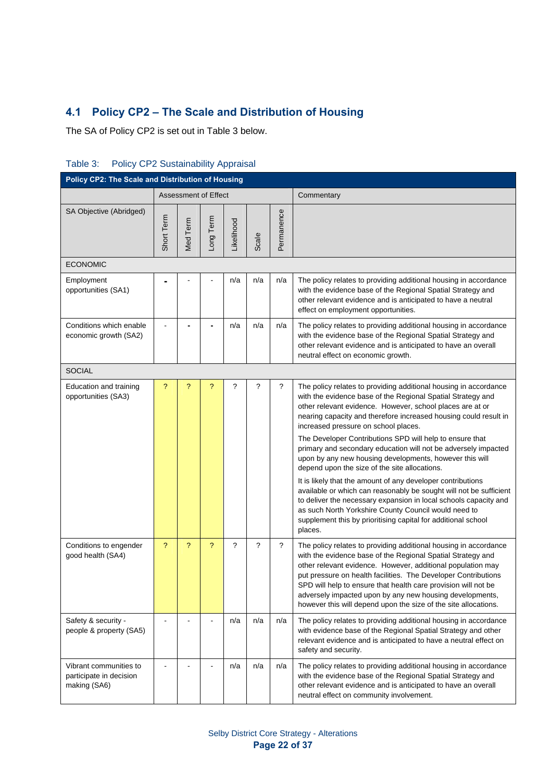# **4.1 Policy CP2 – The Scale and Distribution of Housing**

The SA of Policy CP2 is set out in Table 3 below.

| Policy CP2: The Scale and Distribution of Housing                 |                |                      |                |            |             |             |                                                                                                                                                                                                                                                                                                                                                                                                                                                                                                                                                                                                                                                                                                                                                                                                                                                                                      |  |  |  |
|-------------------------------------------------------------------|----------------|----------------------|----------------|------------|-------------|-------------|--------------------------------------------------------------------------------------------------------------------------------------------------------------------------------------------------------------------------------------------------------------------------------------------------------------------------------------------------------------------------------------------------------------------------------------------------------------------------------------------------------------------------------------------------------------------------------------------------------------------------------------------------------------------------------------------------------------------------------------------------------------------------------------------------------------------------------------------------------------------------------------|--|--|--|
|                                                                   |                | Assessment of Effect |                |            |             |             | Commentary                                                                                                                                                                                                                                                                                                                                                                                                                                                                                                                                                                                                                                                                                                                                                                                                                                                                           |  |  |  |
| SA Objective (Abridged)                                           | Short Term     | Med Term             | Long Term      | Likelihood | Scale       | Permanence  |                                                                                                                                                                                                                                                                                                                                                                                                                                                                                                                                                                                                                                                                                                                                                                                                                                                                                      |  |  |  |
| <b>ECONOMIC</b>                                                   |                |                      |                |            |             |             |                                                                                                                                                                                                                                                                                                                                                                                                                                                                                                                                                                                                                                                                                                                                                                                                                                                                                      |  |  |  |
| Employment<br>opportunities (SA1)                                 |                |                      |                | n/a        | n/a         | n/a         | The policy relates to providing additional housing in accordance<br>with the evidence base of the Regional Spatial Strategy and<br>other relevant evidence and is anticipated to have a neutral<br>effect on employment opportunities.                                                                                                                                                                                                                                                                                                                                                                                                                                                                                                                                                                                                                                               |  |  |  |
| Conditions which enable<br>economic growth (SA2)                  |                |                      |                | n/a        | n/a         | n/a         | The policy relates to providing additional housing in accordance<br>with the evidence base of the Regional Spatial Strategy and<br>other relevant evidence and is anticipated to have an overall<br>neutral effect on economic growth.                                                                                                                                                                                                                                                                                                                                                                                                                                                                                                                                                                                                                                               |  |  |  |
| <b>SOCIAL</b>                                                     |                |                      |                |            |             |             |                                                                                                                                                                                                                                                                                                                                                                                                                                                                                                                                                                                                                                                                                                                                                                                                                                                                                      |  |  |  |
| Education and training<br>opportunities (SA3)                     | ?              | ?                    | ?              | ?          | ?           | ?           | The policy relates to providing additional housing in accordance<br>with the evidence base of the Regional Spatial Strategy and<br>other relevant evidence. However, school places are at or<br>nearing capacity and therefore increased housing could result in<br>increased pressure on school places.<br>The Developer Contributions SPD will help to ensure that<br>primary and secondary education will not be adversely impacted<br>upon by any new housing developments, however this will<br>depend upon the size of the site allocations.<br>It is likely that the amount of any developer contributions<br>available or which can reasonably be sought will not be sufficient<br>to deliver the necessary expansion in local schools capacity and<br>as such North Yorkshire County Council would need to<br>supplement this by prioritising capital for additional school |  |  |  |
| Conditions to engender<br>good health (SA4)                       | $\overline{?}$ | $\overline{?}$       | $\overline{?}$ | $\gamma$   | $\tilde{?}$ | $\tilde{?}$ | places.<br>The policy relates to providing additional housing in accordance<br>with the evidence base of the Regional Spatial Strategy and<br>other relevant evidence. However, additional population may<br>put pressure on health facilities. The Developer Contributions<br>SPD will help to ensure that health care provision will not be<br>adversely impacted upon by any new housing developments,<br>however this will depend upon the size of the site allocations.                                                                                                                                                                                                                                                                                                                                                                                                         |  |  |  |
| Safety & security -<br>people & property (SA5)                    | $\blacksquare$ |                      |                | n/a        | n/a         | n/a         | The policy relates to providing additional housing in accordance<br>with evidence base of the Regional Spatial Strategy and other<br>relevant evidence and is anticipated to have a neutral effect on<br>safety and security.                                                                                                                                                                                                                                                                                                                                                                                                                                                                                                                                                                                                                                                        |  |  |  |
| Vibrant communities to<br>participate in decision<br>making (SA6) |                |                      |                | n/a        | n/a         | n/a         | The policy relates to providing additional housing in accordance<br>with the evidence base of the Regional Spatial Strategy and<br>other relevant evidence and is anticipated to have an overall<br>neutral effect on community involvement.                                                                                                                                                                                                                                                                                                                                                                                                                                                                                                                                                                                                                                         |  |  |  |

### Table 3: Policy CP2 Sustainability Appraisal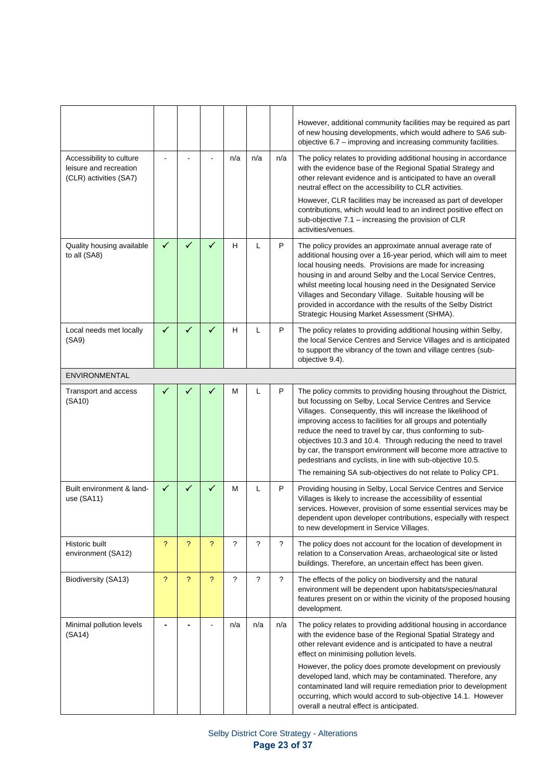|                                                                              |                          |   |                          |     |                      |            | However, additional community facilities may be required as part<br>of new housing developments, which would adhere to SA6 sub-<br>objective 6.7 - improving and increasing community facilities.                                                                                                                                                                                                                                                                                                                                                                                              |
|------------------------------------------------------------------------------|--------------------------|---|--------------------------|-----|----------------------|------------|------------------------------------------------------------------------------------------------------------------------------------------------------------------------------------------------------------------------------------------------------------------------------------------------------------------------------------------------------------------------------------------------------------------------------------------------------------------------------------------------------------------------------------------------------------------------------------------------|
| Accessibility to culture<br>leisure and recreation<br>(CLR) activities (SA7) |                          |   |                          | n/a | n/a                  | n/a        | The policy relates to providing additional housing in accordance<br>with the evidence base of the Regional Spatial Strategy and<br>other relevant evidence and is anticipated to have an overall<br>neutral effect on the accessibility to CLR activities.<br>However, CLR facilities may be increased as part of developer                                                                                                                                                                                                                                                                    |
|                                                                              |                          |   |                          |     |                      |            | contributions, which would lead to an indirect positive effect on<br>sub-objective 7.1 - increasing the provision of CLR<br>activities/venues.                                                                                                                                                                                                                                                                                                                                                                                                                                                 |
| Quality housing available<br>to all (SA8)                                    | $\checkmark$             | ✓ | ✓                        | H   | L                    | P          | The policy provides an approximate annual average rate of<br>additional housing over a 16-year period, which will aim to meet<br>local housing needs. Provisions are made for increasing<br>housing in and around Selby and the Local Service Centres,<br>whilst meeting local housing need in the Designated Service<br>Villages and Secondary Village. Suitable housing will be<br>provided in accordance with the results of the Selby District<br>Strategic Housing Market Assessment (SHMA).                                                                                              |
| Local needs met locally<br>(SA9)                                             | $\checkmark$             | ✓ | $\checkmark$             | H   | Г                    | P          | The policy relates to providing additional housing within Selby,<br>the local Service Centres and Service Villages and is anticipated<br>to support the vibrancy of the town and village centres (sub-<br>objective 9.4).                                                                                                                                                                                                                                                                                                                                                                      |
| <b>ENVIRONMENTAL</b>                                                         |                          |   |                          |     |                      |            |                                                                                                                                                                                                                                                                                                                                                                                                                                                                                                                                                                                                |
| Transport and access<br>(SA10)                                               | ✓                        |   |                          | М   | L                    | P          | The policy commits to providing housing throughout the District,<br>but focussing on Selby, Local Service Centres and Service<br>Villages. Consequently, this will increase the likelihood of<br>improving access to facilities for all groups and potentially<br>reduce the need to travel by car, thus conforming to sub-<br>objectives 10.3 and 10.4. Through reducing the need to travel<br>by car, the transport environment will become more attractive to<br>pedestrians and cyclists, in line with sub-objective 10.5.<br>The remaining SA sub-objectives do not relate to Policy CP1. |
| Built environment & land-<br>use (SA11)                                      | ✓                        | ✓ |                          | M   | L                    | P          | Providing housing in Selby, Local Service Centres and Service<br>Villages is likely to increase the accessibility of essential<br>services. However, provision of some essential services may be<br>dependent upon developer contributions, especially with respect<br>to new development in Service Villages.                                                                                                                                                                                                                                                                                 |
| Historic built<br>environment (SA12)                                         | ?                        | ? | ?                        | ?   | $\ddot{\phantom{0}}$ | $\ddot{?}$ | The policy does not account for the location of development in<br>relation to a Conservation Areas, archaeological site or listed<br>buildings. Therefore, an uncertain effect has been given.                                                                                                                                                                                                                                                                                                                                                                                                 |
| Biodiversity (SA13)                                                          | $\overline{\mathcal{E}}$ | ? | $\overline{\phantom{a}}$ | ?   | $\ddot{\phantom{0}}$ | $\gamma$   | The effects of the policy on biodiversity and the natural<br>environment will be dependent upon habitats/species/natural<br>features present on or within the vicinity of the proposed housing<br>development.                                                                                                                                                                                                                                                                                                                                                                                 |
| Minimal pollution levels<br>(SA14)                                           | ۰                        |   |                          | n/a | n/a                  | n/a        | The policy relates to providing additional housing in accordance<br>with the evidence base of the Regional Spatial Strategy and<br>other relevant evidence and is anticipated to have a neutral<br>effect on minimising pollution levels.                                                                                                                                                                                                                                                                                                                                                      |
|                                                                              |                          |   |                          |     |                      |            | However, the policy does promote development on previously<br>developed land, which may be contaminated. Therefore, any<br>contaminated land will require remediation prior to development<br>occurring, which would accord to sub-objective 14.1. However<br>overall a neutral effect is anticipated.                                                                                                                                                                                                                                                                                         |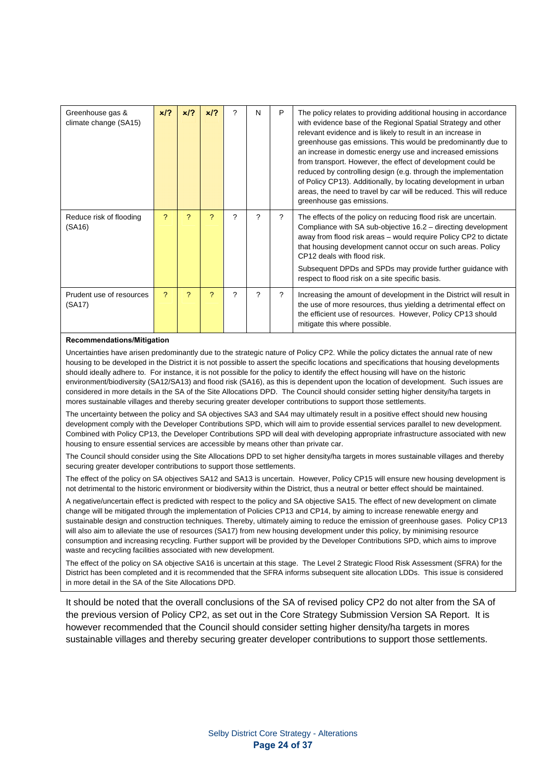| Greenhouse gas &<br>climate change (SA15) | x/?          | x/2 | x/2 | ? | N | P | The policy relates to providing additional housing in accordance<br>with evidence base of the Regional Spatial Strategy and other<br>relevant evidence and is likely to result in an increase in<br>greenhouse gas emissions. This would be predominantly due to<br>an increase in domestic energy use and increased emissions<br>from transport. However, the effect of development could be<br>reduced by controlling design (e.g. through the implementation<br>of Policy CP13). Additionally, by locating development in urban<br>areas, the need to travel by car will be reduced. This will reduce<br>greenhouse gas emissions. |
|-------------------------------------------|--------------|-----|-----|---|---|---|---------------------------------------------------------------------------------------------------------------------------------------------------------------------------------------------------------------------------------------------------------------------------------------------------------------------------------------------------------------------------------------------------------------------------------------------------------------------------------------------------------------------------------------------------------------------------------------------------------------------------------------|
| Reduce risk of flooding<br>(SA16)         | <sup>2</sup> | 2   | ?   | ? | ? | ? | The effects of the policy on reducing flood risk are uncertain.<br>Compliance with SA sub-objective 16.2 – directing development<br>away from flood risk areas - would require Policy CP2 to dictate<br>that housing development cannot occur on such areas. Policy<br>CP12 deals with flood risk.<br>Subsequent DPDs and SPDs may provide further guidance with<br>respect to flood risk on a site specific basis.                                                                                                                                                                                                                   |
| Prudent use of resources<br>(SA17)        | <sup>2</sup> | 2   | 2   | ? | ? | ? | Increasing the amount of development in the District will result in<br>the use of more resources, thus yielding a detrimental effect on<br>the efficient use of resources. However, Policy CP13 should<br>mitigate this where possible.                                                                                                                                                                                                                                                                                                                                                                                               |

#### **Recommendations/Mitigation**

Uncertainties have arisen predominantly due to the strategic nature of Policy CP2. While the policy dictates the annual rate of new housing to be developed in the District it is not possible to assert the specific locations and specifications that housing developments should ideally adhere to. For instance, it is not possible for the policy to identify the effect housing will have on the historic environment/biodiversity (SA12/SA13) and flood risk (SA16), as this is dependent upon the location of development. Such issues are considered in more details in the SA of the Site Allocations DPD. The Council should consider setting higher density/ha targets in mores sustainable villages and thereby securing greater developer contributions to support those settlements.

The uncertainty between the policy and SA objectives SA3 and SA4 may ultimately result in a positive effect should new housing development comply with the Developer Contributions SPD, which will aim to provide essential services parallel to new development. Combined with Policy CP13, the Developer Contributions SPD will deal with developing appropriate infrastructure associated with new housing to ensure essential services are accessible by means other than private car.

The Council should consider using the Site Allocations DPD to set higher density/ha targets in mores sustainable villages and thereby securing greater developer contributions to support those settlements.

The effect of the policy on SA objectives SA12 and SA13 is uncertain. However, Policy CP15 will ensure new housing development is not detrimental to the historic environment or biodiversity within the District, thus a neutral or better effect should be maintained.

A negative/uncertain effect is predicted with respect to the policy and SA objective SA15. The effect of new development on climate change will be mitigated through the implementation of Policies CP13 and CP14, by aiming to increase renewable energy and sustainable design and construction techniques. Thereby, ultimately aiming to reduce the emission of greenhouse gases. Policy CP13 will also aim to alleviate the use of resources (SA17) from new housing development under this policy, by minimising resource consumption and increasing recycling. Further support will be provided by the Developer Contributions SPD, which aims to improve waste and recycling facilities associated with new development.

The effect of the policy on SA objective SA16 is uncertain at this stage. The Level 2 Strategic Flood Risk Assessment (SFRA) for the District has been completed and it is recommended that the SFRA informs subsequent site allocation LDDs. This issue is considered in more detail in the SA of the Site Allocations DPD.

It should be noted that the overall conclusions of the SA of revised policy CP2 do not alter from the SA of the previous version of Policy CP2, as set out in the Core Strategy Submission Version SA Report. It is however recommended that the Council should consider setting higher density/ha targets in mores sustainable villages and thereby securing greater developer contributions to support those settlements.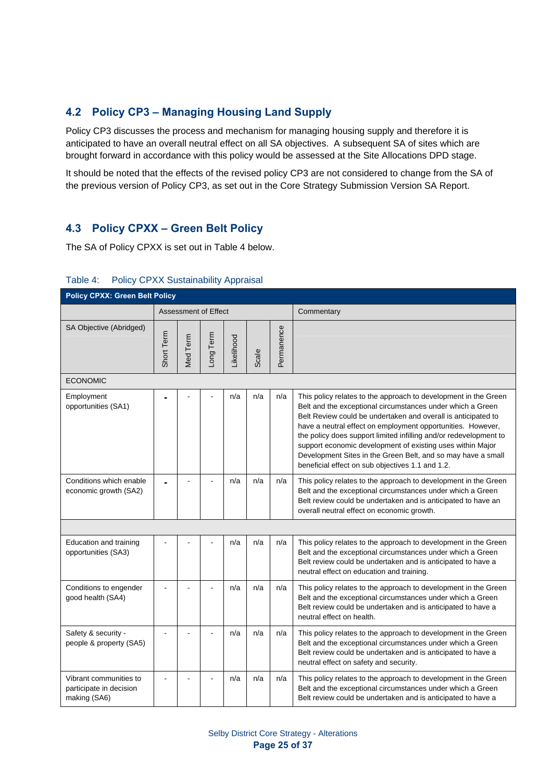### **4.2 Policy CP3 – Managing Housing Land Supply**

Policy CP3 discusses the process and mechanism for managing housing supply and therefore it is anticipated to have an overall neutral effect on all SA objectives. A subsequent SA of sites which are brought forward in accordance with this policy would be assessed at the Site Allocations DPD stage.

It should be noted that the effects of the revised policy CP3 are not considered to change from the SA of the previous version of Policy CP3, as set out in the Core Strategy Submission Version SA Report.

### **4.3 Policy CPXX – Green Belt Policy**

The SA of Policy CPXX is set out in Table 4 below.

| <b>Policy CPXX: Green Belt Policy</b>                             |            |                      |                |            |       |            |                                                                                                                                                                                                                                                                                                                                                                                                                                                                                                                      |  |  |  |
|-------------------------------------------------------------------|------------|----------------------|----------------|------------|-------|------------|----------------------------------------------------------------------------------------------------------------------------------------------------------------------------------------------------------------------------------------------------------------------------------------------------------------------------------------------------------------------------------------------------------------------------------------------------------------------------------------------------------------------|--|--|--|
|                                                                   |            | Assessment of Effect |                |            |       |            | Commentary                                                                                                                                                                                                                                                                                                                                                                                                                                                                                                           |  |  |  |
| SA Objective (Abridged)                                           | Short Term | Med Term             | Long Term      | Likelihood | Scale | Permanence |                                                                                                                                                                                                                                                                                                                                                                                                                                                                                                                      |  |  |  |
| <b>ECONOMIC</b>                                                   |            |                      |                |            |       |            |                                                                                                                                                                                                                                                                                                                                                                                                                                                                                                                      |  |  |  |
| Employment<br>opportunities (SA1)                                 |            |                      |                | n/a        | n/a   | n/a        | This policy relates to the approach to development in the Green<br>Belt and the exceptional circumstances under which a Green<br>Belt Review could be undertaken and overall is anticipated to<br>have a neutral effect on employment opportunities. However,<br>the policy does support limited infilling and/or redevelopment to<br>support economic development of existing uses within Major<br>Development Sites in the Green Belt, and so may have a small<br>beneficial effect on sub objectives 1.1 and 1.2. |  |  |  |
| Conditions which enable<br>economic growth (SA2)                  |            |                      | $\overline{a}$ | n/a        | n/a   | n/a        | This policy relates to the approach to development in the Green<br>Belt and the exceptional circumstances under which a Green<br>Belt review could be undertaken and is anticipated to have an<br>overall neutral effect on economic growth.                                                                                                                                                                                                                                                                         |  |  |  |
|                                                                   |            |                      |                |            |       |            |                                                                                                                                                                                                                                                                                                                                                                                                                                                                                                                      |  |  |  |
| Education and training<br>opportunities (SA3)                     |            |                      |                | n/a        | n/a   | n/a        | This policy relates to the approach to development in the Green<br>Belt and the exceptional circumstances under which a Green<br>Belt review could be undertaken and is anticipated to have a<br>neutral effect on education and training.                                                                                                                                                                                                                                                                           |  |  |  |
| Conditions to engender<br>good health (SA4)                       |            |                      |                | n/a        | n/a   | n/a        | This policy relates to the approach to development in the Green<br>Belt and the exceptional circumstances under which a Green<br>Belt review could be undertaken and is anticipated to have a<br>neutral effect on health.                                                                                                                                                                                                                                                                                           |  |  |  |
| Safety & security -<br>people & property (SA5)                    |            |                      |                | n/a        | n/a   | n/a        | This policy relates to the approach to development in the Green<br>Belt and the exceptional circumstances under which a Green<br>Belt review could be undertaken and is anticipated to have a<br>neutral effect on safety and security.                                                                                                                                                                                                                                                                              |  |  |  |
| Vibrant communities to<br>participate in decision<br>making (SA6) |            |                      |                | n/a        | n/a   | n/a        | This policy relates to the approach to development in the Green<br>Belt and the exceptional circumstances under which a Green<br>Belt review could be undertaken and is anticipated to have a                                                                                                                                                                                                                                                                                                                        |  |  |  |

### Table 4: Policy CPXX Sustainability Appraisal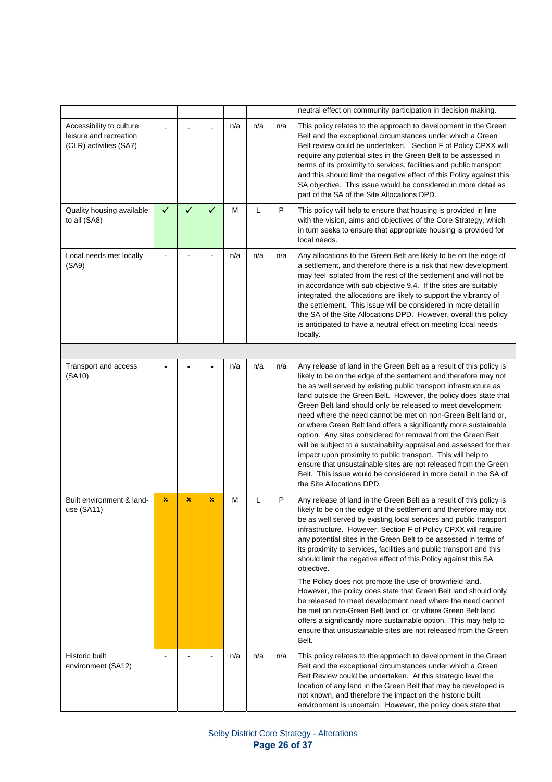|                                                                              |   |   |   |     |     |     | neutral effect on community participation in decision making.                                                                                                                                                                                                                                                                                                                                                                                                                                                                                                                                                                                                                                                                                                                                                                                                                                                        |
|------------------------------------------------------------------------------|---|---|---|-----|-----|-----|----------------------------------------------------------------------------------------------------------------------------------------------------------------------------------------------------------------------------------------------------------------------------------------------------------------------------------------------------------------------------------------------------------------------------------------------------------------------------------------------------------------------------------------------------------------------------------------------------------------------------------------------------------------------------------------------------------------------------------------------------------------------------------------------------------------------------------------------------------------------------------------------------------------------|
| Accessibility to culture<br>leisure and recreation<br>(CLR) activities (SA7) |   |   |   | n/a | n/a | n/a | This policy relates to the approach to development in the Green<br>Belt and the exceptional circumstances under which a Green<br>Belt review could be undertaken. Section F of Policy CPXX will<br>require any potential sites in the Green Belt to be assessed in<br>terms of its proximity to services, facilities and public transport<br>and this should limit the negative effect of this Policy against this<br>SA objective. This issue would be considered in more detail as<br>part of the SA of the Site Allocations DPD.                                                                                                                                                                                                                                                                                                                                                                                  |
| Quality housing available<br>to all (SA8)                                    | ✓ | ✓ | ✓ | M   | L   | P   | This policy will help to ensure that housing is provided in line<br>with the vision, aims and objectives of the Core Strategy, which<br>in turn seeks to ensure that appropriate housing is provided for<br>local needs.                                                                                                                                                                                                                                                                                                                                                                                                                                                                                                                                                                                                                                                                                             |
| Local needs met locally<br>(SA9)                                             |   |   |   | n/a | n/a | n/a | Any allocations to the Green Belt are likely to be on the edge of<br>a settlement, and therefore there is a risk that new development<br>may feel isolated from the rest of the settlement and will not be<br>in accordance with sub objective 9.4. If the sites are suitably<br>integrated, the allocations are likely to support the vibrancy of<br>the settlement. This issue will be considered in more detail in<br>the SA of the Site Allocations DPD. However, overall this policy<br>is anticipated to have a neutral effect on meeting local needs<br>locally.                                                                                                                                                                                                                                                                                                                                              |
|                                                                              |   |   |   |     |     |     |                                                                                                                                                                                                                                                                                                                                                                                                                                                                                                                                                                                                                                                                                                                                                                                                                                                                                                                      |
| Transport and access<br>(SA10)                                               |   |   |   | n/a | n/a | n/a | Any release of land in the Green Belt as a result of this policy is<br>likely to be on the edge of the settlement and therefore may not<br>be as well served by existing public transport infrastructure as<br>land outside the Green Belt. However, the policy does state that<br>Green Belt land should only be released to meet development<br>need where the need cannot be met on non-Green Belt land or,<br>or where Green Belt land offers a significantly more sustainable<br>option. Any sites considered for removal from the Green Belt<br>will be subject to a sustainability appraisal and assessed for their<br>impact upon proximity to public transport. This will help to<br>ensure that unsustainable sites are not released from the Green<br>Belt. This issue would be considered in more detail in the SA of<br>the Site Allocations DPD.                                                       |
| Built environment & land-<br>use (SA11)                                      | × | × | × | М   | L   | P   | Any release of land in the Green Belt as a result of this policy is<br>likely to be on the edge of the settlement and therefore may not<br>be as well served by existing local services and public transport<br>infrastructure. However, Section F of Policy CPXX will require<br>any potential sites in the Green Belt to be assessed in terms of<br>its proximity to services, facilities and public transport and this<br>should limit the negative effect of this Policy against this SA<br>objective.<br>The Policy does not promote the use of brownfield land.<br>However, the policy does state that Green Belt land should only<br>be released to meet development need where the need cannot<br>be met on non-Green Belt land or, or where Green Belt land<br>offers a significantly more sustainable option. This may help to<br>ensure that unsustainable sites are not released from the Green<br>Belt. |
| Historic built<br>environment (SA12)                                         |   |   |   | n/a | n/a | n/a | This policy relates to the approach to development in the Green<br>Belt and the exceptional circumstances under which a Green<br>Belt Review could be undertaken. At this strategic level the<br>location of any land in the Green Belt that may be developed is<br>not known, and therefore the impact on the historic built<br>environment is uncertain. However, the policy does state that                                                                                                                                                                                                                                                                                                                                                                                                                                                                                                                       |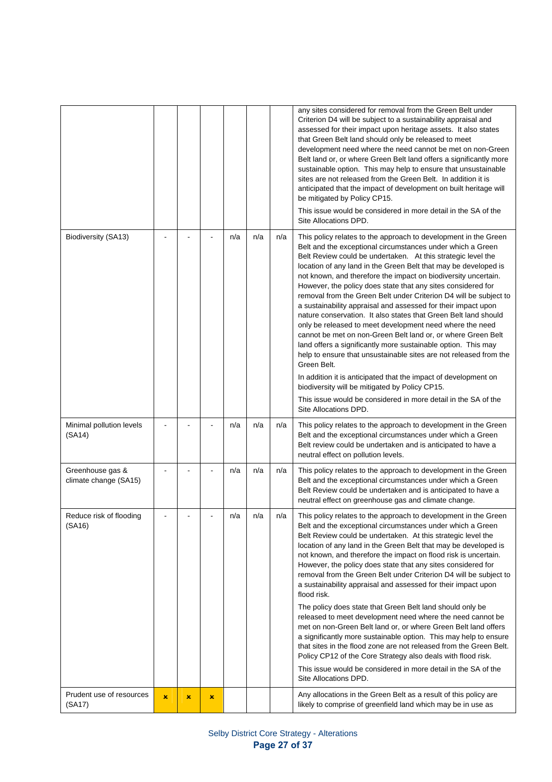|                                           |                |                |   |     |     |     | any sites considered for removal from the Green Belt under<br>Criterion D4 will be subject to a sustainability appraisal and<br>assessed for their impact upon heritage assets. It also states<br>that Green Belt land should only be released to meet<br>development need where the need cannot be met on non-Green<br>Belt land or, or where Green Belt land offers a significantly more<br>sustainable option. This may help to ensure that unsustainable<br>sites are not released from the Green Belt. In addition it is<br>anticipated that the impact of development on built heritage will<br>be mitigated by Policy CP15.<br>This issue would be considered in more detail in the SA of the<br>Site Allocations DPD.                                                                                                                                                                                                                                                                                                                                                       |
|-------------------------------------------|----------------|----------------|---|-----|-----|-----|-------------------------------------------------------------------------------------------------------------------------------------------------------------------------------------------------------------------------------------------------------------------------------------------------------------------------------------------------------------------------------------------------------------------------------------------------------------------------------------------------------------------------------------------------------------------------------------------------------------------------------------------------------------------------------------------------------------------------------------------------------------------------------------------------------------------------------------------------------------------------------------------------------------------------------------------------------------------------------------------------------------------------------------------------------------------------------------|
| Biodiversity (SA13)                       |                |                |   | n/a | n/a | n/a | This policy relates to the approach to development in the Green<br>Belt and the exceptional circumstances under which a Green<br>Belt Review could be undertaken. At this strategic level the<br>location of any land in the Green Belt that may be developed is<br>not known, and therefore the impact on biodiversity uncertain.<br>However, the policy does state that any sites considered for<br>removal from the Green Belt under Criterion D4 will be subject to<br>a sustainability appraisal and assessed for their impact upon<br>nature conservation. It also states that Green Belt land should<br>only be released to meet development need where the need<br>cannot be met on non-Green Belt land or, or where Green Belt<br>land offers a significantly more sustainable option. This may<br>help to ensure that unsustainable sites are not released from the<br>Green Belt.<br>In addition it is anticipated that the impact of development on<br>biodiversity will be mitigated by Policy CP15.<br>This issue would be considered in more detail in the SA of the |
|                                           |                |                |   |     |     |     | Site Allocations DPD.                                                                                                                                                                                                                                                                                                                                                                                                                                                                                                                                                                                                                                                                                                                                                                                                                                                                                                                                                                                                                                                               |
| Minimal pollution levels<br>(SA14)        |                |                |   | n/a | n/a | n/a | This policy relates to the approach to development in the Green<br>Belt and the exceptional circumstances under which a Green<br>Belt review could be undertaken and is anticipated to have a<br>neutral effect on pollution levels.                                                                                                                                                                                                                                                                                                                                                                                                                                                                                                                                                                                                                                                                                                                                                                                                                                                |
| Greenhouse gas &<br>climate change (SA15) |                |                |   | n/a | n/a | n/a | This policy relates to the approach to development in the Green<br>Belt and the exceptional circumstances under which a Green<br>Belt Review could be undertaken and is anticipated to have a<br>neutral effect on greenhouse gas and climate change.                                                                                                                                                                                                                                                                                                                                                                                                                                                                                                                                                                                                                                                                                                                                                                                                                               |
| Reduce risk of flooding<br>(SA16)         |                |                |   | n/a | n/a | n/a | This policy relates to the approach to development in the Green<br>Belt and the exceptional circumstances under which a Green<br>Belt Review could be undertaken. At this strategic level the<br>location of any land in the Green Belt that may be developed is<br>not known, and therefore the impact on flood risk is uncertain.<br>However, the policy does state that any sites considered for<br>removal from the Green Belt under Criterion D4 will be subject to<br>a sustainability appraisal and assessed for their impact upon<br>flood risk.<br>The policy does state that Green Belt land should only be<br>released to meet development need where the need cannot be                                                                                                                                                                                                                                                                                                                                                                                                 |
|                                           |                |                |   |     |     |     | met on non-Green Belt land or, or where Green Belt land offers<br>a significantly more sustainable option. This may help to ensure<br>that sites in the flood zone are not released from the Green Belt.<br>Policy CP12 of the Core Strategy also deals with flood risk.<br>This issue would be considered in more detail in the SA of the                                                                                                                                                                                                                                                                                                                                                                                                                                                                                                                                                                                                                                                                                                                                          |
|                                           |                |                |   |     |     |     | Site Allocations DPD.                                                                                                                                                                                                                                                                                                                                                                                                                                                                                                                                                                                                                                                                                                                                                                                                                                                                                                                                                                                                                                                               |
| Prudent use of resources<br>(SA17)        | $\pmb{\times}$ | $\pmb{\times}$ | × |     |     |     | Any allocations in the Green Belt as a result of this policy are<br>likely to comprise of greenfield land which may be in use as                                                                                                                                                                                                                                                                                                                                                                                                                                                                                                                                                                                                                                                                                                                                                                                                                                                                                                                                                    |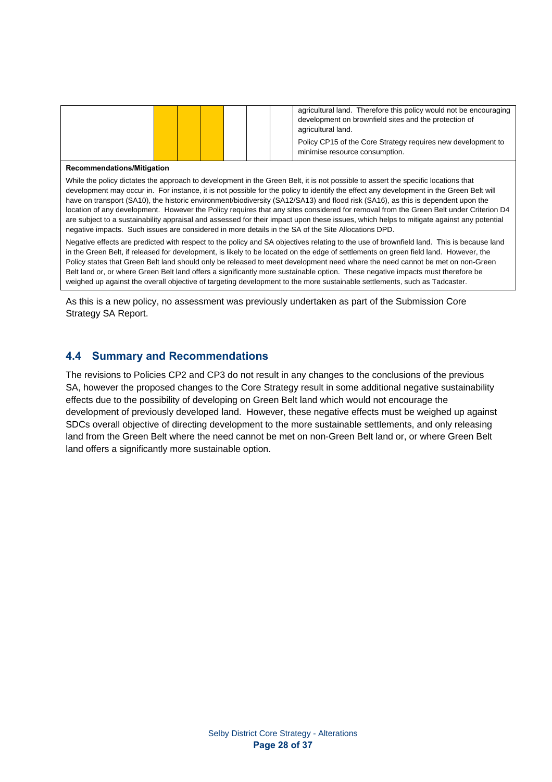|  |  |  | agricultural land. Therefore this policy would not be encouraging<br>development on brownfield sites and the protection of<br>agricultural land.<br>Policy CP15 of the Core Strategy requires new development to |
|--|--|--|------------------------------------------------------------------------------------------------------------------------------------------------------------------------------------------------------------------|
|  |  |  | minimise resource consumption.                                                                                                                                                                                   |

#### **Recommendations/Mitigation**

While the policy dictates the approach to development in the Green Belt, it is not possible to assert the specific locations that development may occur in. For instance, it is not possible for the policy to identify the effect any development in the Green Belt will have on transport (SA10), the historic environment/biodiversity (SA12/SA13) and flood risk (SA16), as this is dependent upon the location of any development. However the Policy requires that any sites considered for removal from the Green Belt under Criterion D4 are subject to a sustainability appraisal and assessed for their impact upon these issues, which helps to mitigate against any potential negative impacts. Such issues are considered in more details in the SA of the Site Allocations DPD.

Negative effects are predicted with respect to the policy and SA objectives relating to the use of brownfield land. This is because land in the Green Belt, if released for development, is likely to be located on the edge of settlements on green field land. However, the Policy states that Green Belt land should only be released to meet development need where the need cannot be met on non-Green Belt land or, or where Green Belt land offers a significantly more sustainable option. These negative impacts must therefore be weighed up against the overall objective of targeting development to the more sustainable settlements, such as Tadcaster.

As this is a new policy, no assessment was previously undertaken as part of the Submission Core Strategy SA Report.

### **4.4 Summary and Recommendations**

The revisions to Policies CP2 and CP3 do not result in any changes to the conclusions of the previous SA, however the proposed changes to the Core Strategy result in some additional negative sustainability effects due to the possibility of developing on Green Belt land which would not encourage the development of previously developed land. However, these negative effects must be weighed up against SDCs overall objective of directing development to the more sustainable settlements, and only releasing land from the Green Belt where the need cannot be met on non-Green Belt land or, or where Green Belt land offers a significantly more sustainable option.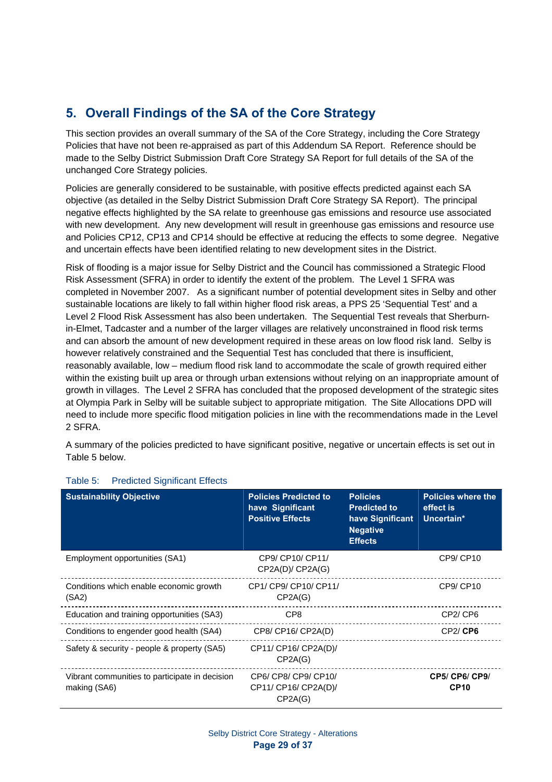# **5. Overall Findings of the SA of the Core Strategy**

This section provides an overall summary of the SA of the Core Strategy, including the Core Strategy Policies that have not been re-appraised as part of this Addendum SA Report. Reference should be made to the Selby District Submission Draft Core Strategy SA Report for full details of the SA of the unchanged Core Strategy policies.

Policies are generally considered to be sustainable, with positive effects predicted against each SA objective (as detailed in the Selby District Submission Draft Core Strategy SA Report). The principal negative effects highlighted by the SA relate to greenhouse gas emissions and resource use associated with new development. Any new development will result in greenhouse gas emissions and resource use and Policies CP12, CP13 and CP14 should be effective at reducing the effects to some degree. Negative and uncertain effects have been identified relating to new development sites in the District.

Risk of flooding is a major issue for Selby District and the Council has commissioned a Strategic Flood Risk Assessment (SFRA) in order to identify the extent of the problem. The Level 1 SFRA was completed in November 2007. As a significant number of potential development sites in Selby and other sustainable locations are likely to fall within higher flood risk areas, a PPS 25 'Sequential Test' and a Level 2 Flood Risk Assessment has also been undertaken. The Sequential Test reveals that Sherburnin-Elmet, Tadcaster and a number of the larger villages are relatively unconstrained in flood risk terms and can absorb the amount of new development required in these areas on low flood risk land. Selby is however relatively constrained and the Sequential Test has concluded that there is insufficient, reasonably available, low – medium flood risk land to accommodate the scale of growth required either within the existing built up area or through urban extensions without relying on an inappropriate amount of growth in villages. The Level 2 SFRA has concluded that the proposed development of the strategic sites at Olympia Park in Selby will be suitable subject to appropriate mitigation. The Site Allocations DPD will need to include more specific flood mitigation policies in line with the recommendations made in the Level 2 SFRA.

A summary of the policies predicted to have significant positive, negative or uncertain effects is set out in Table 5 below.

| <b>Sustainability Objective</b>                                | <b>Policies Predicted to</b><br>have Significant<br><b>Positive Effects</b> | <b>Policies</b><br><b>Predicted to</b><br>have Significant<br><b>Negative</b><br><b>Effects</b> | <b>Policies where the</b><br>effect is<br>Uncertain* |
|----------------------------------------------------------------|-----------------------------------------------------------------------------|-------------------------------------------------------------------------------------------------|------------------------------------------------------|
| Employment opportunities (SA1)                                 | CP9/ CP10/ CP11/<br>CP2A(D)/CP2A(G)                                         |                                                                                                 | CP9/CP10                                             |
| Conditions which enable economic growth<br>(SA2)               | CP1/ CP9/ CP10/ CP11/<br>CP2A(G)                                            |                                                                                                 | CP9/ CP10                                            |
| Education and training opportunities (SA3)                     | CP8                                                                         |                                                                                                 | CP <sub>2</sub> /CP <sub>6</sub>                     |
| Conditions to engender good health (SA4)                       | CP8/ CP16/ CP2A(D)                                                          |                                                                                                 | CP2/CP6                                              |
| Safety & security - people & property (SA5)                    | CP11/ CP16/ CP2A(D)/<br>CP2A(G)                                             |                                                                                                 |                                                      |
| Vibrant communities to participate in decision<br>making (SA6) | CP6/ CP8/ CP9/ CP10/<br>CP11/ CP16/ CP2A(D)/<br>CP2A(G)                     |                                                                                                 | CP5/ CP6/ CP9/<br><b>CP10</b>                        |

### Table 5: Predicted Significant Effects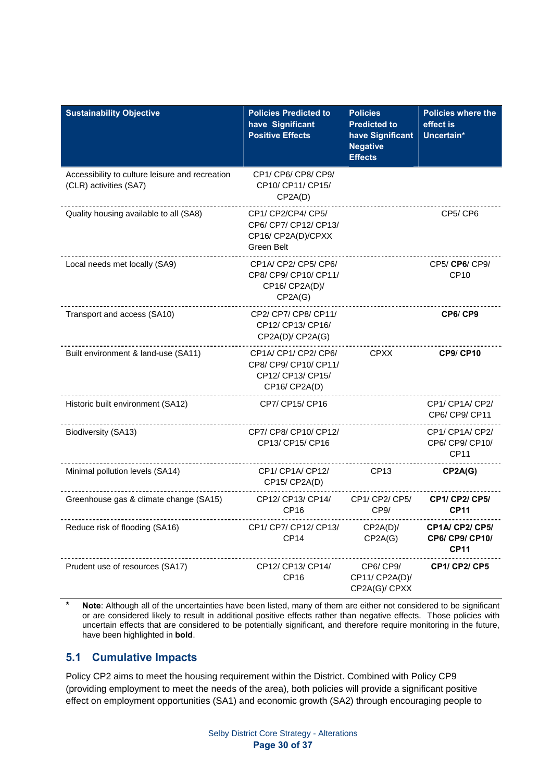| <b>Sustainability Objective</b>                                           | <b>Policies Predicted to</b><br>have Significant<br><b>Positive Effects</b>     | <b>Policies</b><br><b>Predicted to</b><br>have Significant<br><b>Negative</b><br><b>Effects</b> | Policies where the<br>effect is<br>Uncertain*                   |
|---------------------------------------------------------------------------|---------------------------------------------------------------------------------|-------------------------------------------------------------------------------------------------|-----------------------------------------------------------------|
| Accessibility to culture leisure and recreation<br>(CLR) activities (SA7) | CP1/ CP6/ CP8/ CP9/<br>CP10/ CP11/ CP15/<br>CP2A(D)                             |                                                                                                 |                                                                 |
| Quality housing available to all (SA8)                                    | CP1/ CP2/CP4/ CP5/<br>CP6/ CP7/ CP12/ CP13/<br>CP16/ CP2A(D)/CPXX<br>Green Belt |                                                                                                 | CP5/CP6                                                         |
| Local needs met locally (SA9)                                             | CP1A/CP2/CP5/CP6/<br>CP8/ CP9/ CP10/ CP11/<br>CP16/ CP2A(D)/<br>CP2A(G)         |                                                                                                 | CP5/ CP6/ CP9/<br>CP <sub>10</sub>                              |
| Transport and access (SA10)                                               | CP2/ CP7/ CP8/ CP11/<br>CP12/ CP13/ CP16/<br>CP2A(D)/ CP2A(G)                   |                                                                                                 | CP6/CP9                                                         |
| Built environment & land-use (SA11)                                       | CP1A/CP1/CP2/CP6/<br>CP8/ CP9/ CP10/ CP11/<br>CP12/ CP13/ CP15/<br>CP16/CP2A(D) | <b>CPXX</b>                                                                                     | <b>CP9/ CP10</b>                                                |
| Historic built environment (SA12)                                         | CP7/ CP15/ CP16                                                                 |                                                                                                 | CP1/ CP1A/ CP2/<br>CP6/ CP9/ CP11                               |
| Biodiversity (SA13)                                                       | CP7/ CP8/ CP10/ CP12/<br>CP13/ CP15/ CP16                                       |                                                                                                 | CP1/ CP1A/ CP2/<br>CP6/ CP9/ CP10/<br>CP11                      |
| Minimal pollution levels (SA14)                                           | CP1/CP1A/CP12/<br>CP15/CP2A(D)                                                  | CP13                                                                                            | CP2A(G)                                                         |
| Greenhouse gas & climate change (SA15)                                    | CP12/ CP13/ CP14/<br>CP <sub>16</sub>                                           | CP1/ CP2/ CP5/<br>CP9/                                                                          | <b>CP1/ CP2/ CP5/</b><br><b>CP11</b>                            |
| Reduce risk of flooding (SA16)                                            | CP1/ CP7/ CP12/ CP13/<br><b>CP14</b>                                            | CP2A(D)/<br>CP2A(G)                                                                             | <b>CP1A/ CP2/ CP5/</b><br><b>CP6/ CP9/ CP10/</b><br><b>CP11</b> |
| Prudent use of resources (SA17)                                           | CP12/ CP13/ CP14/<br>CP <sub>16</sub>                                           | CP6/CP9/<br>CP11/ CP2A(D)/<br>CP2A(G)/ CPXX                                                     | <b>CP1/ CP2/ CP5</b>                                            |

**\* Note**: Although all of the uncertainties have been listed, many of them are either not considered to be significant or are considered likely to result in additional positive effects rather than negative effects. Those policies with uncertain effects that are considered to be potentially significant, and therefore require monitoring in the future, have been highlighted in **bold**.

### **5.1 Cumulative Impacts**

Policy CP2 aims to meet the housing requirement within the District. Combined with Policy CP9 (providing employment to meet the needs of the area), both policies will provide a significant positive effect on employment opportunities (SA1) and economic growth (SA2) through encouraging people to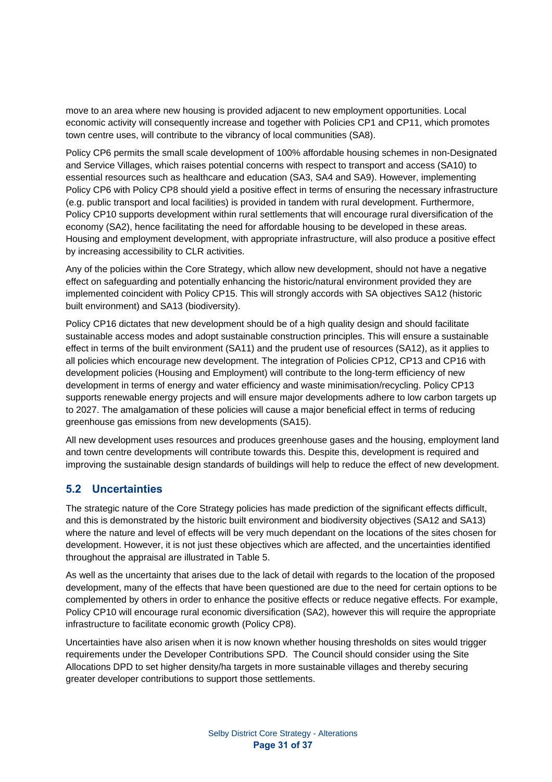move to an area where new housing is provided adjacent to new employment opportunities. Local economic activity will consequently increase and together with Policies CP1 and CP11, which promotes town centre uses, will contribute to the vibrancy of local communities (SA8).

Policy CP6 permits the small scale development of 100% affordable housing schemes in non-Designated and Service Villages, which raises potential concerns with respect to transport and access (SA10) to essential resources such as healthcare and education (SA3, SA4 and SA9). However, implementing Policy CP6 with Policy CP8 should yield a positive effect in terms of ensuring the necessary infrastructure (e.g. public transport and local facilities) is provided in tandem with rural development. Furthermore, Policy CP10 supports development within rural settlements that will encourage rural diversification of the economy (SA2), hence facilitating the need for affordable housing to be developed in these areas. Housing and employment development, with appropriate infrastructure, will also produce a positive effect by increasing accessibility to CLR activities.

Any of the policies within the Core Strategy, which allow new development, should not have a negative effect on safeguarding and potentially enhancing the historic/natural environment provided they are implemented coincident with Policy CP15. This will strongly accords with SA objectives SA12 (historic built environment) and SA13 (biodiversity).

Policy CP16 dictates that new development should be of a high quality design and should facilitate sustainable access modes and adopt sustainable construction principles. This will ensure a sustainable effect in terms of the built environment (SA11) and the prudent use of resources (SA12), as it applies to all policies which encourage new development. The integration of Policies CP12, CP13 and CP16 with development policies (Housing and Employment) will contribute to the long-term efficiency of new development in terms of energy and water efficiency and waste minimisation/recycling. Policy CP13 supports renewable energy projects and will ensure major developments adhere to low carbon targets up to 2027. The amalgamation of these policies will cause a major beneficial effect in terms of reducing greenhouse gas emissions from new developments (SA15).

All new development uses resources and produces greenhouse gases and the housing, employment land and town centre developments will contribute towards this. Despite this, development is required and improving the sustainable design standards of buildings will help to reduce the effect of new development.

### **5.2 Uncertainties**

The strategic nature of the Core Strategy policies has made prediction of the significant effects difficult, and this is demonstrated by the historic built environment and biodiversity objectives (SA12 and SA13) where the nature and level of effects will be very much dependant on the locations of the sites chosen for development. However, it is not just these objectives which are affected, and the uncertainties identified throughout the appraisal are illustrated in Table 5.

As well as the uncertainty that arises due to the lack of detail with regards to the location of the proposed development, many of the effects that have been questioned are due to the need for certain options to be complemented by others in order to enhance the positive effects or reduce negative effects. For example, Policy CP10 will encourage rural economic diversification (SA2), however this will require the appropriate infrastructure to facilitate economic growth (Policy CP8).

Uncertainties have also arisen when it is now known whether housing thresholds on sites would trigger requirements under the Developer Contributions SPD. The Council should consider using the Site Allocations DPD to set higher density/ha targets in more sustainable villages and thereby securing greater developer contributions to support those settlements.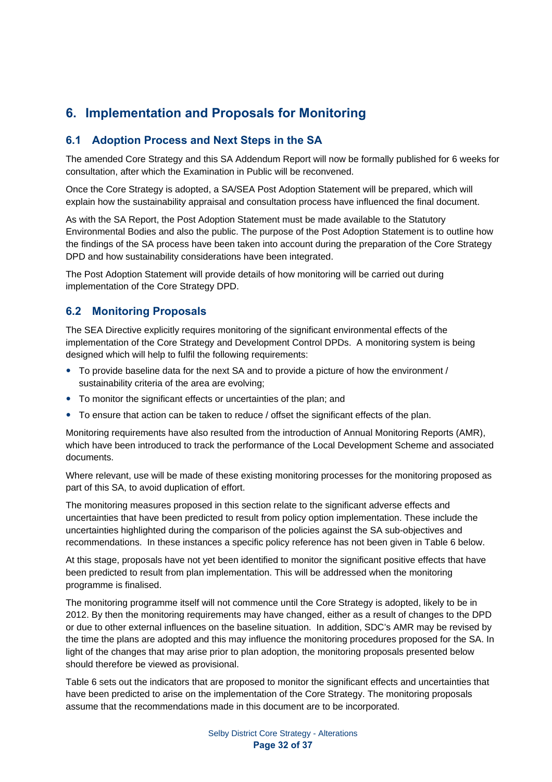# **6. Implementation and Proposals for Monitoring**

### **6.1 Adoption Process and Next Steps in the SA**

The amended Core Strategy and this SA Addendum Report will now be formally published for 6 weeks for consultation, after which the Examination in Public will be reconvened.

Once the Core Strategy is adopted, a SA/SEA Post Adoption Statement will be prepared, which will explain how the sustainability appraisal and consultation process have influenced the final document.

As with the SA Report, the Post Adoption Statement must be made available to the Statutory Environmental Bodies and also the public. The purpose of the Post Adoption Statement is to outline how the findings of the SA process have been taken into account during the preparation of the Core Strategy DPD and how sustainability considerations have been integrated.

The Post Adoption Statement will provide details of how monitoring will be carried out during implementation of the Core Strategy DPD.

### **6.2 Monitoring Proposals**

The SEA Directive explicitly requires monitoring of the significant environmental effects of the implementation of the Core Strategy and Development Control DPDs. A monitoring system is being designed which will help to fulfil the following requirements:

- To provide baseline data for the next SA and to provide a picture of how the environment / sustainability criteria of the area are evolving;
- To monitor the significant effects or uncertainties of the plan; and
- To ensure that action can be taken to reduce / offset the significant effects of the plan.

Monitoring requirements have also resulted from the introduction of Annual Monitoring Reports (AMR), which have been introduced to track the performance of the Local Development Scheme and associated documents.

Where relevant, use will be made of these existing monitoring processes for the monitoring proposed as part of this SA, to avoid duplication of effort.

The monitoring measures proposed in this section relate to the significant adverse effects and uncertainties that have been predicted to result from policy option implementation. These include the uncertainties highlighted during the comparison of the policies against the SA sub-objectives and recommendations. In these instances a specific policy reference has not been given in Table 6 below.

At this stage, proposals have not yet been identified to monitor the significant positive effects that have been predicted to result from plan implementation. This will be addressed when the monitoring programme is finalised.

The monitoring programme itself will not commence until the Core Strategy is adopted, likely to be in 2012. By then the monitoring requirements may have changed, either as a result of changes to the DPD or due to other external influences on the baseline situation. In addition, SDC's AMR may be revised by the time the plans are adopted and this may influence the monitoring procedures proposed for the SA. In light of the changes that may arise prior to plan adoption, the monitoring proposals presented below should therefore be viewed as provisional.

Table 6 sets out the indicators that are proposed to monitor the significant effects and uncertainties that have been predicted to arise on the implementation of the Core Strategy. The monitoring proposals assume that the recommendations made in this document are to be incorporated.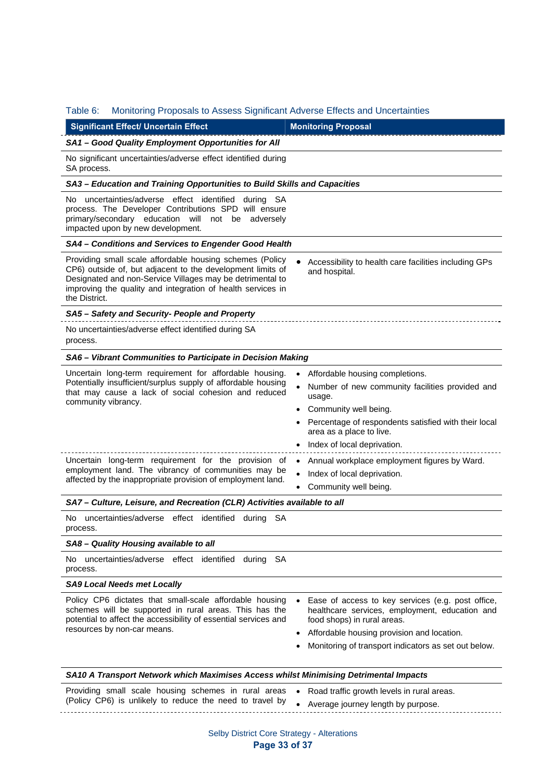### Table 6: Monitoring Proposals to Assess Significant Adverse Effects and Uncertainties

| <b>Significant Effect/ Uncertain Effect</b>                                                                                                                                                                                                                                                                            | <b>Monitoring Proposal</b>                                                                                                                                                                                                                                                                                                           |  |  |  |  |  |  |  |
|------------------------------------------------------------------------------------------------------------------------------------------------------------------------------------------------------------------------------------------------------------------------------------------------------------------------|--------------------------------------------------------------------------------------------------------------------------------------------------------------------------------------------------------------------------------------------------------------------------------------------------------------------------------------|--|--|--|--|--|--|--|
| SA1 - Good Quality Employment Opportunities for All                                                                                                                                                                                                                                                                    |                                                                                                                                                                                                                                                                                                                                      |  |  |  |  |  |  |  |
| No significant uncertainties/adverse effect identified during<br>SA process.                                                                                                                                                                                                                                           |                                                                                                                                                                                                                                                                                                                                      |  |  |  |  |  |  |  |
| SA3 - Education and Training Opportunities to Build Skills and Capacities                                                                                                                                                                                                                                              |                                                                                                                                                                                                                                                                                                                                      |  |  |  |  |  |  |  |
| No uncertainties/adverse effect identified during SA<br>process. The Developer Contributions SPD will ensure<br>primary/secondary education will<br>not be adversely<br>impacted upon by new development.                                                                                                              |                                                                                                                                                                                                                                                                                                                                      |  |  |  |  |  |  |  |
| SA4 - Conditions and Services to Engender Good Health                                                                                                                                                                                                                                                                  |                                                                                                                                                                                                                                                                                                                                      |  |  |  |  |  |  |  |
| Providing small scale affordable housing schemes (Policy<br>CP6) outside of, but adjacent to the development limits of<br>Designated and non-Service Villages may be detrimental to<br>improving the quality and integration of health services in<br>the District.                                                    | Accessibility to health care facilities including GPs<br>and hospital.                                                                                                                                                                                                                                                               |  |  |  |  |  |  |  |
| SA5 - Safety and Security- People and Property                                                                                                                                                                                                                                                                         |                                                                                                                                                                                                                                                                                                                                      |  |  |  |  |  |  |  |
| No uncertainties/adverse effect identified during SA<br>process.                                                                                                                                                                                                                                                       |                                                                                                                                                                                                                                                                                                                                      |  |  |  |  |  |  |  |
| SA6 - Vibrant Communities to Participate in Decision Making                                                                                                                                                                                                                                                            |                                                                                                                                                                                                                                                                                                                                      |  |  |  |  |  |  |  |
| Uncertain long-term requirement for affordable housing.<br>Potentially insufficient/surplus supply of affordable housing<br>that may cause a lack of social cohesion and reduced<br>community vibrancy.<br>Uncertain long-term requirement for the provision of<br>employment land. The vibrancy of communities may be | Affordable housing completions.<br>Number of new community facilities provided and<br>usage.<br>Community well being.<br>$\bullet$<br>Percentage of respondents satisfied with their local<br>area as a place to live.<br>Index of local deprivation.<br>Annual workplace employment figures by Ward.<br>Index of local deprivation. |  |  |  |  |  |  |  |
| affected by the inappropriate provision of employment land.                                                                                                                                                                                                                                                            | Community well being.                                                                                                                                                                                                                                                                                                                |  |  |  |  |  |  |  |
| SA7 - Culture, Leisure, and Recreation (CLR) Activities available to all                                                                                                                                                                                                                                               |                                                                                                                                                                                                                                                                                                                                      |  |  |  |  |  |  |  |
| uncertainties/adverse effect identified during SA<br>No.<br>process.                                                                                                                                                                                                                                                   |                                                                                                                                                                                                                                                                                                                                      |  |  |  |  |  |  |  |
| SA8 - Quality Housing available to all                                                                                                                                                                                                                                                                                 |                                                                                                                                                                                                                                                                                                                                      |  |  |  |  |  |  |  |
| uncertainties/adverse effect identified<br>No.<br>during SA<br>process.                                                                                                                                                                                                                                                |                                                                                                                                                                                                                                                                                                                                      |  |  |  |  |  |  |  |
| <b>SA9 Local Needs met Locally</b>                                                                                                                                                                                                                                                                                     |                                                                                                                                                                                                                                                                                                                                      |  |  |  |  |  |  |  |
| Policy CP6 dictates that small-scale affordable housing<br>schemes will be supported in rural areas. This has the<br>potential to affect the accessibility of essential services and<br>resources by non-car means.                                                                                                    | Ease of access to key services (e.g. post office,<br>$\bullet$<br>healthcare services, employment, education and<br>food shops) in rural areas.<br>Affordable housing provision and location.<br>Monitoring of transport indicators as set out below.                                                                                |  |  |  |  |  |  |  |
| SA10 A Transport Network which Maximises Access whilst Minimising Detrimental Impacts                                                                                                                                                                                                                                  |                                                                                                                                                                                                                                                                                                                                      |  |  |  |  |  |  |  |
| Providing small scale housing schemes in rural areas<br>(Policy CP6) is unlikely to reduce the need to travel by                                                                                                                                                                                                       | Road traffic growth levels in rural areas.<br>$\bullet$<br>Average journey length by purpose.<br>$\bullet$                                                                                                                                                                                                                           |  |  |  |  |  |  |  |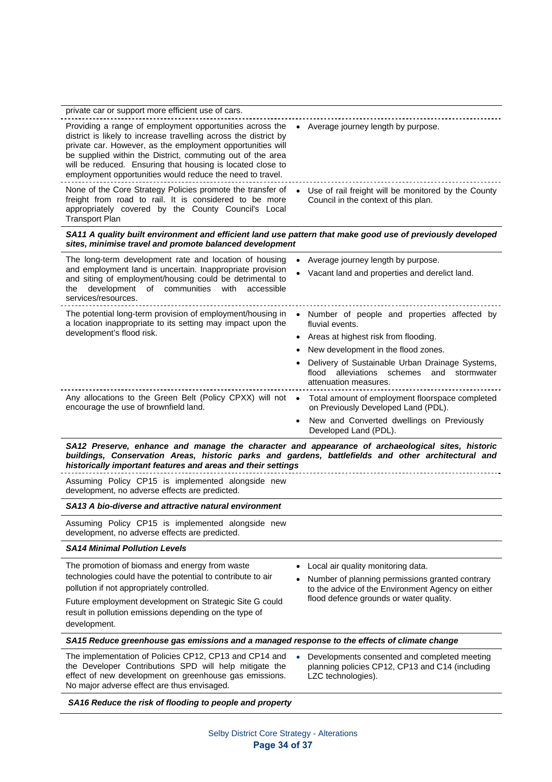| private car or support more efficient use of cars.                                                                                                                                                                                                                                                                                                                                  |                                                                                                                                            |
|-------------------------------------------------------------------------------------------------------------------------------------------------------------------------------------------------------------------------------------------------------------------------------------------------------------------------------------------------------------------------------------|--------------------------------------------------------------------------------------------------------------------------------------------|
| Providing a range of employment opportunities across the<br>district is likely to increase travelling across the district by<br>private car. However, as the employment opportunities will<br>be supplied within the District, commuting out of the area<br>will be reduced. Ensuring that housing is located close to<br>employment opportunities would reduce the need to travel. | Average journey length by purpose.<br>$\bullet$                                                                                            |
| None of the Core Strategy Policies promote the transfer of<br>freight from road to rail. It is considered to be more<br>appropriately covered by the County Council's Local<br><b>Transport Plan</b>                                                                                                                                                                                | • Use of rail freight will be monitored by the County<br>Council in the context of this plan.                                              |
| SA11 A quality built environment and efficient land use pattern that make good use of previously developed<br>sites, minimise travel and promote balanced development                                                                                                                                                                                                               |                                                                                                                                            |
| The long-term development rate and location of housing<br>and employment land is uncertain. Inappropriate provision<br>and siting of employment/housing could be detrimental to<br>development of communities<br>with<br>accessible<br>the<br>services/resources.                                                                                                                   | Average journey length by purpose.<br>Vacant land and properties and derelict land.                                                        |
| The potential long-term provision of employment/housing in<br>a location inappropriate to its setting may impact upon the<br>development's flood risk.                                                                                                                                                                                                                              | Number of people and properties affected by<br>$\bullet$<br>fluvial events.                                                                |
|                                                                                                                                                                                                                                                                                                                                                                                     | • Areas at highest risk from flooding.                                                                                                     |
|                                                                                                                                                                                                                                                                                                                                                                                     | New development in the flood zones.                                                                                                        |
|                                                                                                                                                                                                                                                                                                                                                                                     | Delivery of Sustainable Urban Drainage Systems,<br>alleviations<br>flood<br>schemes<br>and<br>stormwater<br>attenuation measures.          |
| Any allocations to the Green Belt (Policy CPXX) will not .<br>encourage the use of brownfield land.                                                                                                                                                                                                                                                                                 | Total amount of employment floorspace completed<br>on Previously Developed Land (PDL).                                                     |
|                                                                                                                                                                                                                                                                                                                                                                                     | New and Converted dwellings on Previously<br>Developed Land (PDL).                                                                         |
| SA12 Preserve, enhance and manage the character and appearance of archaeological sites, historic<br>buildings, Conservation Areas, historic parks and gardens, battlefields and other architectural and<br>historically important features and areas and their settings                                                                                                             |                                                                                                                                            |
| Assuming Policy CP15 is implemented alongside new<br>development, no adverse effects are predicted.                                                                                                                                                                                                                                                                                 |                                                                                                                                            |
| SA13 A bio-diverse and attractive natural environment                                                                                                                                                                                                                                                                                                                               |                                                                                                                                            |
| Assuming Policy CP15 is implemented alongside new<br>development, no adverse effects are predicted.                                                                                                                                                                                                                                                                                 |                                                                                                                                            |
| <b>SA14 Minimal Pollution Levels</b>                                                                                                                                                                                                                                                                                                                                                |                                                                                                                                            |
| The promotion of biomass and energy from waste<br>technologies could have the potential to contribute to air<br>pollution if not appropriately controlled.                                                                                                                                                                                                                          | Local air quality monitoring data.<br>Number of planning permissions granted contrary<br>to the advice of the Environment Agency on either |
| Future employment development on Strategic Site G could<br>result in pollution emissions depending on the type of<br>development.                                                                                                                                                                                                                                                   | flood defence grounds or water quality.                                                                                                    |
| SA15 Reduce greenhouse gas emissions and a managed response to the effects of climate change                                                                                                                                                                                                                                                                                        |                                                                                                                                            |
| The implementation of Policies CP12, CP13 and CP14 and<br>the Developer Contributions SPD will help mitigate the<br>effect of new development on greenhouse gas emissions.<br>No major adverse effect are thus envisaged.                                                                                                                                                           | $\bullet$<br>Developments consented and completed meeting<br>planning policies CP12, CP13 and C14 (including<br>LZC technologies).         |

### *SA16 Reduce the risk of flooding to people and property*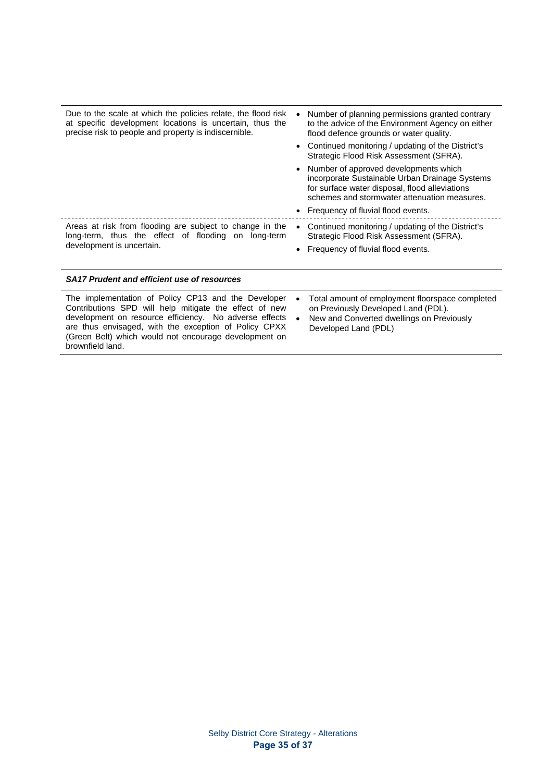| Due to the scale at which the policies relate, the flood risk<br>at specific development locations is uncertain, thus the<br>precise risk to people and property is indiscernible. | Number of planning permissions granted contrary<br>to the advice of the Environment Agency on either<br>flood defence grounds or water quality.                                             |
|------------------------------------------------------------------------------------------------------------------------------------------------------------------------------------|---------------------------------------------------------------------------------------------------------------------------------------------------------------------------------------------|
|                                                                                                                                                                                    | • Continued monitoring / updating of the District's<br>Strategic Flood Risk Assessment (SFRA).                                                                                              |
|                                                                                                                                                                                    | • Number of approved developments which<br>incorporate Sustainable Urban Drainage Systems<br>for surface water disposal, flood alleviations<br>schemes and stormwater attenuation measures. |
|                                                                                                                                                                                    | • Frequency of fluvial flood events.                                                                                                                                                        |
| Areas at risk from flooding are subject to change in the<br>long-term, thus the effect of flooding on long-term                                                                    | Continued monitoring / updating of the District's<br>$\bullet$<br>Strategic Flood Risk Assessment (SFRA).                                                                                   |
| development is uncertain.                                                                                                                                                          | • Frequency of fluvial flood events.                                                                                                                                                        |
|                                                                                                                                                                                    |                                                                                                                                                                                             |
| <b>SA17 Prudent and efficient use of resources</b>                                                                                                                                 |                                                                                                                                                                                             |

| The implementation of Policy CP13 and the Developer    | Total amount of employment floorspace completed |
|--------------------------------------------------------|-------------------------------------------------|
| Contributions SPD will help mitigate the effect of new | $\bullet$                                       |
| development on resource efficiency. No adverse effects | on Previously Developed Land (PDL).             |
| are thus envisaged, with the exception of Policy CPXX  | New and Converted dwellings on Previously       |
| (Green Belt) which would not encourage development on  | $\bullet$                                       |
| brownfield land.                                       | Developed Land (PDL)                            |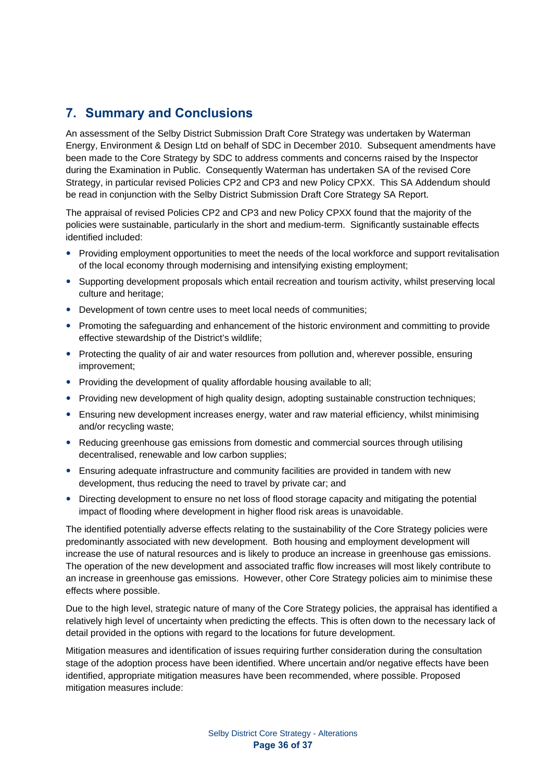# **7. Summary and Conclusions**

An assessment of the Selby District Submission Draft Core Strategy was undertaken by Waterman Energy, Environment & Design Ltd on behalf of SDC in December 2010. Subsequent amendments have been made to the Core Strategy by SDC to address comments and concerns raised by the Inspector during the Examination in Public. Consequently Waterman has undertaken SA of the revised Core Strategy, in particular revised Policies CP2 and CP3 and new Policy CPXX. This SA Addendum should be read in conjunction with the Selby District Submission Draft Core Strategy SA Report.

The appraisal of revised Policies CP2 and CP3 and new Policy CPXX found that the majority of the policies were sustainable, particularly in the short and medium-term. Significantly sustainable effects identified included:

- Providing employment opportunities to meet the needs of the local workforce and support revitalisation of the local economy through modernising and intensifying existing employment;
- Supporting development proposals which entail recreation and tourism activity, whilst preserving local culture and heritage;
- Development of town centre uses to meet local needs of communities;
- Promoting the safeguarding and enhancement of the historic environment and committing to provide effective stewardship of the District's wildlife;
- Protecting the quality of air and water resources from pollution and, wherever possible, ensuring improvement;
- Providing the development of quality affordable housing available to all;
- Providing new development of high quality design, adopting sustainable construction techniques;
- Ensuring new development increases energy, water and raw material efficiency, whilst minimising and/or recycling waste;
- Reducing greenhouse gas emissions from domestic and commercial sources through utilising decentralised, renewable and low carbon supplies;
- Ensuring adequate infrastructure and community facilities are provided in tandem with new development, thus reducing the need to travel by private car; and
- Directing development to ensure no net loss of flood storage capacity and mitigating the potential impact of flooding where development in higher flood risk areas is unavoidable.

The identified potentially adverse effects relating to the sustainability of the Core Strategy policies were predominantly associated with new development. Both housing and employment development will increase the use of natural resources and is likely to produce an increase in greenhouse gas emissions. The operation of the new development and associated traffic flow increases will most likely contribute to an increase in greenhouse gas emissions. However, other Core Strategy policies aim to minimise these effects where possible.

Due to the high level, strategic nature of many of the Core Strategy policies, the appraisal has identified a relatively high level of uncertainty when predicting the effects. This is often down to the necessary lack of detail provided in the options with regard to the locations for future development.

Mitigation measures and identification of issues requiring further consideration during the consultation stage of the adoption process have been identified. Where uncertain and/or negative effects have been identified, appropriate mitigation measures have been recommended, where possible. Proposed mitigation measures include: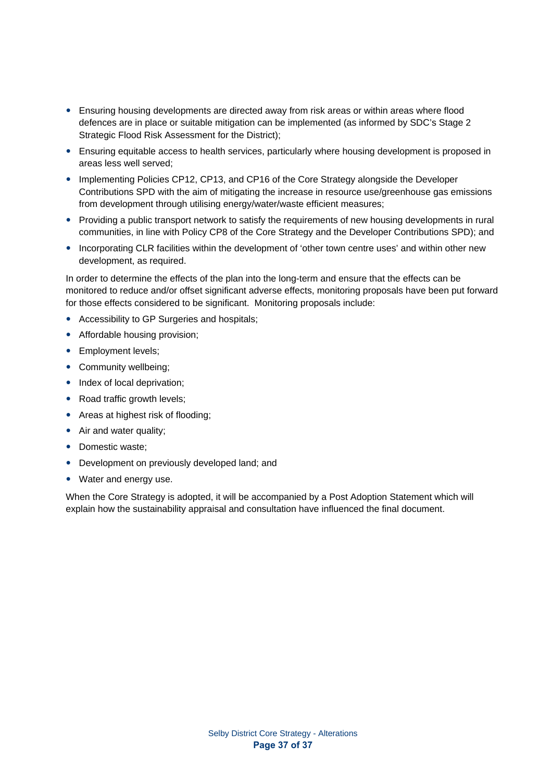- Ensuring housing developments are directed away from risk areas or within areas where flood defences are in place or suitable mitigation can be implemented (as informed by SDC's Stage 2 Strategic Flood Risk Assessment for the District);
- Ensuring equitable access to health services, particularly where housing development is proposed in areas less well served;
- Implementing Policies CP12, CP13, and CP16 of the Core Strategy alongside the Developer Contributions SPD with the aim of mitigating the increase in resource use/greenhouse gas emissions from development through utilising energy/water/waste efficient measures;
- Providing a public transport network to satisfy the requirements of new housing developments in rural communities, in line with Policy CP8 of the Core Strategy and the Developer Contributions SPD); and
- Incorporating CLR facilities within the development of 'other town centre uses' and within other new development, as required.

In order to determine the effects of the plan into the long-term and ensure that the effects can be monitored to reduce and/or offset significant adverse effects, monitoring proposals have been put forward for those effects considered to be significant. Monitoring proposals include:

- Accessibility to GP Surgeries and hospitals;
- Affordable housing provision;
- Employment levels;
- Community wellbeing;
- Index of local deprivation;
- Road traffic growth levels;
- Areas at highest risk of flooding;
- Air and water quality;
- Domestic waste;
- Development on previously developed land; and
- Water and energy use.

When the Core Strategy is adopted, it will be accompanied by a Post Adoption Statement which will explain how the sustainability appraisal and consultation have influenced the final document.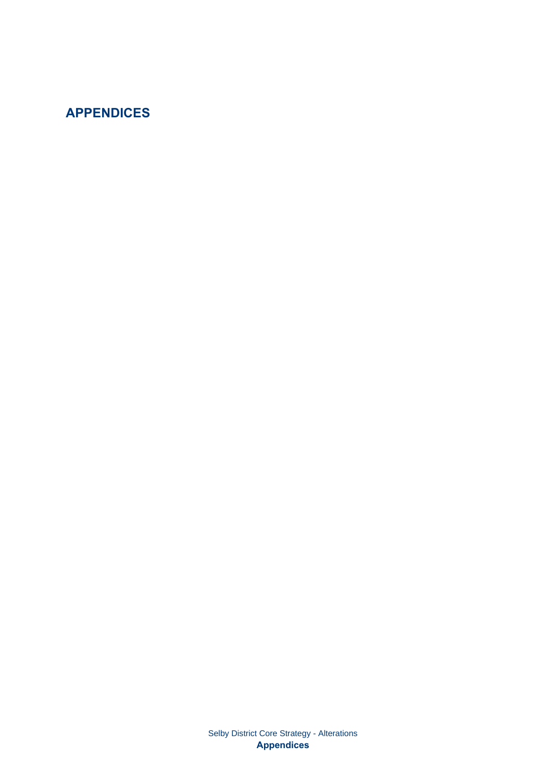# **APPENDICES**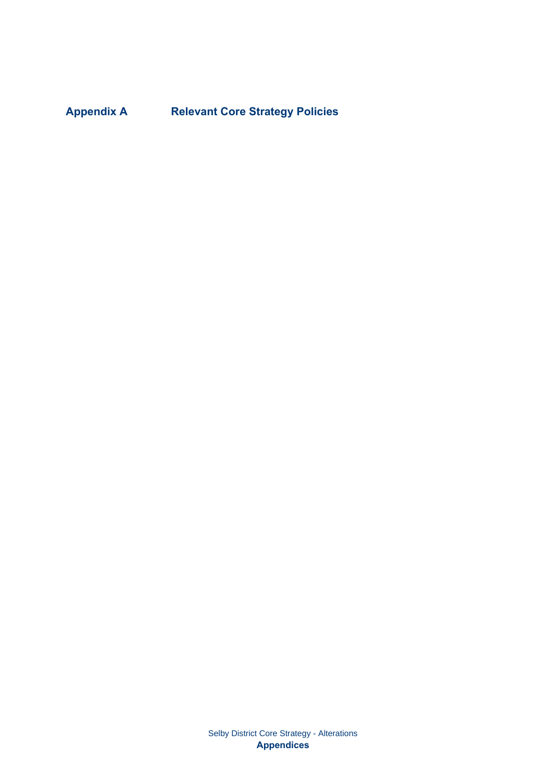**Appendix A Relevant Core Strategy Policies** 

Selby District Core Strategy - Alterations **Appendices**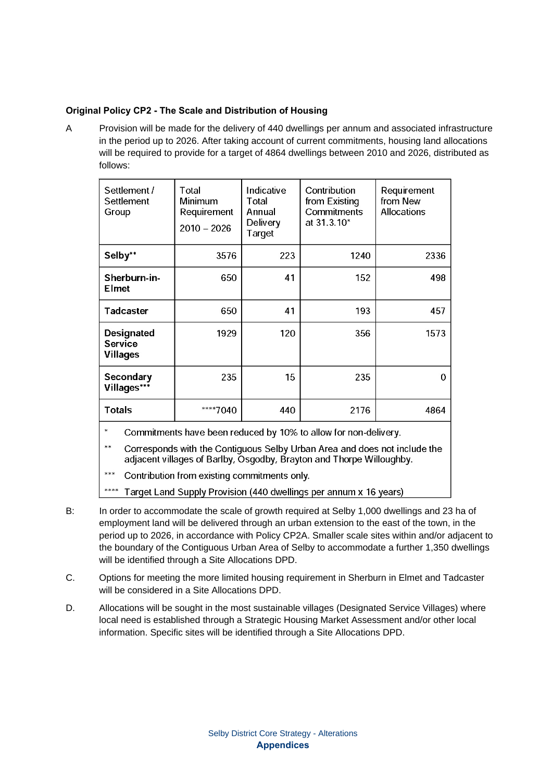### **Original Policy CP2 - The Scale and Distribution of Housing**

A Provision will be made for the delivery of 440 dwellings per annum and associated infrastructure in the period up to 2026. After taking account of current commitments, housing land allocations will be required to provide for a target of 4864 dwellings between 2010 and 2026, distributed as follows:

| Settlement /<br>Settlement<br>Group                    | Total<br>Minimum<br>Requirement<br>$2010 - 2026$ | Indicative<br>Total<br>Annual<br>Delivery<br>Target | Contribution<br>from Existing<br>Commitments<br>at 31.3.10* | Requirement<br>from New<br><b>Allocations</b> |
|--------------------------------------------------------|--------------------------------------------------|-----------------------------------------------------|-------------------------------------------------------------|-----------------------------------------------|
| Selby**                                                | 3576                                             | 223                                                 | 1240                                                        | 2336                                          |
| Sherburn-in-<br><b>Elmet</b>                           | 650                                              | 41                                                  | 152                                                         | 498                                           |
| <b>Tadcaster</b>                                       | 650                                              | 41                                                  | 193                                                         | 457                                           |
| <b>Designated</b><br><b>Service</b><br><b>Villages</b> | 1929                                             | 120                                                 | 356                                                         | 1573                                          |
| Secondary<br>Villages***                               | 235                                              | 15                                                  | 235                                                         | 0                                             |
| <b>Totals</b>                                          | ****7040                                         | 440                                                 | 2176                                                        | 4864                                          |

 $\ast$ Commitments have been reduced by 10% to allow for non-delivery.

 $**$ Corresponds with the Contiguous Selby Urban Area and does not include the adjacent villages of Barlby, Osgodby, Brayton and Thorpe Willoughby.

 $***$ Contribution from existing commitments only.

\*\*\*\* Target Land Supply Provision (440 dwellings per annum x 16 years)

- B: In order to accommodate the scale of growth required at Selby 1,000 dwellings and 23 ha of employment land will be delivered through an urban extension to the east of the town, in the period up to 2026, in accordance with Policy CP2A. Smaller scale sites within and/or adjacent to the boundary of the Contiguous Urban Area of Selby to accommodate a further 1,350 dwellings will be identified through a Site Allocations DPD.
- C. Options for meeting the more limited housing requirement in Sherburn in Elmet and Tadcaster will be considered in a Site Allocations DPD.
- D. Allocations will be sought in the most sustainable villages (Designated Service Villages) where local need is established through a Strategic Housing Market Assessment and/or other local information. Specific sites will be identified through a Site Allocations DPD.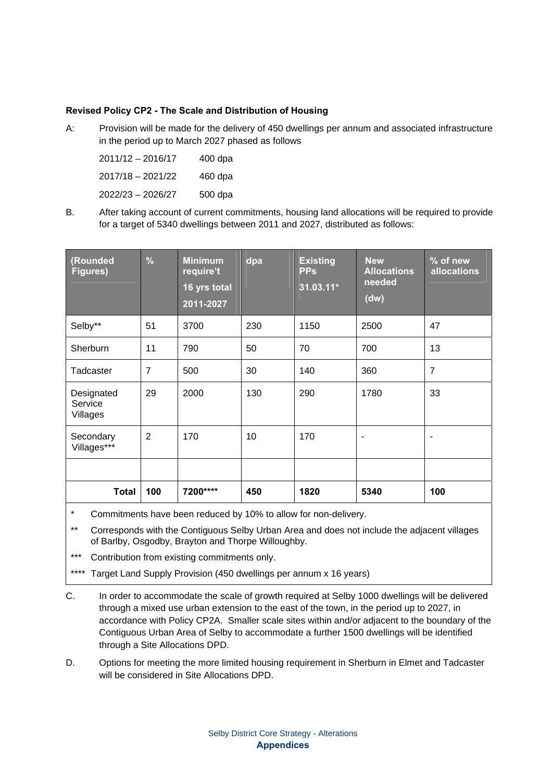#### **Revised Policy CP2 - The Scale and Distribution of Housing**

A: Provision will be made for the delivery of 450 dwellings per annum and associated infrastructure in the period up to March 2027 phased as follows

| $2011/12 - 2016/17$ | $400$ dpa |
|---------------------|-----------|
| $2017/18 - 2021/22$ | 460 dpa   |
| $2022/23 - 2026/27$ | 500 dpa   |

B. After taking account of current commitments, housing land allocations will be required to provide for a target of 5340 dwellings between 2011 and 2027, distributed as follows:

| (Rounded<br><b>Figures)</b>       | $\frac{9}{6}$  | <b>Minimum</b><br>require't<br>16 yrs total<br>2011-2027 | dpa | <b>Existing</b><br><b>PPs</b><br>$31.03.11*$ | <b>New</b><br><b>Allocations</b><br>needed<br>(dw) | % of new<br><b>allocations</b> |
|-----------------------------------|----------------|----------------------------------------------------------|-----|----------------------------------------------|----------------------------------------------------|--------------------------------|
| Selby**                           | 51             | 3700                                                     | 230 | 1150                                         | 2500                                               | 47                             |
| Sherburn                          | 11             | 790                                                      | 50  | 70                                           | 700                                                | 13                             |
| Tadcaster                         | $\overline{7}$ | 500                                                      | 30  | 140                                          | 360                                                | $\overline{7}$                 |
| Designated<br>Service<br>Villages | 29             | 2000                                                     | 130 | 290                                          | 1780                                               | 33                             |
| Secondary<br>Villages***          | $\overline{2}$ | 170                                                      | 10  | 170                                          | ۰                                                  |                                |
|                                   |                |                                                          |     |                                              |                                                    |                                |
| <b>Total</b>                      | 100            | 7200****                                                 | 450 | 1820                                         | 5340                                               | 100                            |

- Commitments have been reduced by 10% to allow for non-delivery.
- \*\* Corresponds with the Contiguous Selby Urban Area and does not include the adjacent villages of Barlby, Osgodby, Brayton and Thorpe Willoughby.
- Contribution from existing commitments only.
- \*\*\*\* Target Land Supply Provision (450 dwellings per annum x 16 years)
- C. In order to accommodate the scale of growth required at Selby 1000 dwellings will be delivered through a mixed use urban extension to the east of the town, in the period up to 2027, in accordance with Policy CP2A. Smaller scale sites within and/or adjacent to the boundary of the Contiguous Urban Area of Selby to accommodate a further 1500 dwellings will be identified through a Site Allocations DPD.
- D. Options for meeting the more limited housing requirement in Sherburn in Elmet and Tadcaster will be considered in Site Allocations DPD.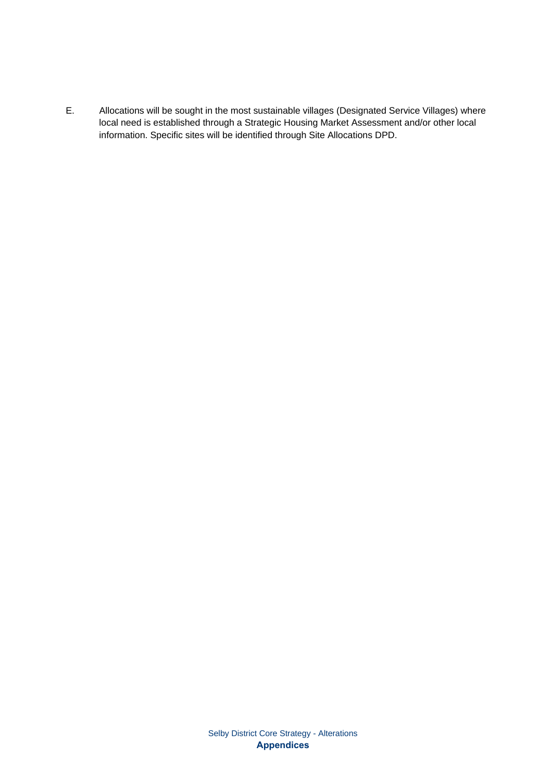E. Allocations will be sought in the most sustainable villages (Designated Service Villages) where local need is established through a Strategic Housing Market Assessment and/or other local information. Specific sites will be identified through Site Allocations DPD.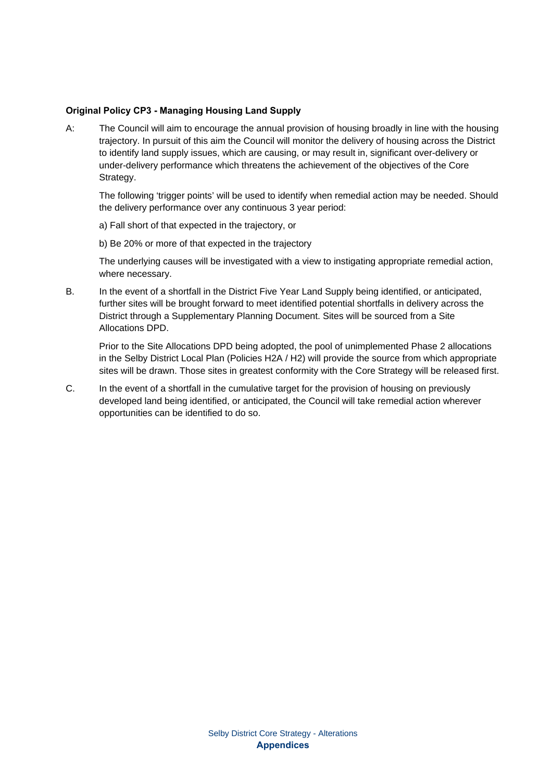#### **Original Policy CP3 - Managing Housing Land Supply**

A: The Council will aim to encourage the annual provision of housing broadly in line with the housing trajectory. In pursuit of this aim the Council will monitor the delivery of housing across the District to identify land supply issues, which are causing, or may result in, significant over-delivery or under-delivery performance which threatens the achievement of the objectives of the Core Strategy.

The following 'trigger points' will be used to identify when remedial action may be needed. Should the delivery performance over any continuous 3 year period:

a) Fall short of that expected in the trajectory, or

b) Be 20% or more of that expected in the trajectory

The underlying causes will be investigated with a view to instigating appropriate remedial action, where necessary.

B. In the event of a shortfall in the District Five Year Land Supply being identified, or anticipated, further sites will be brought forward to meet identified potential shortfalls in delivery across the District through a Supplementary Planning Document. Sites will be sourced from a Site Allocations DPD.

Prior to the Site Allocations DPD being adopted, the pool of unimplemented Phase 2 allocations in the Selby District Local Plan (Policies H2A / H2) will provide the source from which appropriate sites will be drawn. Those sites in greatest conformity with the Core Strategy will be released first.

C. In the event of a shortfall in the cumulative target for the provision of housing on previously developed land being identified, or anticipated, the Council will take remedial action wherever opportunities can be identified to do so.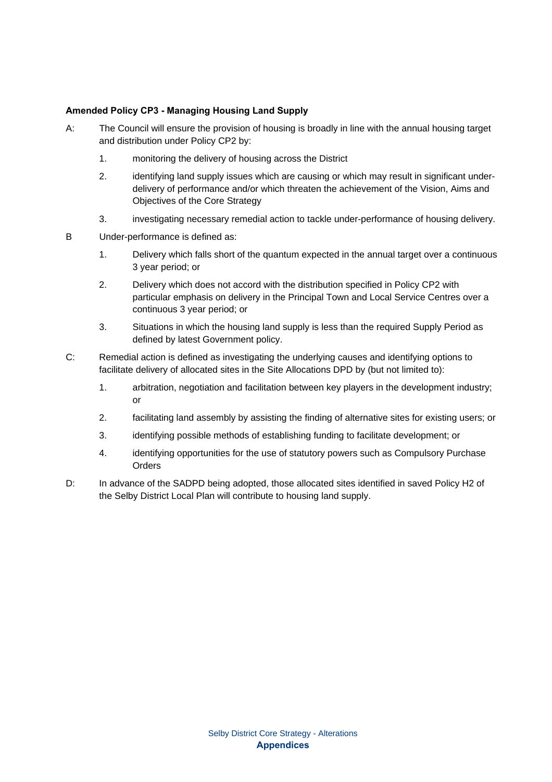#### **Amended Policy CP3 - Managing Housing Land Supply**

- A: The Council will ensure the provision of housing is broadly in line with the annual housing target and distribution under Policy CP2 by:
	- 1. monitoring the delivery of housing across the District
	- 2. identifying land supply issues which are causing or which may result in significant underdelivery of performance and/or which threaten the achievement of the Vision, Aims and Objectives of the Core Strategy
	- 3. investigating necessary remedial action to tackle under-performance of housing delivery.
- B Under-performance is defined as:
	- 1. Delivery which falls short of the quantum expected in the annual target over a continuous 3 year period; or
	- 2. Delivery which does not accord with the distribution specified in Policy CP2 with particular emphasis on delivery in the Principal Town and Local Service Centres over a continuous 3 year period; or
	- 3. Situations in which the housing land supply is less than the required Supply Period as defined by latest Government policy.
- C: Remedial action is defined as investigating the underlying causes and identifying options to facilitate delivery of allocated sites in the Site Allocations DPD by (but not limited to):
	- 1. arbitration, negotiation and facilitation between key players in the development industry; or
	- 2. facilitating land assembly by assisting the finding of alternative sites for existing users; or
	- 3. identifying possible methods of establishing funding to facilitate development; or
	- 4. identifying opportunities for the use of statutory powers such as Compulsory Purchase **Orders**
- D: In advance of the SADPD being adopted, those allocated sites identified in saved Policy H2 of the Selby District Local Plan will contribute to housing land supply.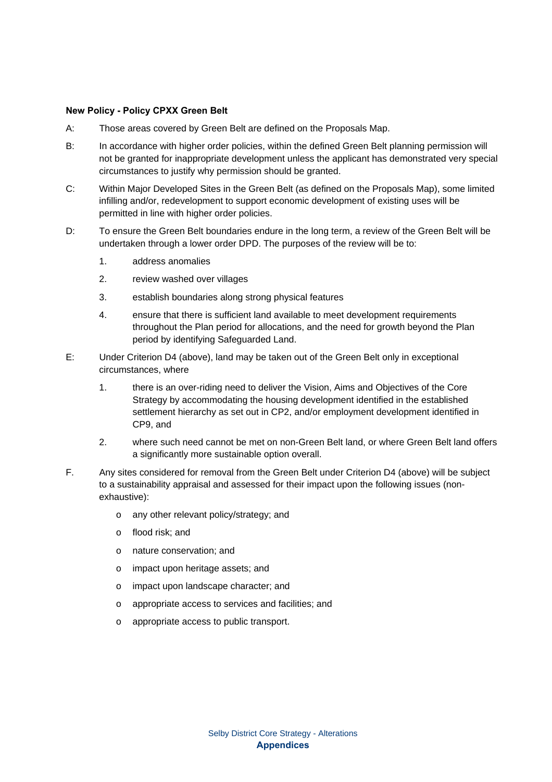#### **New Policy - Policy CPXX Green Belt**

- A: Those areas covered by Green Belt are defined on the Proposals Map.
- B: In accordance with higher order policies, within the defined Green Belt planning permission will not be granted for inappropriate development unless the applicant has demonstrated very special circumstances to justify why permission should be granted.
- C: Within Major Developed Sites in the Green Belt (as defined on the Proposals Map), some limited infilling and/or, redevelopment to support economic development of existing uses will be permitted in line with higher order policies.
- D: To ensure the Green Belt boundaries endure in the long term, a review of the Green Belt will be undertaken through a lower order DPD. The purposes of the review will be to:
	- 1. address anomalies
	- 2. review washed over villages
	- 3. establish boundaries along strong physical features
	- 4. ensure that there is sufficient land available to meet development requirements throughout the Plan period for allocations, and the need for growth beyond the Plan period by identifying Safeguarded Land.
- E: Under Criterion D4 (above), land may be taken out of the Green Belt only in exceptional circumstances, where
	- 1. there is an over-riding need to deliver the Vision, Aims and Objectives of the Core Strategy by accommodating the housing development identified in the established settlement hierarchy as set out in CP2, and/or employment development identified in CP9, and
	- 2. where such need cannot be met on non-Green Belt land, or where Green Belt land offers a significantly more sustainable option overall.
- F. Any sites considered for removal from the Green Belt under Criterion D4 (above) will be subject to a sustainability appraisal and assessed for their impact upon the following issues (nonexhaustive):
	- o any other relevant policy/strategy; and
	- o flood risk; and
	- o nature conservation; and
	- o impact upon heritage assets; and
	- o impact upon landscape character; and
	- o appropriate access to services and facilities; and
	- o appropriate access to public transport.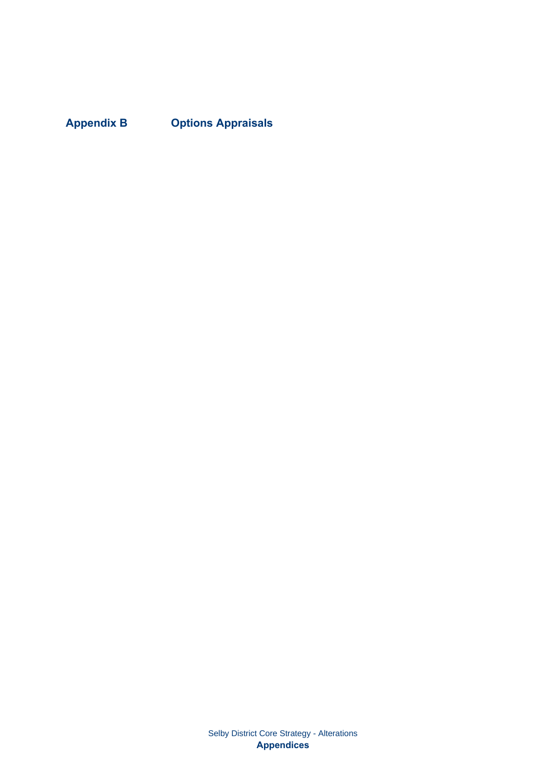**Appendix B Options Appraisals**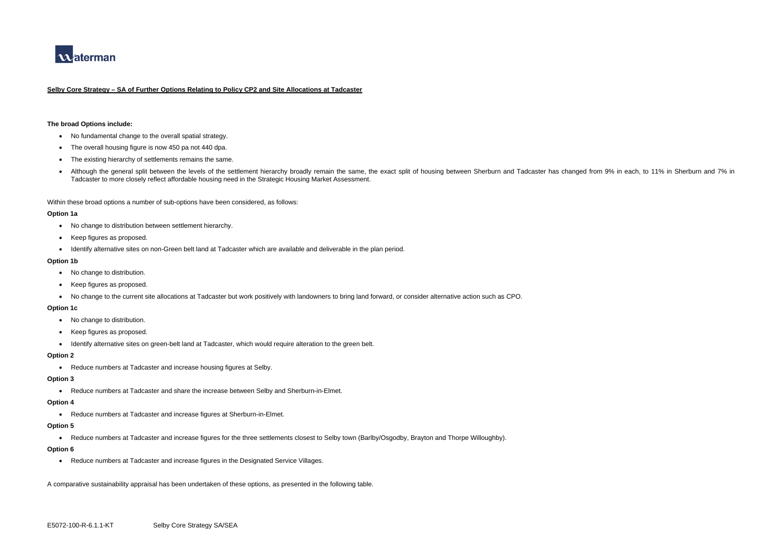

#### **Selby Core Strategy – SA of Further Options Relating to Policy CP2 and Site Allocations at Tadcaster**

#### **The broad Options include:**

- No fundamental change to the overall spatial strategy.
- The overall housing figure is now 450 pa not 440 dpa.
- The existing hierarchy of settlements remains the same.
- Although the general split between the levels of the settlement hierarchy broadly remain the same, the exact split of housing between Sherburn and Tadcaster has changed from 9% in each, to 11% in Sherburn and 7% in Tadcaster to more closely reflect affordable housing need in the Strategic Housing Market Assessment.

Within these broad options a number of sub-options have been considered, as follows:

#### **Option 1a**

- No change to distribution between settlement hierarchy.
- Keep figures as proposed.
- Identify alternative sites on non-Green belt land at Tadcaster which are available and deliverable in the plan period.

#### **Option 1b**

- No change to distribution.
- Keep figures as proposed.
- No change to the current site allocations at Tadcaster but work positively with landowners to bring land forward, or consider alternative action such as CPO.

#### **Option 1c**

- No change to distribution.
- Keep figures as proposed.
- Identify alternative sites on green-belt land at Tadcaster, which would require alteration to the green belt.

#### **Option 2**

• Reduce numbers at Tadcaster and increase housing figures at Selby.

#### **Option 3**

• Reduce numbers at Tadcaster and share the increase between Selby and Sherburn-in-Elmet.

#### **Option 4**

• Reduce numbers at Tadcaster and increase figures at Sherburn-in-Elmet.

#### **Option 5**

• Reduce numbers at Tadcaster and increase figures for the three settlements closest to Selby town (Barlby/Osgodby, Brayton and Thorpe Willoughby).

#### **Option 6**

• Reduce numbers at Tadcaster and increase figures in the Designated Service Villages.

A comparative sustainability appraisal has been undertaken of these options, as presented in the following table.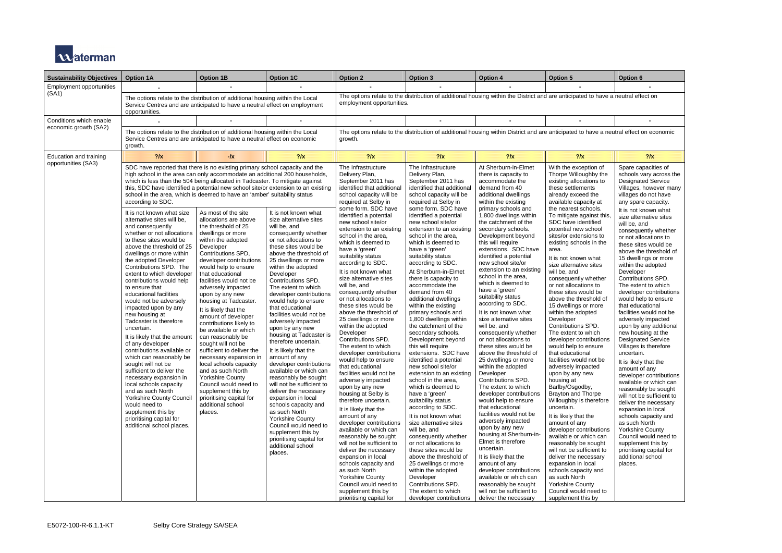

| <b>Sustainability Objectives</b> | <b>Option 1A</b>                                                                                                                                                                                                                                                                                                                                                                                                                                                                                                                                                                                                                                                                                                                                                                          | <b>Option 1B</b>                                                                                                                                                                                                                                                                                                                                                                                                 | <b>Option 1C</b>                                                                                                                                                                                                                                                                                                                                                                                                                                                                                                                                  | <b>Option 2</b>                                                                                                                                                                                                                                                                                                                                                                                                                                                                                                                                                                                                                                  | <b>Option 3</b>                                                                                                                                                                                                                                                                                                                                                                                                                                                                                                                                                                                                                     | <b>Option 4</b>                                                                                                                                                                                                                                                                                                                                                                                                                                                                                                                                                                                                               | <b>Option 5</b>                                                                                                                                                                                                                                                                                                                                                                                                                                                                                                                                                                                                       | Option 6                                                                                                                                                                                                                                                                                                                                                                                                                                                                                                                                                                                        |  |
|----------------------------------|-------------------------------------------------------------------------------------------------------------------------------------------------------------------------------------------------------------------------------------------------------------------------------------------------------------------------------------------------------------------------------------------------------------------------------------------------------------------------------------------------------------------------------------------------------------------------------------------------------------------------------------------------------------------------------------------------------------------------------------------------------------------------------------------|------------------------------------------------------------------------------------------------------------------------------------------------------------------------------------------------------------------------------------------------------------------------------------------------------------------------------------------------------------------------------------------------------------------|---------------------------------------------------------------------------------------------------------------------------------------------------------------------------------------------------------------------------------------------------------------------------------------------------------------------------------------------------------------------------------------------------------------------------------------------------------------------------------------------------------------------------------------------------|--------------------------------------------------------------------------------------------------------------------------------------------------------------------------------------------------------------------------------------------------------------------------------------------------------------------------------------------------------------------------------------------------------------------------------------------------------------------------------------------------------------------------------------------------------------------------------------------------------------------------------------------------|-------------------------------------------------------------------------------------------------------------------------------------------------------------------------------------------------------------------------------------------------------------------------------------------------------------------------------------------------------------------------------------------------------------------------------------------------------------------------------------------------------------------------------------------------------------------------------------------------------------------------------------|-------------------------------------------------------------------------------------------------------------------------------------------------------------------------------------------------------------------------------------------------------------------------------------------------------------------------------------------------------------------------------------------------------------------------------------------------------------------------------------------------------------------------------------------------------------------------------------------------------------------------------|-----------------------------------------------------------------------------------------------------------------------------------------------------------------------------------------------------------------------------------------------------------------------------------------------------------------------------------------------------------------------------------------------------------------------------------------------------------------------------------------------------------------------------------------------------------------------------------------------------------------------|-------------------------------------------------------------------------------------------------------------------------------------------------------------------------------------------------------------------------------------------------------------------------------------------------------------------------------------------------------------------------------------------------------------------------------------------------------------------------------------------------------------------------------------------------------------------------------------------------|--|
| <b>Employment opportunities</b>  |                                                                                                                                                                                                                                                                                                                                                                                                                                                                                                                                                                                                                                                                                                                                                                                           |                                                                                                                                                                                                                                                                                                                                                                                                                  |                                                                                                                                                                                                                                                                                                                                                                                                                                                                                                                                                   |                                                                                                                                                                                                                                                                                                                                                                                                                                                                                                                                                                                                                                                  |                                                                                                                                                                                                                                                                                                                                                                                                                                                                                                                                                                                                                                     |                                                                                                                                                                                                                                                                                                                                                                                                                                                                                                                                                                                                                               |                                                                                                                                                                                                                                                                                                                                                                                                                                                                                                                                                                                                                       |                                                                                                                                                                                                                                                                                                                                                                                                                                                                                                                                                                                                 |  |
| (SA1)                            | The options relate to the distribution of additional housing within the Local<br>Service Centres and are anticipated to have a neutral effect on employment<br>opportunities.                                                                                                                                                                                                                                                                                                                                                                                                                                                                                                                                                                                                             |                                                                                                                                                                                                                                                                                                                                                                                                                  |                                                                                                                                                                                                                                                                                                                                                                                                                                                                                                                                                   | The options relate to the distribution of additional housing within the District and are anticipated to have a neutral effect on<br>employment opportunities.                                                                                                                                                                                                                                                                                                                                                                                                                                                                                    |                                                                                                                                                                                                                                                                                                                                                                                                                                                                                                                                                                                                                                     |                                                                                                                                                                                                                                                                                                                                                                                                                                                                                                                                                                                                                               |                                                                                                                                                                                                                                                                                                                                                                                                                                                                                                                                                                                                                       |                                                                                                                                                                                                                                                                                                                                                                                                                                                                                                                                                                                                 |  |
| Conditions which enable          |                                                                                                                                                                                                                                                                                                                                                                                                                                                                                                                                                                                                                                                                                                                                                                                           |                                                                                                                                                                                                                                                                                                                                                                                                                  |                                                                                                                                                                                                                                                                                                                                                                                                                                                                                                                                                   |                                                                                                                                                                                                                                                                                                                                                                                                                                                                                                                                                                                                                                                  |                                                                                                                                                                                                                                                                                                                                                                                                                                                                                                                                                                                                                                     |                                                                                                                                                                                                                                                                                                                                                                                                                                                                                                                                                                                                                               |                                                                                                                                                                                                                                                                                                                                                                                                                                                                                                                                                                                                                       |                                                                                                                                                                                                                                                                                                                                                                                                                                                                                                                                                                                                 |  |
| economic growth (SA2)            | The options relate to the distribution of additional housing within the Local<br>Service Centres and are anticipated to have a neutral effect on economic<br>growth.                                                                                                                                                                                                                                                                                                                                                                                                                                                                                                                                                                                                                      |                                                                                                                                                                                                                                                                                                                                                                                                                  |                                                                                                                                                                                                                                                                                                                                                                                                                                                                                                                                                   | growth.                                                                                                                                                                                                                                                                                                                                                                                                                                                                                                                                                                                                                                          | The options relate to the distribution of additional housing within District and are anticipated to have a neutral effect on economic                                                                                                                                                                                                                                                                                                                                                                                                                                                                                               |                                                                                                                                                                                                                                                                                                                                                                                                                                                                                                                                                                                                                               |                                                                                                                                                                                                                                                                                                                                                                                                                                                                                                                                                                                                                       |                                                                                                                                                                                                                                                                                                                                                                                                                                                                                                                                                                                                 |  |
| Education and training           | $?$ /x                                                                                                                                                                                                                                                                                                                                                                                                                                                                                                                                                                                                                                                                                                                                                                                    | -/x                                                                                                                                                                                                                                                                                                                                                                                                              | $?$ /x                                                                                                                                                                                                                                                                                                                                                                                                                                                                                                                                            | $?$ /x                                                                                                                                                                                                                                                                                                                                                                                                                                                                                                                                                                                                                                           | $?$ /x                                                                                                                                                                                                                                                                                                                                                                                                                                                                                                                                                                                                                              | $?$ /x                                                                                                                                                                                                                                                                                                                                                                                                                                                                                                                                                                                                                        | $?$ /x                                                                                                                                                                                                                                                                                                                                                                                                                                                                                                                                                                                                                | $?$ /x                                                                                                                                                                                                                                                                                                                                                                                                                                                                                                                                                                                          |  |
| opportunities (SA3)              | SDC have reported that there is no existing primary school capacity and the<br>high school in the area can only accommodate an additional 200 households,<br>which is less than the 504 being allocated in Tadcaster. To mitigate against<br>this, SDC have identified a potential new school site/or extension to an existing<br>school in the area, which is deemed to have an 'amber' suitability status<br>according to SDC.<br>It is not known what size<br>alternative sites will be,<br>and consequently<br>whether or not allocations<br>to these sites would be<br>above the threshold of 25<br>dwellings or more within<br>the adopted Developer<br>Contributions SPD. The<br>extent to which developer<br>contributions would help<br>to ensure that<br>educational facilities | As most of the site<br>allocations are above<br>the threshold of 25<br>dwellings or more<br>within the adopted<br>Developer<br>Contributions SPD,<br>developer contributions<br>would help to ensure<br>that educational<br>facilities would not be<br>adversely impacted<br>upon by any new                                                                                                                     | It is not known what<br>size alternative sites<br>will be, and<br>consequently whether<br>or not allocations to<br>these sites would be<br>above the threshold of<br>25 dwellings or more<br>within the adopted<br>Developer<br>Contributions SPD.<br>The extent to which<br>developer contributions                                                                                                                                                                                                                                              | The Infrastructure<br>Delivery Plan,<br>September 2011 has<br>identified that additional<br>school capacity will be<br>required at Selby in<br>some form. SDC have<br>identified a potential<br>new school site/or<br>extension to an existing<br>school in the area,<br>which is deemed to<br>have a 'green'<br>suitability status<br>according to SDC.<br>It is not known what<br>size alternative sites<br>will be, and<br>consequently whether                                                                                                                                                                                               | The Infrastructure<br>Delivery Plan,<br>September 2011 has<br>identified that additional<br>school capacity will be<br>required at Selby in<br>some form. SDC have<br>identified a potential<br>new school site/or<br>extension to an existing<br>school in the area.<br>which is deemed to<br>have a 'green'<br>suitability status<br>according to SDC.<br>At Sherburn-in-Elmet<br>there is capacity to<br>accommodate the<br>demand from 40                                                                                                                                                                                       | At Sherburn-in-Elmet<br>there is capacity to<br>accommodate the<br>demand from 40<br>additional dwellings<br>within the existing<br>primary schools and<br>1,800 dwellings within<br>the catchment of the<br>secondary schools.<br>Development beyond<br>this will require<br>extensions. SDC have<br>identified a potential<br>new school site/or<br>extension to an existing<br>school in the area,<br>which is deemed to<br>have a 'green'                                                                                                                                                                                 | With the exception of<br>Thorpe Willoughby the<br>existing allocations to<br>these settlements<br>already exceed the<br>available capacity at<br>the nearest schools.<br>To mitigate against this,<br>SDC have identified<br>potential new school<br>sites/or extensions to<br>existing schools in the<br>area.<br>It is not known what<br>size alternative sites<br>will be, and<br>consequently whether<br>or not allocations to<br>these sites would be                                                                                                                                                            | Spare capacities of<br>schools vary across the<br><b>Designated Service</b><br>Villages, however many<br>villages do not have<br>any spare capacity.<br>It is not known what<br>size alternative sites<br>will be, and<br>consequently whether<br>or not allocations to<br>these sites would be<br>above the threshold of<br>15 dwellings or more<br>within the adopted<br>Developer<br>Contributions SPD.<br>The extent to which<br>developer contributions                                                                                                                                    |  |
|                                  | would not be adversely<br>impacted upon by any<br>new housing at<br>Tadcaster is therefore<br>uncertain.<br>It is likely that the amount<br>of any developer<br>contributions available or<br>which can reasonably be<br>sought will not be<br>sufficient to deliver the<br>necessary expansion in<br>local schools capacity<br>and as such North<br><b>Yorkshire County Council</b><br>would need to<br>supplement this by<br>prioritising capital for<br>additional school places.                                                                                                                                                                                                                                                                                                      | housing at Tadcaster.<br>It is likely that the<br>amount of developer<br>contributions likely to<br>be available or which<br>can reasonably be<br>sought will not be<br>sufficient to deliver the<br>necessary expansion in<br>local schools capacity<br>and as such North<br><b>Yorkshire County</b><br>Council would need to<br>supplement this by<br>prioritising capital for<br>additional school<br>places. | would help to ensure<br>that educational<br>facilities would not be<br>adversely impacted<br>upon by any new<br>housing at Tadcaster is<br>therefore uncertain.<br>It is likely that the<br>amount of any<br>developer contributions<br>available or which can<br>reasonably be sought<br>will not be sufficient to<br>deliver the necessary<br>expansion in local<br>schools capacity and<br>as such North<br><b>Yorkshire County</b><br>Council would need to<br>supplement this by<br>prioritising capital for<br>additional school<br>places. | or not allocations to<br>these sites would be<br>above the threshold of<br>25 dwellings or more<br>within the adopted<br>Developer<br>Contributions SPD.<br>The extent to which<br>developer contributions<br>would help to ensure<br>that educational<br>facilities would not be<br>adversely impacted<br>upon by any new<br>housing at Selby is<br>therefore uncertain.<br>It is likely that the<br>amount of any<br>developer contributions<br>available or which can<br>reasonably be sought<br>will not be sufficient to<br>deliver the necessary<br>expansion in local<br>schools capacity and<br>as such North<br><b>Yorkshire County</b> | additional dwellings<br>within the existing<br>primary schools and<br>1,800 dwellings within<br>the catchment of the<br>secondary schools.<br>Development beyond<br>this will require<br>extensions. SDC have<br>identified a potential<br>new school site/or<br>extension to an existing<br>school in the area,<br>which is deemed to<br>have a 'green'<br>suitability status<br>according to SDC.<br>It is not known what<br>size alternative sites<br>will be, and<br>consequently whether<br>or not allocations to<br>these sites would be<br>above the threshold of<br>25 dwellings or more<br>within the adopted<br>Developer | suitability status<br>according to SDC.<br>It is not known what<br>size alternative sites<br>will be, and<br>consequently whether<br>or not allocations to<br>these sites would be<br>above the threshold of<br>25 dwellings or more<br>within the adopted<br>Developer<br>Contributions SPD.<br>The extent to which<br>developer contributions<br>would help to ensure<br>that educational<br>facilities would not be<br>adversely impacted<br>upon by any new<br>housing at Sherburn-in-<br>Elmet is therefore<br>uncertain.<br>It is likely that the<br>amount of any<br>developer contributions<br>available or which can | above the threshold of<br>15 dwellings or more<br>within the adopted<br>Developer<br>Contributions SPD.<br>The extent to which<br>developer contributions<br>would help to ensure<br>that educational<br>facilities would not be<br>adversely impacted<br>upon by any new<br>housing at<br>Barlby/Osgodby,<br>Brayton and Thorpe<br>Willoughby is therefore<br>uncertain.<br>It is likely that the<br>amount of any<br>developer contributions<br>available or which can<br>reasonably be sought<br>will not be sufficient to<br>deliver the necessary<br>expansion in local<br>schools capacity and<br>as such North | would help to ensure<br>that educational<br>facilities would not be<br>adversely impacted<br>upon by any additional<br>new housing at the<br><b>Designated Service</b><br>Villages is therefore<br>uncertain.<br>It is likely that the<br>amount of any<br>developer contributions<br>available or which can<br>reasonably be sought<br>will not be sufficient to<br>deliver the necessary<br>expansion in local<br>schools capacity and<br>as such North<br><b>Yorkshire County</b><br>Council would need to<br>supplement this by<br>prioritising capital for<br>additional school<br>places. |  |
|                                  |                                                                                                                                                                                                                                                                                                                                                                                                                                                                                                                                                                                                                                                                                                                                                                                           |                                                                                                                                                                                                                                                                                                                                                                                                                  |                                                                                                                                                                                                                                                                                                                                                                                                                                                                                                                                                   | Council would need to<br>supplement this by<br>prioritising capital for                                                                                                                                                                                                                                                                                                                                                                                                                                                                                                                                                                          | Contributions SPD.<br>The extent to which<br>developer contributions                                                                                                                                                                                                                                                                                                                                                                                                                                                                                                                                                                | reasonably be sought<br>will not be sufficient to<br>deliver the necessary                                                                                                                                                                                                                                                                                                                                                                                                                                                                                                                                                    | <b>Yorkshire County</b><br>Council would need to<br>supplement this by                                                                                                                                                                                                                                                                                                                                                                                                                                                                                                                                                |                                                                                                                                                                                                                                                                                                                                                                                                                                                                                                                                                                                                 |  |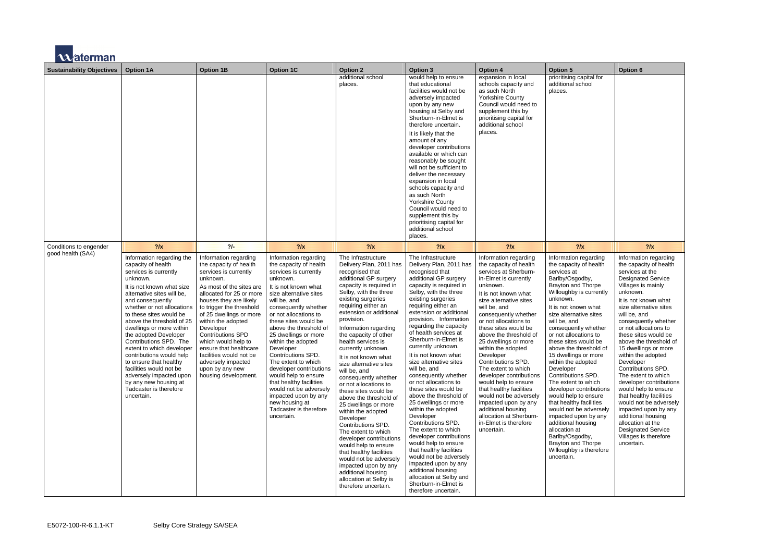

| <b>Sustainability Objectives</b> | <b>Option 1A</b>                                                                                                                                                                                                                                                                                                                                                                                                                                                                                                                                   | <b>Option 1B</b>                                                                                                                                                                                                                                                                                                                                                                                                                          | <b>Option 1C</b>                                                                                                                                                                                                                                                                                                                                                                                                                                                                                                                                            | <b>Option 2</b>                                                                                                                                                                                                                                                                                                                                                                                                                                                                                                                                                                                                                                                                                                                                                                                                        | <b>Option 3</b>                                                                                                                                                                                                                                                                                                                                                                                                                                                                                                                                                                                                                                                                                                                                                                                                                                                | <b>Option 4</b>                                                                                                                                                                                                                                                                                                                                                                                                                                                                                                                                                                                                    | <b>Option 5</b>                                                                                                                                                                                                                                                                                                                                                                                                                                                                                                                                                                                                                                                                                    | <b>Option 6</b>                                                                                                                                                                                                                                                                                                                                                                                                                                                                                                                                                                                                                                               |
|----------------------------------|----------------------------------------------------------------------------------------------------------------------------------------------------------------------------------------------------------------------------------------------------------------------------------------------------------------------------------------------------------------------------------------------------------------------------------------------------------------------------------------------------------------------------------------------------|-------------------------------------------------------------------------------------------------------------------------------------------------------------------------------------------------------------------------------------------------------------------------------------------------------------------------------------------------------------------------------------------------------------------------------------------|-------------------------------------------------------------------------------------------------------------------------------------------------------------------------------------------------------------------------------------------------------------------------------------------------------------------------------------------------------------------------------------------------------------------------------------------------------------------------------------------------------------------------------------------------------------|------------------------------------------------------------------------------------------------------------------------------------------------------------------------------------------------------------------------------------------------------------------------------------------------------------------------------------------------------------------------------------------------------------------------------------------------------------------------------------------------------------------------------------------------------------------------------------------------------------------------------------------------------------------------------------------------------------------------------------------------------------------------------------------------------------------------|----------------------------------------------------------------------------------------------------------------------------------------------------------------------------------------------------------------------------------------------------------------------------------------------------------------------------------------------------------------------------------------------------------------------------------------------------------------------------------------------------------------------------------------------------------------------------------------------------------------------------------------------------------------------------------------------------------------------------------------------------------------------------------------------------------------------------------------------------------------|--------------------------------------------------------------------------------------------------------------------------------------------------------------------------------------------------------------------------------------------------------------------------------------------------------------------------------------------------------------------------------------------------------------------------------------------------------------------------------------------------------------------------------------------------------------------------------------------------------------------|----------------------------------------------------------------------------------------------------------------------------------------------------------------------------------------------------------------------------------------------------------------------------------------------------------------------------------------------------------------------------------------------------------------------------------------------------------------------------------------------------------------------------------------------------------------------------------------------------------------------------------------------------------------------------------------------------|---------------------------------------------------------------------------------------------------------------------------------------------------------------------------------------------------------------------------------------------------------------------------------------------------------------------------------------------------------------------------------------------------------------------------------------------------------------------------------------------------------------------------------------------------------------------------------------------------------------------------------------------------------------|
|                                  |                                                                                                                                                                                                                                                                                                                                                                                                                                                                                                                                                    |                                                                                                                                                                                                                                                                                                                                                                                                                                           |                                                                                                                                                                                                                                                                                                                                                                                                                                                                                                                                                             | additional school<br>places.                                                                                                                                                                                                                                                                                                                                                                                                                                                                                                                                                                                                                                                                                                                                                                                           | would help to ensure<br>that educational<br>facilities would not be<br>adversely impacted<br>upon by any new<br>housing at Selby and<br>Sherburn-in-Elmet is<br>therefore uncertain.<br>It is likely that the<br>amount of any<br>developer contributions<br>available or which can<br>reasonably be sought<br>will not be sufficient to<br>deliver the necessary<br>expansion in local<br>schools capacity and<br>as such North<br><b>Yorkshire County</b><br>Council would need to<br>supplement this by<br>prioritising capital for<br>additional school<br>places.                                                                                                                                                                                                                                                                                         | expansion in local<br>schools capacity and<br>as such North<br><b>Yorkshire County</b><br>Council would need to<br>supplement this by<br>prioritising capital for<br>additional school<br>places.                                                                                                                                                                                                                                                                                                                                                                                                                  | prioritising capital for<br>additional school<br>places.                                                                                                                                                                                                                                                                                                                                                                                                                                                                                                                                                                                                                                           |                                                                                                                                                                                                                                                                                                                                                                                                                                                                                                                                                                                                                                                               |
| Conditions to engender           | $?$ /x                                                                                                                                                                                                                                                                                                                                                                                                                                                                                                                                             | $2/-$                                                                                                                                                                                                                                                                                                                                                                                                                                     | $?$ /x                                                                                                                                                                                                                                                                                                                                                                                                                                                                                                                                                      | $?$ /x                                                                                                                                                                                                                                                                                                                                                                                                                                                                                                                                                                                                                                                                                                                                                                                                                 | $?$ /x                                                                                                                                                                                                                                                                                                                                                                                                                                                                                                                                                                                                                                                                                                                                                                                                                                                         | $?$ /x                                                                                                                                                                                                                                                                                                                                                                                                                                                                                                                                                                                                             | $?$ /x                                                                                                                                                                                                                                                                                                                                                                                                                                                                                                                                                                                                                                                                                             | $?$ /x                                                                                                                                                                                                                                                                                                                                                                                                                                                                                                                                                                                                                                                        |
| good health (SA4)                | Information regarding the<br>capacity of health<br>services is currently<br>unknown.<br>It is not known what size<br>alternative sites will be.<br>and consequently<br>whether or not allocations<br>to these sites would be<br>above the threshold of 25<br>dwellings or more within<br>the adopted Developer<br>Contributions SPD. The<br>extent to which developer<br>contributions would help<br>to ensure that healthy<br>facilities would not be<br>adversely impacted upon<br>by any new housing at<br>Tadcaster is therefore<br>uncertain. | Information regarding<br>the capacity of health<br>services is currently<br>unknown.<br>As most of the sites are<br>allocated for 25 or more<br>houses they are likely<br>to trigger the threshold<br>of 25 dwellings or more<br>within the adopted<br>Developer<br><b>Contributions SPD</b><br>which would help to<br>ensure that healthcare<br>facilities would not be<br>adversely impacted<br>upon by any new<br>housing development. | Information regarding<br>the capacity of health<br>services is currently<br>unknown.<br>It is not known what<br>size alternative sites<br>will be, and<br>consequently whether<br>or not allocations to<br>these sites would be<br>above the threshold of<br>25 dwellings or more<br>within the adopted<br>Developer<br>Contributions SPD.<br>The extent to which<br>developer contributions<br>would help to ensure<br>that healthy facilities<br>would not be adversely<br>impacted upon by any<br>new housing at<br>Tadcaster is therefore<br>uncertain. | The Infrastructure<br>Delivery Plan, 2011 has<br>recognised that<br>additional GP surgery<br>capacity is required in<br>Selby, with the three<br>existing surgeries<br>requiring either an<br>extension or additional<br>provision.<br>Information regarding<br>the capacity of other<br>health services is<br>currently unknown.<br>It is not known what<br>size alternative sites<br>will be, and<br>consequently whether<br>or not allocations to<br>these sites would be<br>above the threshold of<br>25 dwellings or more<br>within the adopted<br>Developer<br>Contributions SPD.<br>The extent to which<br>developer contributions<br>would help to ensure<br>that healthy facilities<br>would not be adversely<br>impacted upon by any<br>additional housing<br>allocation at Selby is<br>therefore uncertain. | The Infrastructure<br>Delivery Plan, 2011 has<br>recognised that<br>additional GP surgery<br>capacity is required in<br>Selby, with the three<br>existing surgeries<br>requiring either an<br>extension or additional<br>provision. Information<br>regarding the capacity<br>of health services at<br>Sherburn-in-Elmet is<br>currently unknown.<br>It is not known what<br>size alternative sites<br>will be, and<br>consequently whether<br>or not allocations to<br>these sites would be<br>above the threshold of<br>25 dwellings or more<br>within the adopted<br>Developer<br>Contributions SPD.<br>The extent to which<br>developer contributions<br>would help to ensure<br>that healthy facilities<br>would not be adversely<br>impacted upon by any<br>additional housing<br>allocation at Selby and<br>Sherburn-in-Elmet is<br>therefore uncertain. | Information regarding<br>the capacity of health<br>services at Sherburn-<br>in-Elmet is currently<br>unknown.<br>It is not known what<br>size alternative sites<br>will be, and<br>consequently whether<br>or not allocations to<br>these sites would be<br>above the threshold of<br>25 dwellings or more<br>within the adopted<br>Developer<br>Contributions SPD.<br>The extent to which<br>developer contributions<br>would help to ensure<br>that healthy facilities<br>would not be adversely<br>impacted upon by any<br>additional housing<br>allocation at Sherburn-<br>in-Elmet is therefore<br>uncertain. | Information regarding<br>the capacity of health<br>services at<br>Barlby/Osgodby,<br><b>Brayton and Thorpe</b><br>Willoughby is currently<br>unknown.<br>It is not known what<br>size alternative sites<br>will be, and<br>consequently whether<br>or not allocations to<br>these sites would be<br>above the threshold of<br>15 dwellings or more<br>within the adopted<br>Developer<br>Contributions SPD.<br>The extent to which<br>developer contributions<br>would help to ensure<br>that healthy facilities<br>would not be adversely<br>impacted upon by any<br>additional housing<br>allocation at<br>Barlby/Osgodby,<br><b>Brayton and Thorpe</b><br>Willoughby is therefore<br>uncertain. | Information regarding<br>the capacity of health<br>services at the<br><b>Designated Service</b><br>Villages is mainly<br>unknown.<br>It is not known what<br>size alternative sites<br>will be, and<br>consequently whether<br>or not allocations to<br>these sites would be<br>above the threshold of<br>15 dwellings or more<br>within the adopted<br>Developer<br>Contributions SPD.<br>The extent to which<br>developer contributions<br>would help to ensure<br>that healthy facilities<br>would not be adversely<br>impacted upon by any<br>additional housing<br>allocation at the<br><b>Designated Service</b><br>Villages is therefore<br>uncertain. |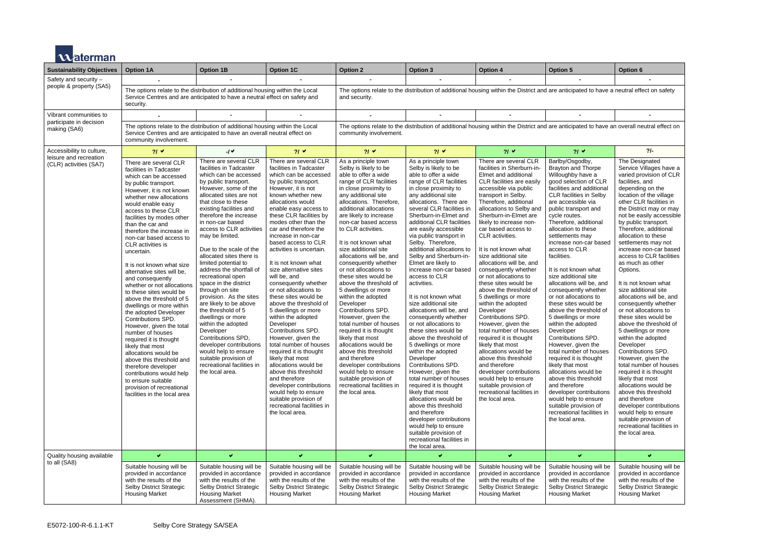

| <u>серпнян</u>                                   |                                                                                                                                                                                                                                                                                                                                                                                                                                                                                                                                                                                                                                                                                                                                                                                                                                                                                         |                                                                                                                                                                                                                                                                                                                                                                                                                                                                                                                                                                                                                                                                                                                                                                       |                                                                                                                                                                                                                                                                                                                                                                                                                                                                                                                                                                                                                                                                                                                                                                                                                                                                                                   |                                                                                                                                                                                                                                                                                                                                                                                                                                                                                                                                                                                                                                                                                                                                                                                                                                         |                                                                                                                                                                                                                                                                                                                                                                                                                                                                                                                                                                                                                                                                                                                                                                                                                                                                                                                                                                                                                                          |                                                                                                                                                                                                                                                                                                                                                                                                                                                                                                                                                                                                                                                                                                                                                                                                                                                                               |                                                                                                                                                                                                                                                                                                                                                                                                                                                                                                                                                                                                                                                                                                                                                                                                                                                                                                           |                                                                                                                                                                                                                                                                                                                                                                                                                                                                                                                                                                                                                                                                                                                                                                                                                                                                                                                                                                          |  |
|--------------------------------------------------|-----------------------------------------------------------------------------------------------------------------------------------------------------------------------------------------------------------------------------------------------------------------------------------------------------------------------------------------------------------------------------------------------------------------------------------------------------------------------------------------------------------------------------------------------------------------------------------------------------------------------------------------------------------------------------------------------------------------------------------------------------------------------------------------------------------------------------------------------------------------------------------------|-----------------------------------------------------------------------------------------------------------------------------------------------------------------------------------------------------------------------------------------------------------------------------------------------------------------------------------------------------------------------------------------------------------------------------------------------------------------------------------------------------------------------------------------------------------------------------------------------------------------------------------------------------------------------------------------------------------------------------------------------------------------------|---------------------------------------------------------------------------------------------------------------------------------------------------------------------------------------------------------------------------------------------------------------------------------------------------------------------------------------------------------------------------------------------------------------------------------------------------------------------------------------------------------------------------------------------------------------------------------------------------------------------------------------------------------------------------------------------------------------------------------------------------------------------------------------------------------------------------------------------------------------------------------------------------|-----------------------------------------------------------------------------------------------------------------------------------------------------------------------------------------------------------------------------------------------------------------------------------------------------------------------------------------------------------------------------------------------------------------------------------------------------------------------------------------------------------------------------------------------------------------------------------------------------------------------------------------------------------------------------------------------------------------------------------------------------------------------------------------------------------------------------------------|------------------------------------------------------------------------------------------------------------------------------------------------------------------------------------------------------------------------------------------------------------------------------------------------------------------------------------------------------------------------------------------------------------------------------------------------------------------------------------------------------------------------------------------------------------------------------------------------------------------------------------------------------------------------------------------------------------------------------------------------------------------------------------------------------------------------------------------------------------------------------------------------------------------------------------------------------------------------------------------------------------------------------------------|-------------------------------------------------------------------------------------------------------------------------------------------------------------------------------------------------------------------------------------------------------------------------------------------------------------------------------------------------------------------------------------------------------------------------------------------------------------------------------------------------------------------------------------------------------------------------------------------------------------------------------------------------------------------------------------------------------------------------------------------------------------------------------------------------------------------------------------------------------------------------------|-----------------------------------------------------------------------------------------------------------------------------------------------------------------------------------------------------------------------------------------------------------------------------------------------------------------------------------------------------------------------------------------------------------------------------------------------------------------------------------------------------------------------------------------------------------------------------------------------------------------------------------------------------------------------------------------------------------------------------------------------------------------------------------------------------------------------------------------------------------------------------------------------------------|--------------------------------------------------------------------------------------------------------------------------------------------------------------------------------------------------------------------------------------------------------------------------------------------------------------------------------------------------------------------------------------------------------------------------------------------------------------------------------------------------------------------------------------------------------------------------------------------------------------------------------------------------------------------------------------------------------------------------------------------------------------------------------------------------------------------------------------------------------------------------------------------------------------------------------------------------------------------------|--|
| <b>Sustainability Objectives</b>                 | <b>Option 1A</b>                                                                                                                                                                                                                                                                                                                                                                                                                                                                                                                                                                                                                                                                                                                                                                                                                                                                        | <b>Option 1B</b>                                                                                                                                                                                                                                                                                                                                                                                                                                                                                                                                                                                                                                                                                                                                                      | <b>Option 1C</b>                                                                                                                                                                                                                                                                                                                                                                                                                                                                                                                                                                                                                                                                                                                                                                                                                                                                                  | <b>Option 2</b>                                                                                                                                                                                                                                                                                                                                                                                                                                                                                                                                                                                                                                                                                                                                                                                                                         | <b>Option 3</b>                                                                                                                                                                                                                                                                                                                                                                                                                                                                                                                                                                                                                                                                                                                                                                                                                                                                                                                                                                                                                          | <b>Option 4</b>                                                                                                                                                                                                                                                                                                                                                                                                                                                                                                                                                                                                                                                                                                                                                                                                                                                               | <b>Option 5</b>                                                                                                                                                                                                                                                                                                                                                                                                                                                                                                                                                                                                                                                                                                                                                                                                                                                                                           | Option 6                                                                                                                                                                                                                                                                                                                                                                                                                                                                                                                                                                                                                                                                                                                                                                                                                                                                                                                                                                 |  |
| Safety and security -<br>people & property (SA5) | The options relate to the distribution of additional housing within the Local<br>Service Centres and are anticipated to have a neutral effect on safety and<br>security.                                                                                                                                                                                                                                                                                                                                                                                                                                                                                                                                                                                                                                                                                                                |                                                                                                                                                                                                                                                                                                                                                                                                                                                                                                                                                                                                                                                                                                                                                                       |                                                                                                                                                                                                                                                                                                                                                                                                                                                                                                                                                                                                                                                                                                                                                                                                                                                                                                   | The options relate to the distribution of additional housing within the District and are anticipated to have a neutral effect on safety<br>and security.                                                                                                                                                                                                                                                                                                                                                                                                                                                                                                                                                                                                                                                                                |                                                                                                                                                                                                                                                                                                                                                                                                                                                                                                                                                                                                                                                                                                                                                                                                                                                                                                                                                                                                                                          |                                                                                                                                                                                                                                                                                                                                                                                                                                                                                                                                                                                                                                                                                                                                                                                                                                                                               |                                                                                                                                                                                                                                                                                                                                                                                                                                                                                                                                                                                                                                                                                                                                                                                                                                                                                                           |                                                                                                                                                                                                                                                                                                                                                                                                                                                                                                                                                                                                                                                                                                                                                                                                                                                                                                                                                                          |  |
| Vibrant communities to                           |                                                                                                                                                                                                                                                                                                                                                                                                                                                                                                                                                                                                                                                                                                                                                                                                                                                                                         |                                                                                                                                                                                                                                                                                                                                                                                                                                                                                                                                                                                                                                                                                                                                                                       |                                                                                                                                                                                                                                                                                                                                                                                                                                                                                                                                                                                                                                                                                                                                                                                                                                                                                                   |                                                                                                                                                                                                                                                                                                                                                                                                                                                                                                                                                                                                                                                                                                                                                                                                                                         | $\blacksquare$                                                                                                                                                                                                                                                                                                                                                                                                                                                                                                                                                                                                                                                                                                                                                                                                                                                                                                                                                                                                                           |                                                                                                                                                                                                                                                                                                                                                                                                                                                                                                                                                                                                                                                                                                                                                                                                                                                                               | $\blacksquare$                                                                                                                                                                                                                                                                                                                                                                                                                                                                                                                                                                                                                                                                                                                                                                                                                                                                                            |                                                                                                                                                                                                                                                                                                                                                                                                                                                                                                                                                                                                                                                                                                                                                                                                                                                                                                                                                                          |  |
| participate in decision<br>making (SA6)          | The options relate to the distribution of additional housing within the Local<br>Service Centres and are anticipated to have an overall neutral effect on<br>community involvement.                                                                                                                                                                                                                                                                                                                                                                                                                                                                                                                                                                                                                                                                                                     |                                                                                                                                                                                                                                                                                                                                                                                                                                                                                                                                                                                                                                                                                                                                                                       |                                                                                                                                                                                                                                                                                                                                                                                                                                                                                                                                                                                                                                                                                                                                                                                                                                                                                                   | community involvement.                                                                                                                                                                                                                                                                                                                                                                                                                                                                                                                                                                                                                                                                                                                                                                                                                  | The options relate to the distribution of additional housing within the District and are anticipated to have an overall neutral effect on                                                                                                                                                                                                                                                                                                                                                                                                                                                                                                                                                                                                                                                                                                                                                                                                                                                                                                |                                                                                                                                                                                                                                                                                                                                                                                                                                                                                                                                                                                                                                                                                                                                                                                                                                                                               |                                                                                                                                                                                                                                                                                                                                                                                                                                                                                                                                                                                                                                                                                                                                                                                                                                                                                                           |                                                                                                                                                                                                                                                                                                                                                                                                                                                                                                                                                                                                                                                                                                                                                                                                                                                                                                                                                                          |  |
| Accessibility to culture,                        | $21 \times$                                                                                                                                                                                                                                                                                                                                                                                                                                                                                                                                                                                                                                                                                                                                                                                                                                                                             | $-1$                                                                                                                                                                                                                                                                                                                                                                                                                                                                                                                                                                                                                                                                                                                                                                  | $21 \times$                                                                                                                                                                                                                                                                                                                                                                                                                                                                                                                                                                                                                                                                                                                                                                                                                                                                                       | $21 \times$                                                                                                                                                                                                                                                                                                                                                                                                                                                                                                                                                                                                                                                                                                                                                                                                                             | $21 \times$                                                                                                                                                                                                                                                                                                                                                                                                                                                                                                                                                                                                                                                                                                                                                                                                                                                                                                                                                                                                                              | $21 \times$                                                                                                                                                                                                                                                                                                                                                                                                                                                                                                                                                                                                                                                                                                                                                                                                                                                                   | $21 \times$                                                                                                                                                                                                                                                                                                                                                                                                                                                                                                                                                                                                                                                                                                                                                                                                                                                                                               | $2/-$                                                                                                                                                                                                                                                                                                                                                                                                                                                                                                                                                                                                                                                                                                                                                                                                                                                                                                                                                                    |  |
| leisure and recreation<br>(CLR) activities (SA7) | There are several CLR<br>facilities in Tadcaster<br>which can be accessed<br>by public transport.<br>However, it is not known<br>whether new allocations<br>would enable easy<br>access to these CLR<br>facilities by modes other<br>than the car and<br>therefore the increase in<br>non-car based access to<br>CLR activities is<br>uncertain.<br>It is not known what size<br>alternative sites will be,<br>and consequently<br>whether or not allocations<br>to these sites would be<br>above the threshold of 5<br>dwellings or more within<br>the adopted Developer<br>Contributions SPD.<br>However, given the total<br>number of houses<br>required it is thought<br>likely that most<br>allocations would be<br>above this threshold and<br>therefore developer<br>contributions would help<br>to ensure suitable<br>provision of recreational<br>facilities in the local area | There are several CLR<br>facilities in Tadcaster<br>which can be accessed<br>by public transport.<br>However, some of the<br>allocated sites are not<br>that close to these<br>existing facilities and<br>therefore the increase<br>in non-car based<br>access to CLR activities<br>may be limited.<br>Due to the scale of the<br>allocated sites there is<br>limited potential to<br>address the shortfall of<br>recreational open<br>space in the district<br>through on site<br>provision. As the sites<br>are likely to be above<br>the threshold of 5<br>dwellings or more<br>within the adopted<br>Developer<br>Contributions SPD,<br>developer contributions<br>would help to ensure<br>suitable provision of<br>recreational facilities in<br>the local area. | There are several CLR<br>facilities in Tadcaster<br>which can be accessed<br>by public transport.<br>However, it is not<br>known whether new<br>allocations would<br>enable easy access to<br>these CLR facilities by<br>modes other than the<br>car and therefore the<br>increase in non-car<br>based access to CLR<br>activities is uncertain.<br>It is not known what<br>size alternative sites<br>will be, and<br>consequently whether<br>or not allocations to<br>these sites would be<br>above the threshold of<br>5 dwellings or more<br>within the adopted<br>Developer<br>Contributions SPD.<br>However, given the<br>total number of houses<br>required it is thought<br>likely that most<br>allocations would be<br>above this threshold<br>and therefore<br>developer contributions<br>would help to ensure<br>suitable provision of<br>recreational facilities in<br>the local area. | As a principle town<br>Selby is likely to be<br>able to offer a wide<br>range of CLR facilities<br>in close proximity to<br>any additional site<br>allocations. Therefore,<br>additional allocations<br>are likely to increase<br>non-car based access<br>to CLR activities.<br>It is not known what<br>size additional site<br>allocations will be, and<br>consequently whether<br>or not allocations to<br>these sites would be<br>above the threshold of<br>5 dwellings or more<br>within the adopted<br>Developer<br>Contributions SPD.<br>However, given the<br>total number of houses<br>required it is thought<br>likely that most<br>allocations would be<br>above this threshold<br>and therefore<br>developer contributions<br>would help to ensure<br>suitable provision of<br>recreational facilities in<br>the local area. | As a principle town<br>Selby is likely to be<br>able to offer a wide<br>range of CLR facilities<br>in close proximity to<br>any additional site<br>allocations. There are<br>several CLR facilities in<br>Sherburn-in-Elmet and<br>additional CLR facilities<br>are easily accessible<br>via public transport in<br>Selby. Therefore,<br>additional allocations to<br>Selby and Sherburn-in-<br>Elmet are likely to<br>increase non-car based<br>access to CLR<br>activities.<br>It is not known what<br>size additional site<br>allocations will be, and<br>consequently whether<br>or not allocations to<br>these sites would be<br>above the threshold of<br>5 dwellings or more<br>within the adopted<br>Developer<br>Contributions SPD.<br>However, given the<br>total number of houses<br>required it is thought<br>likely that most<br>allocations would be<br>above this threshold<br>and therefore<br>developer contributions<br>would help to ensure<br>suitable provision of<br>recreational facilities in<br>the local area. | There are several CLR<br>facilities in Sherburn-in-<br>Elmet and additional<br>CLR facilities are easily<br>accessible via public<br>transport in Selby.<br>Therefore, additional<br>allocations to Selby and<br>Sherburn-in-Elmet are<br>likely to increase non-<br>car based access to<br>CLR activities.<br>It is not known what<br>size additional site<br>allocations will be, and<br>consequently whether<br>or not allocations to<br>these sites would be<br>above the threshold of<br>5 dwellings or more<br>within the adopted<br>Developer<br><b>Contributions SPD.</b><br>However, given the<br>total number of houses<br>required it is thought<br>likely that most<br>allocations would be<br>above this threshold<br>and therefore<br>developer contributions<br>would help to ensure<br>suitable provision of<br>recreational facilities in<br>the local area. | Barlby/Osgodby,<br><b>Brayton and Thorpe</b><br>Willoughby have a<br>good selection of CLR<br>facilities and additional<br>CLR facilities in Selby<br>are accessible via<br>public transport and<br>cycle routes.<br>Therefore, additional<br>allocation to these<br>settlements may<br>increase non-car based<br>access to CLR<br>facilities.<br>It is not known what<br>size additional site<br>allocations will be, and<br>consequently whether<br>or not allocations to<br>these sites would be<br>above the threshold of<br>5 dwellings or more<br>within the adopted<br>Developer<br>Contributions SPD.<br>However, given the<br>total number of houses<br>required it is thought<br>likely that most<br>allocations would be<br>above this threshold<br>and therefore<br>developer contributions<br>would help to ensure<br>suitable provision of<br>recreational facilities in<br>the local area. | The Designated<br>Service Villages have a<br>varied provision of CLR<br>facilities, and<br>depending on the<br>location of the village<br>other CLR facilities in<br>the District may or may<br>not be easily accessible<br>by public transport.<br>Therefore, additional<br>allocation to these<br>settlements may not<br>increase non-car based<br>access to CLR facilities<br>as much as other<br>Options.<br>It is not known what<br>size additional site<br>allocations will be, and<br>consequently whether<br>or not allocations to<br>these sites would be<br>above the threshold of<br>5 dwellings or more<br>within the adopted<br>Developer<br>Contributions SPD.<br>However, given the<br>total number of houses<br>required it is thought<br>likely that most<br>allocations would be<br>above this threshold<br>and therefore<br>developer contributions<br>would help to ensure<br>suitable provision of<br>recreational facilities in<br>the local area. |  |
| Quality housing available                        | $\blacktriangledown$                                                                                                                                                                                                                                                                                                                                                                                                                                                                                                                                                                                                                                                                                                                                                                                                                                                                    | ✔                                                                                                                                                                                                                                                                                                                                                                                                                                                                                                                                                                                                                                                                                                                                                                     | $\blacktriangledown$                                                                                                                                                                                                                                                                                                                                                                                                                                                                                                                                                                                                                                                                                                                                                                                                                                                                              | ✔                                                                                                                                                                                                                                                                                                                                                                                                                                                                                                                                                                                                                                                                                                                                                                                                                                       |                                                                                                                                                                                                                                                                                                                                                                                                                                                                                                                                                                                                                                                                                                                                                                                                                                                                                                                                                                                                                                          | $\blacktriangledown$                                                                                                                                                                                                                                                                                                                                                                                                                                                                                                                                                                                                                                                                                                                                                                                                                                                          | v.                                                                                                                                                                                                                                                                                                                                                                                                                                                                                                                                                                                                                                                                                                                                                                                                                                                                                                        | ✔                                                                                                                                                                                                                                                                                                                                                                                                                                                                                                                                                                                                                                                                                                                                                                                                                                                                                                                                                                        |  |
| to all (SA8)                                     | Suitable housing will be<br>provided in accordance<br>with the results of the<br>Selby District Strategic<br><b>Housing Market</b>                                                                                                                                                                                                                                                                                                                                                                                                                                                                                                                                                                                                                                                                                                                                                      | Suitable housing will be<br>provided in accordance<br>with the results of the<br>Selby District Strategic<br><b>Housing Market</b><br>Assessment (SHMA).                                                                                                                                                                                                                                                                                                                                                                                                                                                                                                                                                                                                              | Suitable housing will be<br>provided in accordance<br>with the results of the<br>Selby District Strategic<br><b>Housing Market</b>                                                                                                                                                                                                                                                                                                                                                                                                                                                                                                                                                                                                                                                                                                                                                                | Suitable housing will be<br>provided in accordance<br>with the results of the<br>Selby District Strategic<br><b>Housing Market</b>                                                                                                                                                                                                                                                                                                                                                                                                                                                                                                                                                                                                                                                                                                      | Suitable housing will be<br>provided in accordance<br>with the results of the<br>Selby District Strategic<br><b>Housing Market</b>                                                                                                                                                                                                                                                                                                                                                                                                                                                                                                                                                                                                                                                                                                                                                                                                                                                                                                       | Suitable housing will be<br>provided in accordance<br>with the results of the<br>Selby District Strategic<br><b>Housing Market</b>                                                                                                                                                                                                                                                                                                                                                                                                                                                                                                                                                                                                                                                                                                                                            | Suitable housing will be<br>provided in accordance<br>with the results of the<br>Selby District Strategic<br><b>Housing Market</b>                                                                                                                                                                                                                                                                                                                                                                                                                                                                                                                                                                                                                                                                                                                                                                        | Suitable housing will be<br>provided in accordance<br>with the results of the<br>Selby District Strategic<br><b>Housing Market</b>                                                                                                                                                                                                                                                                                                                                                                                                                                                                                                                                                                                                                                                                                                                                                                                                                                       |  |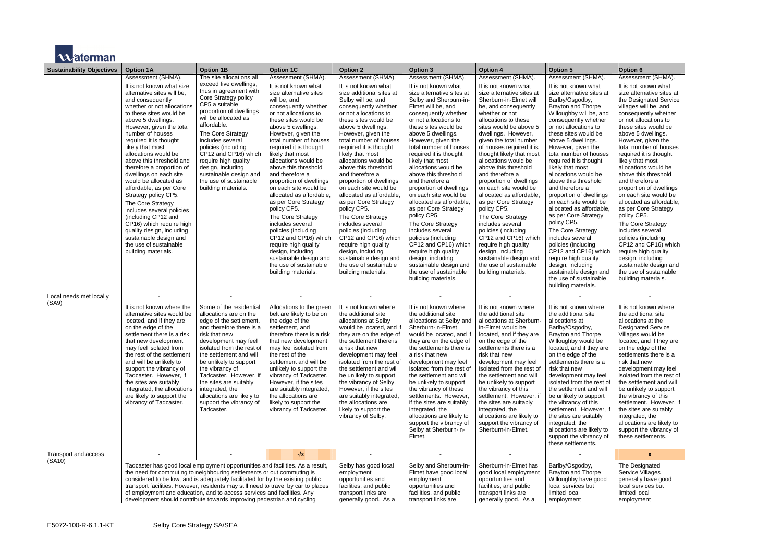

| <b>Sustainability Objectives</b> | <b>Option 1A</b>                                                                                                                                                                                                                                                                                                                                                                                                                                                                                                                                                                                                                                                                   | <b>Option 1B</b>                                                                                                                                                                                                                                                                                                                                                                                         | <b>Option 1C</b>                                                                                                                                                                                                                                                                                                                                                                                                                                                                                                                                                                                                                                                                            | <b>Option 2</b>                                                                                                                                                                                                                                                                                                                                                                                                                                                                                                                                                                                                                                                                                     | <b>Option 3</b>                                                                                                                                                                                                                                                                                                                                                                                                                                                                                                                                                                                                                                                                                                                | <b>Option 4</b>                                                                                                                                                                                                                                                                                                                                                                                                                                                                                                                                                                                                                                                                                                  | <b>Option 5</b>                                                                                                                                                                                                                                                                                                                                                                                                                                                                                                                                                                                                                                                                                                                                           | <b>Option 6</b>                                                                                                                                                                                                                                                                                                                                                                                                                                                                                                                                                                                                                                                                                                                   |
|----------------------------------|------------------------------------------------------------------------------------------------------------------------------------------------------------------------------------------------------------------------------------------------------------------------------------------------------------------------------------------------------------------------------------------------------------------------------------------------------------------------------------------------------------------------------------------------------------------------------------------------------------------------------------------------------------------------------------|----------------------------------------------------------------------------------------------------------------------------------------------------------------------------------------------------------------------------------------------------------------------------------------------------------------------------------------------------------------------------------------------------------|---------------------------------------------------------------------------------------------------------------------------------------------------------------------------------------------------------------------------------------------------------------------------------------------------------------------------------------------------------------------------------------------------------------------------------------------------------------------------------------------------------------------------------------------------------------------------------------------------------------------------------------------------------------------------------------------|-----------------------------------------------------------------------------------------------------------------------------------------------------------------------------------------------------------------------------------------------------------------------------------------------------------------------------------------------------------------------------------------------------------------------------------------------------------------------------------------------------------------------------------------------------------------------------------------------------------------------------------------------------------------------------------------------------|--------------------------------------------------------------------------------------------------------------------------------------------------------------------------------------------------------------------------------------------------------------------------------------------------------------------------------------------------------------------------------------------------------------------------------------------------------------------------------------------------------------------------------------------------------------------------------------------------------------------------------------------------------------------------------------------------------------------------------|------------------------------------------------------------------------------------------------------------------------------------------------------------------------------------------------------------------------------------------------------------------------------------------------------------------------------------------------------------------------------------------------------------------------------------------------------------------------------------------------------------------------------------------------------------------------------------------------------------------------------------------------------------------------------------------------------------------|-----------------------------------------------------------------------------------------------------------------------------------------------------------------------------------------------------------------------------------------------------------------------------------------------------------------------------------------------------------------------------------------------------------------------------------------------------------------------------------------------------------------------------------------------------------------------------------------------------------------------------------------------------------------------------------------------------------------------------------------------------------|-----------------------------------------------------------------------------------------------------------------------------------------------------------------------------------------------------------------------------------------------------------------------------------------------------------------------------------------------------------------------------------------------------------------------------------------------------------------------------------------------------------------------------------------------------------------------------------------------------------------------------------------------------------------------------------------------------------------------------------|
|                                  | Assessment (SHMA).<br>It is not known what size<br>alternative sites will be,<br>and consequently<br>whether or not allocations<br>to these sites would be<br>above 5 dwellings.<br>However, given the total<br>number of houses<br>required it is thought<br>likely that most<br>allocations would be<br>above this threshold and<br>therefore a proportion of<br>dwellings on each site<br>would be allocated as<br>affordable, as per Core<br>Strategy policy CP5.<br>The Core Strategy<br>includes several policies<br>(including CP12 and<br>CP16) which require high<br>quality design, including<br>sustainable design and<br>the use of sustainable<br>building materials. | The site allocations all<br>exceed five dwellings,<br>thus in agreement with<br>Core Strategy policy<br>CP5 a suitable<br>proportion of dwellings<br>will be allocated as<br>affordable.<br>The Core Strategy<br>includes several<br>policies (including<br>CP12 and CP16) which<br>require high quality<br>design, including<br>sustainable design and<br>the use of sustainable<br>building materials. | Assessment (SHMA).<br>It is not known what<br>size alternative sites<br>will be, and<br>consequently whether<br>or not allocations to<br>these sites would be<br>above 5 dwellings.<br>However, given the<br>total number of houses<br>required it is thought<br>likely that most<br>allocations would be<br>above this threshold<br>and therefore a<br>proportion of dwellings<br>on each site would be<br>allocated as affordable,<br>as per Core Strategy<br>policy CP5.<br>The Core Strategy<br>includes several<br>policies (including<br>CP12 and CP16) which<br>require high quality<br>design, including<br>sustainable design and<br>the use of sustainable<br>building materials. | Assessment (SHMA).<br>It is not known what<br>size additional sites at<br>Selby will be, and<br>consequently whether<br>or not allocations to<br>these sites would be<br>above 5 dwellings.<br>However, given the<br>total number of houses<br>required it is thought<br>likely that most<br>allocations would be<br>above this threshold<br>and therefore a<br>proportion of dwellings<br>on each site would be<br>allocated as affordable,<br>as per Core Strategy<br>policy CP5.<br>The Core Strategy<br>includes several<br>policies (including<br>CP12 and CP16) which<br>require high quality<br>design, including<br>sustainable design and<br>the use of sustainable<br>building materials. | Assessment (SHMA).<br>It is not known what<br>size alternative sites at<br>Selby and Sherburn-in-<br>Elmet will be, and<br>consequently whether<br>or not allocations to<br>these sites would be<br>above 5 dwellings.<br>However, given the<br>total number of houses<br>required it is thought<br>likely that most<br>allocations would be<br>above this threshold<br>and therefore a<br>proportion of dwellings<br>on each site would be<br>allocated as affordable,<br>as per Core Strategy<br>policy CP5.<br>The Core Strategy<br>includes several<br>policies (including<br>CP12 and CP16) which<br>require high quality<br>design, including<br>sustainable design and<br>the use of sustainable<br>building materials. | Assessment (SHMA).<br>It is not known what<br>size alternative sites at<br>Sherburn-in-Elmet will<br>be, and consequently<br>whether or not<br>allocations to these<br>sites would be above 5<br>dwellings. However,<br>given the total number<br>of houses required it is<br>thought likely that most<br>allocations would be<br>above this threshold<br>and therefore a<br>proportion of dwellings<br>on each site would be<br>allocated as affordable,<br>as per Core Strategy<br>policy CP5.<br>The Core Strategy<br>includes several<br>policies (including<br>CP12 and CP16) which<br>require high quality<br>design, including<br>sustainable design and<br>the use of sustainable<br>building materials. | Assessment (SHMA).<br>It is not known what<br>size alternative sites at<br>Barlby/Osgodby,<br><b>Brayton and Thorpe</b><br>Willoughby will be, and<br>consequently whether<br>or not allocations to<br>these sites would be<br>above 5 dwellings.<br>However, given the<br>total number of houses<br>required it is thought<br>likely that most<br>allocations would be<br>above this threshold<br>and therefore a<br>proportion of dwellings<br>on each site would be<br>allocated as affordable.<br>as per Core Strategy<br>policy CP5.<br>The Core Strategy<br>includes several<br>policies (including<br>CP12 and CP16) which<br>require high quality<br>design, including<br>sustainable design and<br>the use of sustainable<br>building materials. | Assessment (SHMA).<br>It is not known what<br>size alternative sites at<br>the Designated Service<br>villages will be, and<br>consequently whether<br>or not allocations to<br>these sites would be<br>above 5 dwellings.<br>However, given the<br>total number of houses<br>required it is thought<br>likely that most<br>allocations would be<br>above this threshold<br>and therefore a<br>proportion of dwellings<br>on each site would be<br>allocated as affordable,<br>as per Core Strategy<br>policy CP5.<br>The Core Strategy<br>includes several<br>policies (including<br>CP12 and CP16) which<br>require high quality<br>design, including<br>sustainable design and<br>the use of sustainable<br>building materials. |
| Local needs met locally          |                                                                                                                                                                                                                                                                                                                                                                                                                                                                                                                                                                                                                                                                                    |                                                                                                                                                                                                                                                                                                                                                                                                          |                                                                                                                                                                                                                                                                                                                                                                                                                                                                                                                                                                                                                                                                                             |                                                                                                                                                                                                                                                                                                                                                                                                                                                                                                                                                                                                                                                                                                     |                                                                                                                                                                                                                                                                                                                                                                                                                                                                                                                                                                                                                                                                                                                                |                                                                                                                                                                                                                                                                                                                                                                                                                                                                                                                                                                                                                                                                                                                  |                                                                                                                                                                                                                                                                                                                                                                                                                                                                                                                                                                                                                                                                                                                                                           |                                                                                                                                                                                                                                                                                                                                                                                                                                                                                                                                                                                                                                                                                                                                   |
| (SA9)                            | It is not known where the<br>alternative sites would be<br>located, and if they are<br>on the edge of the<br>settlement there is a risk<br>that new development<br>may feel isolated from<br>the rest of the settlement<br>and will be unlikely to<br>support the vibrancy of<br>Tadcaster. However, if<br>the sites are suitably<br>integrated, the allocations<br>are likely to support the<br>vibrancy of Tadcaster.                                                                                                                                                                                                                                                            | Some of the residential<br>allocations are on the<br>edge of the settlement,<br>and therefore there is a<br>risk that new<br>development may feel<br>isolated from the rest of<br>the settlement and will<br>be unlikely to support<br>the vibrancy of<br>Tadcaster. However, if<br>the sites are suitably<br>integrated, the<br>allocations are likely to<br>support the vibrancy of<br>Tadcaster.      | Allocations to the green<br>belt are likely to be on<br>the edge of the<br>settlement, and<br>therefore there is a risk<br>that new development<br>may feel isolated from<br>the rest of the<br>settlement and will be<br>unlikely to support the<br>vibrancy of Tadcaster.<br>However, if the sites<br>are suitably integrated,<br>the allocations are<br>likely to support the<br>vibrancy of Tadcaster.                                                                                                                                                                                                                                                                                  | It is not known where<br>the additional site<br>allocations at Selby<br>would be located, and if<br>they are on the edge of<br>the settlement there is<br>a risk that new<br>development may feel<br>isolated from the rest of<br>the settlement and will<br>be unlikely to support<br>the vibrancy of Selby.<br>However, if the sites<br>are suitably integrated,<br>the allocations are<br>likely to support the<br>vibrancy of Selby.                                                                                                                                                                                                                                                            | It is not known where<br>the additional site<br>allocations at Selby and<br>Sherburn-in-Elmet<br>would be located, and if<br>they are on the edge of<br>the settlements there is<br>a risk that new<br>development may feel<br>isolated from the rest of<br>the settlement and will<br>be unlikely to support<br>the vibrancy of these<br>settlements. However,<br>if the sites are suitably<br>integrated, the<br>allocations are likely to<br>support the vibrancy of<br>Selby at Sherburn-in-<br>Elmet.                                                                                                                                                                                                                     | It is not known where<br>the additional site<br>allocations at Sherburn-<br>in-Elmet would be<br>located, and if they are<br>on the edge of the<br>settlements there is a<br>risk that new<br>development may feel<br>isolated from the rest of<br>the settlement and will<br>be unlikely to support<br>the vibrancy of this<br>settlement. However, if<br>the sites are suitably<br>integrated, the<br>allocations are likely to<br>support the vibrancy of<br>Sherburn-in-Elmet.                                                                                                                                                                                                                               | It is not known where<br>the additional site<br>allocations at<br>Barlby/Osgodby,<br><b>Brayton and Thorpe</b><br>Willoughby would be<br>located, and if they are<br>on the edge of the<br>settlements there is a<br>risk that new<br>development may feel<br>isolated from the rest of<br>the settlement and will<br>be unlikely to support<br>the vibrancy of this<br>settlement. However, if<br>the sites are suitably<br>integrated, the<br>allocations are likely to<br>support the vibrancy of<br>these settlements.                                                                                                                                                                                                                                | It is not known where<br>the additional site<br>allocations at the<br><b>Designated Service</b><br>Villages would be<br>located, and if they are<br>on the edge of the<br>settlements there is a<br>risk that new<br>development may feel<br>isolated from the rest of<br>the settlement and will<br>be unlikely to support<br>the vibrancy of this<br>settlement. However, if<br>the sites are suitably<br>integrated, the<br>allocations are likely to<br>support the vibrancy of<br>these settlements.                                                                                                                                                                                                                         |
| Transport and access             |                                                                                                                                                                                                                                                                                                                                                                                                                                                                                                                                                                                                                                                                                    |                                                                                                                                                                                                                                                                                                                                                                                                          | $\frac{1}{2}$                                                                                                                                                                                                                                                                                                                                                                                                                                                                                                                                                                                                                                                                               |                                                                                                                                                                                                                                                                                                                                                                                                                                                                                                                                                                                                                                                                                                     |                                                                                                                                                                                                                                                                                                                                                                                                                                                                                                                                                                                                                                                                                                                                | $\blacksquare$                                                                                                                                                                                                                                                                                                                                                                                                                                                                                                                                                                                                                                                                                                   |                                                                                                                                                                                                                                                                                                                                                                                                                                                                                                                                                                                                                                                                                                                                                           | $\mathbf{x}$                                                                                                                                                                                                                                                                                                                                                                                                                                                                                                                                                                                                                                                                                                                      |
| (SA10)                           | Tadcaster has good local employment opportunities and facilities. As a result,<br>the need for commuting to neighbouring settlements or out commuting is<br>considered to be low, and is adequately facilitated for by the existing public<br>transport facilities. However, residents may still need to travel by car to places<br>of employment and education, and to access services and facilities. Any<br>development should contribute towards improving pedestrian and cycling                                                                                                                                                                                              |                                                                                                                                                                                                                                                                                                                                                                                                          |                                                                                                                                                                                                                                                                                                                                                                                                                                                                                                                                                                                                                                                                                             | Selby has good local<br>employment<br>opportunities and<br>facilities, and public<br>transport links are<br>generally good. As a                                                                                                                                                                                                                                                                                                                                                                                                                                                                                                                                                                    | Selby and Sherburn-in-<br>Elmet have good local<br>employment<br>opportunities and<br>facilities, and public<br>transport links are                                                                                                                                                                                                                                                                                                                                                                                                                                                                                                                                                                                            | Sherburn-in-Elmet has<br>good local employment<br>opportunities and<br>facilities, and public<br>transport links are<br>generally good. As a                                                                                                                                                                                                                                                                                                                                                                                                                                                                                                                                                                     | Barlby/Osgodby,<br><b>Brayton and Thorpe</b><br>Willoughby have good<br>local services but<br>limited local<br>employment                                                                                                                                                                                                                                                                                                                                                                                                                                                                                                                                                                                                                                 | The Designated<br>Service Villages<br>generally have good<br>local services but<br>limited local<br>employment                                                                                                                                                                                                                                                                                                                                                                                                                                                                                                                                                                                                                    |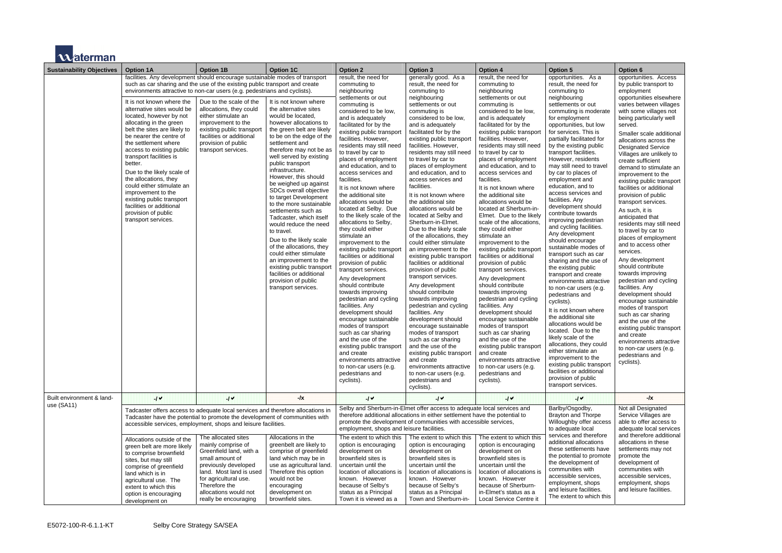

| <b>Sustainability Objectives</b> | <b>Option 1A</b>                                                                                                                                                                                                                                                                                                                                                                                                                                                                                                                                                                                                                                                                                                                | <b>Option 1B</b>                                                                                                                                                                                                                       | <b>Option 1C</b>                                                                                                                                                                                                                                                                                                                                                                                                                                                                                                                                                                                                                                                                                               | <b>Option 2</b>                                                                                                                                                                                                                                                                                                                                                                                                                                                                                                                                                                                                                                                                                                                                                                                                                                                                                                                                                                                                                                          | <b>Option 3</b>                                                                                                                                                                                                                                                                                                                                                                                                                                                                                                                                                                                                                                                                                                                                                                                                                                                                                                                                                                                                                                                                               | <b>Option 4</b>                                                                                                                                                                                                                                                                                                                                                                                                                                                                                                                                                                                                                                                                                                                                                                                                                                                                                                                                                                                                                                              | <b>Option 5</b>                                                                                                                                                                                                                                                                                                                                                                                                                                                                                                                                                                                                                                                                                                                                                                                                                                                                                                                                                                                                                                                                                      | Option 6                                                                                                                                                                                                                                                                                                                                                                                                                                                                                                                                                             |
|----------------------------------|---------------------------------------------------------------------------------------------------------------------------------------------------------------------------------------------------------------------------------------------------------------------------------------------------------------------------------------------------------------------------------------------------------------------------------------------------------------------------------------------------------------------------------------------------------------------------------------------------------------------------------------------------------------------------------------------------------------------------------|----------------------------------------------------------------------------------------------------------------------------------------------------------------------------------------------------------------------------------------|----------------------------------------------------------------------------------------------------------------------------------------------------------------------------------------------------------------------------------------------------------------------------------------------------------------------------------------------------------------------------------------------------------------------------------------------------------------------------------------------------------------------------------------------------------------------------------------------------------------------------------------------------------------------------------------------------------------|----------------------------------------------------------------------------------------------------------------------------------------------------------------------------------------------------------------------------------------------------------------------------------------------------------------------------------------------------------------------------------------------------------------------------------------------------------------------------------------------------------------------------------------------------------------------------------------------------------------------------------------------------------------------------------------------------------------------------------------------------------------------------------------------------------------------------------------------------------------------------------------------------------------------------------------------------------------------------------------------------------------------------------------------------------|-----------------------------------------------------------------------------------------------------------------------------------------------------------------------------------------------------------------------------------------------------------------------------------------------------------------------------------------------------------------------------------------------------------------------------------------------------------------------------------------------------------------------------------------------------------------------------------------------------------------------------------------------------------------------------------------------------------------------------------------------------------------------------------------------------------------------------------------------------------------------------------------------------------------------------------------------------------------------------------------------------------------------------------------------------------------------------------------------|--------------------------------------------------------------------------------------------------------------------------------------------------------------------------------------------------------------------------------------------------------------------------------------------------------------------------------------------------------------------------------------------------------------------------------------------------------------------------------------------------------------------------------------------------------------------------------------------------------------------------------------------------------------------------------------------------------------------------------------------------------------------------------------------------------------------------------------------------------------------------------------------------------------------------------------------------------------------------------------------------------------------------------------------------------------|------------------------------------------------------------------------------------------------------------------------------------------------------------------------------------------------------------------------------------------------------------------------------------------------------------------------------------------------------------------------------------------------------------------------------------------------------------------------------------------------------------------------------------------------------------------------------------------------------------------------------------------------------------------------------------------------------------------------------------------------------------------------------------------------------------------------------------------------------------------------------------------------------------------------------------------------------------------------------------------------------------------------------------------------------------------------------------------------------|----------------------------------------------------------------------------------------------------------------------------------------------------------------------------------------------------------------------------------------------------------------------------------------------------------------------------------------------------------------------------------------------------------------------------------------------------------------------------------------------------------------------------------------------------------------------|
|                                  | facilities. Any development should encourage sustainable modes of transport<br>such as car sharing and the use of the existing public transport and create<br>environments attractive to non-car users (e.g. pedestrians and cyclists).<br>It is not known where the<br>alternative sites would be<br>located, however by not<br>allocating in the green<br>belt the sites are likely to<br>be nearer the centre of<br>the settlement where<br>access to existing public<br>transport facilities is<br>better.<br>Due to the likely scale of<br>the allocations, they<br>could either stimulate an<br>improvement to the<br>existing public transport<br>facilities or additional<br>provision of public<br>transport services. | Due to the scale of the<br>allocations, they could<br>either stimulate an<br>improvement to the<br>existing public transport<br>facilities or additional<br>provision of public<br>transport services.                                 | It is not known where<br>the alternative sites<br>would be located.<br>however allocations to<br>the green belt are likely<br>to be on the edge of the<br>settlement and<br>therefore may not be as<br>well served by existing<br>public transport<br>infrastructure.<br>However, this should<br>be weighed up against<br>SDCs overall objective<br>to target Development<br>to the more sustainable<br>settlements such as<br>Tadcaster, which itself<br>would reduce the need<br>to travel.<br>Due to the likely scale<br>of the allocations, they<br>could either stimulate<br>an improvement to the<br>existing public transport<br>facilities or additional<br>provision of public<br>transport services. | result, the need for<br>commuting to<br>neighbouring<br>settlements or out<br>commuting is<br>considered to be low,<br>and is adequately<br>facilitated for by the<br>existing public transport<br>facilities. However,<br>residents may still need<br>to travel by car to<br>places of employment<br>and education, and to<br>access services and<br>facilities.<br>It is not known where<br>the additional site<br>allocations would be<br>located at Selby. Due<br>to the likely scale of the<br>allocations to Selby,<br>they could either<br>stimulate an<br>improvement to the<br>existing public transport<br>facilities or additional<br>provision of public<br>transport services.<br>Any development<br>should contribute<br>towards improving<br>pedestrian and cycling<br>facilities. Any<br>development should<br>encourage sustainable<br>modes of transport<br>such as car sharing<br>and the use of the<br>existing public transport<br>and create<br>environments attractive<br>to non-car users (e.g.<br>pedestrians and<br>cyclists). | generally good. As a<br>result, the need for<br>commuting to<br>neighbouring<br>settlements or out<br>commuting is<br>considered to be low,<br>and is adequately<br>facilitated for by the<br>existing public transport<br>facilities. However,<br>residents may still need<br>to travel by car to<br>places of employment<br>and education, and to<br>access services and<br>facilities.<br>It is not known where<br>the additional site<br>allocations would be<br>located at Selby and<br>Sherburn-in-Elmet.<br>Due to the likely scale<br>of the allocations, they<br>could either stimulate<br>an improvement to the<br>existing public transport<br>facilities or additional<br>provision of public<br>transport services.<br>Any development<br>should contribute<br>towards improving<br>pedestrian and cycling<br>facilities. Any<br>development should<br>encourage sustainable<br>modes of transport<br>such as car sharing<br>and the use of the<br>existing public transport<br>and create<br>environments attractive<br>to non-car users (e.g.<br>pedestrians and<br>cyclists). | result, the need for<br>commuting to<br>neighbouring<br>settlements or out<br>commuting is<br>considered to be low,<br>and is adequately<br>facilitated for by the<br>existing public transport<br>facilities. However,<br>residents may still need<br>to travel by car to<br>places of employment<br>and education, and to<br>access services and<br>facilities.<br>It is not known where<br>the additional site<br>allocations would be<br>located at Sherburn-in-<br>Elmet. Due to the likely<br>scale of the allocations,<br>they could either<br>stimulate an<br>improvement to the<br>existing public transport<br>facilities or additional<br>provision of public<br>transport services.<br>Any development<br>should contribute<br>towards improving<br>pedestrian and cycling<br>facilities. Any<br>development should<br>encourage sustainable<br>modes of transport<br>such as car sharing<br>and the use of the<br>existing public transport<br>and create<br>environments attractive<br>to non-car users (e.g.<br>pedestrians and<br>cyclists). | opportunities. As a<br>result, the need for<br>commuting to<br>neighbouring<br>settlements or out<br>commuting is moderate<br>for employment<br>opportunities, but low<br>for services. This is<br>partially facilitated for<br>by the existing public<br>transport facilities.<br>However, residents<br>may still need to travel<br>by car to places of<br>employment and<br>education, and to<br>access services and<br>facilities. Any<br>development should<br>contribute towards<br>improving pedestrian<br>and cycling facilities.<br>Any development<br>should encourage<br>sustainable modes of<br>transport such as car<br>sharing and the use of<br>the existing public<br>transport and create<br>environments attractive<br>to non-car users (e.g.<br>pedestrians and<br>cyclists).<br>It is not known where<br>the additional site<br>allocations would be<br>located. Due to the<br>likely scale of the<br>allocations, they could<br>either stimulate an<br>improvement to the<br>existing public transport<br>facilities or additional<br>provision of public<br>transport services. | opportunit<br>by public<br>employm<br>opportunit<br>varies bet<br>with some<br>being par<br>served.<br>Smaller s<br>allocation<br>Designate<br>Villages a<br>create suf<br>demand t<br>improvem<br>existing p<br>facilities o<br>provision<br>transport<br>As such,<br>anticipate<br>residents<br>to travel b<br>places of<br>and to ac<br>services.<br>Any deve<br>should co<br>towards in<br>pedestria<br>facilities.<br>developm<br>encourag<br>modes of<br>such as c<br>and the u<br>existing p<br>and creat<br>environm<br>to non-ca<br>pedestria<br>cyclists). |
| Built environment & land-        | $-1$ $\vee$                                                                                                                                                                                                                                                                                                                                                                                                                                                                                                                                                                                                                                                                                                                     | $\mathcal{U}$                                                                                                                                                                                                                          | $-1$ $x$                                                                                                                                                                                                                                                                                                                                                                                                                                                                                                                                                                                                                                                                                                       | $\mathcal{U}$                                                                                                                                                                                                                                                                                                                                                                                                                                                                                                                                                                                                                                                                                                                                                                                                                                                                                                                                                                                                                                            | $-1$                                                                                                                                                                                                                                                                                                                                                                                                                                                                                                                                                                                                                                                                                                                                                                                                                                                                                                                                                                                                                                                                                          | $\mathcal{U}$                                                                                                                                                                                                                                                                                                                                                                                                                                                                                                                                                                                                                                                                                                                                                                                                                                                                                                                                                                                                                                                | 14                                                                                                                                                                                                                                                                                                                                                                                                                                                                                                                                                                                                                                                                                                                                                                                                                                                                                                                                                                                                                                                                                                   |                                                                                                                                                                                                                                                                                                                                                                                                                                                                                                                                                                      |
| use $(SA11)$                     | Tadcaster offers access to adequate local services and therefore allocations in<br>Tadcaster have the potential to promote the development of communities with<br>accessible services, employment, shops and leisure facilities.                                                                                                                                                                                                                                                                                                                                                                                                                                                                                                |                                                                                                                                                                                                                                        |                                                                                                                                                                                                                                                                                                                                                                                                                                                                                                                                                                                                                                                                                                                | Selby and Sherburn-in-Elmet offer access to adequate local services and<br>therefore additional allocations in either settlement have the potential to<br>promote the development of communities with accessible services,<br>employment, shops and leisure facilities.                                                                                                                                                                                                                                                                                                                                                                                                                                                                                                                                                                                                                                                                                                                                                                                  |                                                                                                                                                                                                                                                                                                                                                                                                                                                                                                                                                                                                                                                                                                                                                                                                                                                                                                                                                                                                                                                                                               | Barlby/Osgodby,<br><b>Brayton and Thorpe</b><br>Willoughby offer access<br>to adequate local                                                                                                                                                                                                                                                                                                                                                                                                                                                                                                                                                                                                                                                                                                                                                                                                                                                                                                                                                                 | Not all De<br>Service V<br>able to of<br>adequate                                                                                                                                                                                                                                                                                                                                                                                                                                                                                                                                                                                                                                                                                                                                                                                                                                                                                                                                                                                                                                                    |                                                                                                                                                                                                                                                                                                                                                                                                                                                                                                                                                                      |
|                                  | Allocations outside of the<br>green belt are more likely<br>to comprise brownfield<br>sites, but may still<br>comprise of greenfield<br>land which is in<br>agricultural use. The<br>extent to which this<br>option is encouraging<br>development on                                                                                                                                                                                                                                                                                                                                                                                                                                                                            | The allocated sites<br>mainly comprise of<br>Greenfield land, with a<br>small amount of<br>previously developed<br>land. Most land is used<br>for agricultural use.<br>Therefore the<br>allocations would not<br>really be encouraging | Allocations in the<br>greenbelt are likely to<br>comprise of greenfield<br>land which may be in<br>use as agricultural land.<br>Therefore this option<br>would not be<br>encouraging<br>development on<br>brownfield sites.                                                                                                                                                                                                                                                                                                                                                                                                                                                                                    | The extent to which this<br>option is encouraging<br>development on<br>brownfield sites is<br>uncertain until the<br>location of allocations is<br>known. However<br>because of Selby's<br>status as a Principal<br>Town it is viewed as a                                                                                                                                                                                                                                                                                                                                                                                                                                                                                                                                                                                                                                                                                                                                                                                                               | The extent to which this<br>option is encouraging<br>development on<br>brownfield sites is<br>uncertain until the<br>location of allocations is<br>known. However<br>because of Selby's<br>status as a Principal<br>Town and Sherburn-in-                                                                                                                                                                                                                                                                                                                                                                                                                                                                                                                                                                                                                                                                                                                                                                                                                                                     | The extent to which this<br>option is encouraging<br>development on<br>brownfield sites is<br>uncertain until the<br>location of allocations is<br>known. However<br>because of Sherburn-<br>in-Elmet's status as a<br>Local Service Centre it                                                                                                                                                                                                                                                                                                                                                                                                                                                                                                                                                                                                                                                                                                                                                                                                               | services and therefore<br>additional allocations<br>these settlements have<br>the potential to promote<br>the development of<br>communities with<br>accessible services,<br>employment, shops<br>and leisure facilities.<br>The extent to which this                                                                                                                                                                                                                                                                                                                                                                                                                                                                                                                                                                                                                                                                                                                                                                                                                                                 | and there<br>allocation<br>settlemen<br>promote t<br>developm<br>communit<br>accessible<br>employm<br>and leisur                                                                                                                                                                                                                                                                                                                                                                                                                                                     |

|                                                                                                                                                                                                                                                                                                                                                                                                                                                                                                                                                               | <b>Option 6</b>                                                                                                                                                                                                                                                                                                                                                                                                                                                                                                                                                                                                                                                                                                                                                                                                                                                                                                                                                                                  |
|---------------------------------------------------------------------------------------------------------------------------------------------------------------------------------------------------------------------------------------------------------------------------------------------------------------------------------------------------------------------------------------------------------------------------------------------------------------------------------------------------------------------------------------------------------------|--------------------------------------------------------------------------------------------------------------------------------------------------------------------------------------------------------------------------------------------------------------------------------------------------------------------------------------------------------------------------------------------------------------------------------------------------------------------------------------------------------------------------------------------------------------------------------------------------------------------------------------------------------------------------------------------------------------------------------------------------------------------------------------------------------------------------------------------------------------------------------------------------------------------------------------------------------------------------------------------------|
| As a<br>S.<br>eed for<br>to<br>ıg<br>or out<br>is moderate<br>nent<br>s, but low<br>. This is<br>ilitated for<br>ing public<br>cilities.<br>esidents<br>ed to travel<br>aces of<br>it and<br>and to<br>vices and<br>١y<br>nt should<br>owards<br>edestrian<br>facilities.<br>pment<br>purage<br>modes of<br>ıch as car<br>I the use of<br>public<br>าd create<br>its attractive<br>isers (e.g.<br>and<br>wn where<br>∣al site<br>would be<br>ue to the<br>of the<br>they could<br>llate an<br>nt to the<br>blic transport<br>additional<br>public<br>ervices. | opportunities. Access<br>by public transport to<br>employment<br>opportunities elsewhere<br>varies between villages<br>with some villages not<br>being particularly well<br>served.<br>Smaller scale additional<br>allocations across the<br><b>Designated Service</b><br>Villages are unlikely to<br>create sufficient<br>demand to stimulate an<br>improvement to the<br>existing public transport<br>facilities or additional<br>provision of public<br>transport services.<br>As such, it is<br>anticipated that<br>residents may still need<br>to travel by car to<br>places of employment<br>and to access other<br>services.<br>Any development<br>should contribute<br>towards improving<br>pedestrian and cycling<br>facilities. Any<br>development should<br>encourage sustainable<br>modes of transport<br>such as car sharing<br>and the use of the<br>existing public transport<br>and create<br>environments attractive<br>to non-car users (e.g.<br>pedestrians and<br>cyclists). |
| odby,<br>d Thorpe<br>offer access<br>local<br>d therefore<br>llocations<br>ments have<br>il to promote<br>ment of<br>s with<br>services,<br>it, shops<br>facilities.                                                                                                                                                                                                                                                                                                                                                                                          | -/x<br>Not all Designated<br>Service Villages are<br>able to offer access to<br>adequate local services<br>and therefore additional<br>allocations in these<br>settlements may not<br>promote the<br>development of<br>communities with<br>accessible services,<br>employment, shops<br>and leisure facilities.                                                                                                                                                                                                                                                                                                                                                                                                                                                                                                                                                                                                                                                                                  |
| to which this                                                                                                                                                                                                                                                                                                                                                                                                                                                                                                                                                 |                                                                                                                                                                                                                                                                                                                                                                                                                                                                                                                                                                                                                                                                                                                                                                                                                                                                                                                                                                                                  |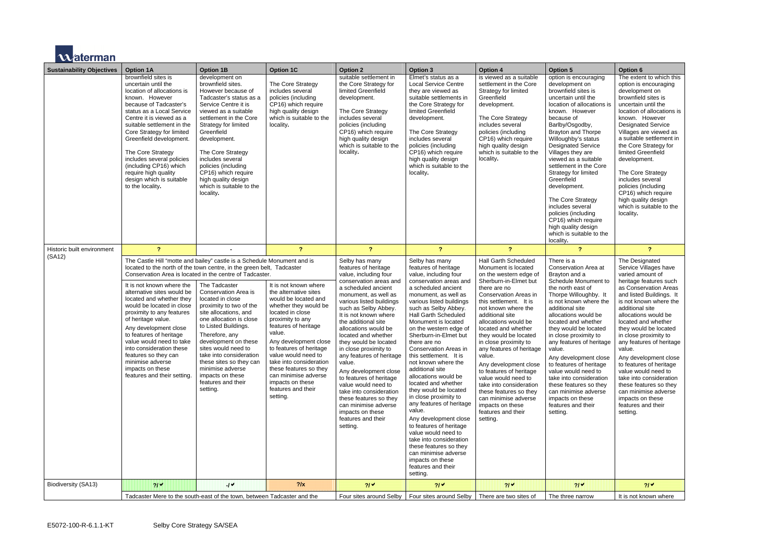

| <b>Sustainability Objectives</b> | <b>Option 1A</b>                                                                                                                                                                                                                                                                                                                                                                                                                                                                                                                                                                               | <b>Option 1B</b>                                                                                                                                                                                                                                                                                                                                                            | <b>Option 1C</b>                                                                                                                                                                                                                                                                                                                                                                        | <b>Option 2</b>                                                                                                                                                                                                                                                                                                                                                                                                                                                                                                                                                                                   | <b>Option 3</b>                                                                                                                                                                                                                                                                                                                                                                                                                                                                                                                                                                                                                                                                                                                                                         | <b>Option 4</b>                                                                                                                                                                                                                                                                                                                                                                                                                                                                                                                                                         | <b>Option 5</b>                                                                                                                                                                                                                                                                                                                                                                                                                                                                                                                             | <b>Option 6</b>                                                                                                                                                                                                                                                                                                                                                                                                                                                                                                                              |
|----------------------------------|------------------------------------------------------------------------------------------------------------------------------------------------------------------------------------------------------------------------------------------------------------------------------------------------------------------------------------------------------------------------------------------------------------------------------------------------------------------------------------------------------------------------------------------------------------------------------------------------|-----------------------------------------------------------------------------------------------------------------------------------------------------------------------------------------------------------------------------------------------------------------------------------------------------------------------------------------------------------------------------|-----------------------------------------------------------------------------------------------------------------------------------------------------------------------------------------------------------------------------------------------------------------------------------------------------------------------------------------------------------------------------------------|---------------------------------------------------------------------------------------------------------------------------------------------------------------------------------------------------------------------------------------------------------------------------------------------------------------------------------------------------------------------------------------------------------------------------------------------------------------------------------------------------------------------------------------------------------------------------------------------------|-------------------------------------------------------------------------------------------------------------------------------------------------------------------------------------------------------------------------------------------------------------------------------------------------------------------------------------------------------------------------------------------------------------------------------------------------------------------------------------------------------------------------------------------------------------------------------------------------------------------------------------------------------------------------------------------------------------------------------------------------------------------------|-------------------------------------------------------------------------------------------------------------------------------------------------------------------------------------------------------------------------------------------------------------------------------------------------------------------------------------------------------------------------------------------------------------------------------------------------------------------------------------------------------------------------------------------------------------------------|---------------------------------------------------------------------------------------------------------------------------------------------------------------------------------------------------------------------------------------------------------------------------------------------------------------------------------------------------------------------------------------------------------------------------------------------------------------------------------------------------------------------------------------------|----------------------------------------------------------------------------------------------------------------------------------------------------------------------------------------------------------------------------------------------------------------------------------------------------------------------------------------------------------------------------------------------------------------------------------------------------------------------------------------------------------------------------------------------|
|                                  | brownfield sites is<br>uncertain until the<br>location of allocations is<br>known. However<br>because of Tadcaster's<br>status as a Local Service<br>Centre it is viewed as a<br>suitable settlement in the<br>Core Strategy for limited<br>Greenfield development.<br>The Core Strategy<br>includes several policies<br>(including CP16) which<br>require high quality<br>design which is suitable<br>to the locality.                                                                                                                                                                        | development on<br>brownfield sites.<br>However because of<br>Tadcaster's status as a<br>Service Centre it is<br>viewed as a suitable<br>settlement in the Core<br>Strategy for limited<br>Greenfield<br>development.<br>The Core Strategy<br>includes several<br>policies (including<br>CP16) which require<br>high quality design<br>which is suitable to the<br>locality. | The Core Strategy<br>includes several<br>policies (including<br>CP16) which require<br>high quality design<br>which is suitable to the<br>locality.                                                                                                                                                                                                                                     | suitable settlement in<br>the Core Strategy for<br>limited Greenfield<br>development.<br>The Core Strategy<br>includes several<br>policies (including<br>CP16) which require<br>high quality design<br>which is suitable to the<br>locality.                                                                                                                                                                                                                                                                                                                                                      | Elmet's status as a<br><b>Local Service Centre</b><br>they are viewed as<br>suitable settlements in<br>the Core Strategy for<br>limited Greenfield<br>development.<br>The Core Strategy<br>includes several<br>policies (including<br>CP16) which require<br>high quality design<br>which is suitable to the<br>locality.                                                                                                                                                                                                                                                                                                                                                                                                                                               | is viewed as a suitable<br>settlement in the Core<br>Strategy for limited<br>Greenfield<br>development.<br>The Core Strategy<br>includes several<br>policies (including<br>CP16) which require<br>high quality design<br>which is suitable to the<br>locality.                                                                                                                                                                                                                                                                                                          | option is encouraging<br>development on<br>brownfield sites is<br>uncertain until the<br>location of allocations is<br>known. However<br>because of<br>Barlby/Osgodby,<br><b>Brayton and Thorpe</b><br>Willoughby's status<br><b>Designated Service</b><br>Villages they are<br>viewed as a suitable<br>settlement in the Core<br>Strategy for limited<br>Greenfield<br>development.<br>The Core Strategy<br>includes several<br>policies (including<br>CP16) which require<br>high quality design<br>which is suitable to the<br>locality. | The extent to which this<br>option is encouraging<br>development on<br>brownfield sites is<br>uncertain until the<br>location of allocations is<br>known. However<br><b>Designated Service</b><br>Villages are viewed as<br>a suitable settlement in<br>the Core Strategy for<br>limited Greenfield<br>development.<br>The Core Strategy<br>includes several<br>policies (including<br>CP16) which require<br>high quality design<br>which is suitable to the<br>locality.                                                                   |
| Historic built environment       | $\overline{?}$                                                                                                                                                                                                                                                                                                                                                                                                                                                                                                                                                                                 |                                                                                                                                                                                                                                                                                                                                                                             | $\overline{?}$                                                                                                                                                                                                                                                                                                                                                                          | $\overline{?}$                                                                                                                                                                                                                                                                                                                                                                                                                                                                                                                                                                                    | $\overline{?}$                                                                                                                                                                                                                                                                                                                                                                                                                                                                                                                                                                                                                                                                                                                                                          | $\overline{?}$                                                                                                                                                                                                                                                                                                                                                                                                                                                                                                                                                          | $\overline{2}$                                                                                                                                                                                                                                                                                                                                                                                                                                                                                                                              | $\overline{\mathbf{r}}$                                                                                                                                                                                                                                                                                                                                                                                                                                                                                                                      |
| (SA12)                           | The Castle Hill "motte and bailey" castle is a Schedule Monument and is<br>located to the north of the town centre, in the green belt, Tadcaster<br>Conservation Area is located in the centre of Tadcaster.<br>It is not known where the<br>alternative sites would be<br>located and whether they<br>would be located in close<br>proximity to any features<br>of heritage value.<br>Any development close<br>to features of heritage<br>value would need to take<br>into consideration these<br>features so they can<br>minimise adverse<br>impacts on these<br>features and their setting. | The Tadcaster<br>Conservation Area is<br>located in close<br>proximity to two of the<br>site allocations, and<br>one allocation is close<br>to Listed Buildings.<br>Therefore, any<br>development on these<br>sites would need to<br>take into consideration<br>these sites so they can<br>minimise adverse<br>impacts on these<br>features and their<br>setting.           | It is not known where<br>the alternative sites<br>would be located and<br>whether they would be<br>located in close<br>proximity to any<br>features of heritage<br>value.<br>Any development close<br>to features of heritage<br>value would need to<br>take into consideration<br>these features so they<br>can minimise adverse<br>impacts on these<br>features and their<br>setting. | Selby has many<br>features of heritage<br>value, including four<br>conservation areas and<br>a scheduled ancient<br>monument, as well as<br>various listed buildings<br>such as Selby Abbey.<br>It is not known where<br>the additional site<br>allocations would be<br>located and whether<br>they would be located<br>in close proximity to<br>any features of heritage<br>value.<br>Any development close<br>to features of heritage<br>value would need to<br>take into consideration<br>these features so they<br>can minimise adverse<br>impacts on these<br>features and their<br>setting. | Selby has many<br>features of heritage<br>value, including four<br>conservation areas and<br>a scheduled ancient<br>monument, as well as<br>various listed buildings<br>such as Selby Abbey.<br><b>Hall Garth Scheduled</b><br>Monument is located<br>on the western edge of<br>Sherburn-in-Elmet but<br>there are no<br>Conservation Areas in<br>this settlement. It is<br>not known where the<br>additional site<br>allocations would be<br>located and whether<br>they would be located<br>in close proximity to<br>any features of heritage<br>value.<br>Any development close<br>to features of heritage<br>value would need to<br>take into consideration<br>these features so they<br>can minimise adverse<br>impacts on these<br>features and their<br>setting. | <b>Hall Garth Scheduled</b><br>Monument is located<br>on the western edge of<br>Sherburn-in-Elmet but<br>there are no<br>Conservation Areas in<br>this settlement. It is<br>not known where the<br>additional site<br>allocations would be<br>located and whether<br>they would be located<br>in close proximity to<br>any features of heritage<br>value.<br>Any development close<br>to features of heritage<br>value would need to<br>take into consideration<br>these features so they<br>can minimise adverse<br>impacts on these<br>features and their<br>setting. | There is a<br>Conservation Area at<br>Brayton and a<br>Schedule Monument to<br>the north east of<br>Thorpe Willoughby. It<br>is not known where the<br>additional site<br>allocations would be<br>located and whether<br>they would be located<br>in close proximity to<br>any features of heritage<br>value.<br>Any development close<br>to features of heritage<br>value would need to<br>take into consideration<br>these features so they<br>can minimise adverse<br>impacts on these<br>features and their<br>setting.                 | The Designated<br>Service Villages have<br>varied amount of<br>heritage features such<br>as Conservation Areas<br>and listed Buildings. It<br>is not known where the<br>additional site<br>allocations would be<br>located and whether<br>they would be located<br>in close proximity to<br>any features of heritage<br>value.<br>Any development close<br>to features of heritage<br>value would need to<br>take into consideration<br>these features so they<br>can minimise adverse<br>impacts on these<br>features and their<br>setting. |
| Biodiversity (SA13)              | 21                                                                                                                                                                                                                                                                                                                                                                                                                                                                                                                                                                                             | $-1$ $\vee$                                                                                                                                                                                                                                                                                                                                                                 | $?$ /x                                                                                                                                                                                                                                                                                                                                                                                  | 21 <sup>4</sup>                                                                                                                                                                                                                                                                                                                                                                                                                                                                                                                                                                                   | $21\checkmark$                                                                                                                                                                                                                                                                                                                                                                                                                                                                                                                                                                                                                                                                                                                                                          | 21 <sup>4</sup>                                                                                                                                                                                                                                                                                                                                                                                                                                                                                                                                                         | 21 <sup>4</sup>                                                                                                                                                                                                                                                                                                                                                                                                                                                                                                                             | 21 <sup>4</sup>                                                                                                                                                                                                                                                                                                                                                                                                                                                                                                                              |
|                                  | Tadcaster Mere to the south-east of the town, between Tadcaster and the                                                                                                                                                                                                                                                                                                                                                                                                                                                                                                                        |                                                                                                                                                                                                                                                                                                                                                                             |                                                                                                                                                                                                                                                                                                                                                                                         |                                                                                                                                                                                                                                                                                                                                                                                                                                                                                                                                                                                                   | Four sites around Selby   Four sites around Selby   There are two sites of                                                                                                                                                                                                                                                                                                                                                                                                                                                                                                                                                                                                                                                                                              |                                                                                                                                                                                                                                                                                                                                                                                                                                                                                                                                                                         | The three narrow                                                                                                                                                                                                                                                                                                                                                                                                                                                                                                                            | It is not known where                                                                                                                                                                                                                                                                                                                                                                                                                                                                                                                        |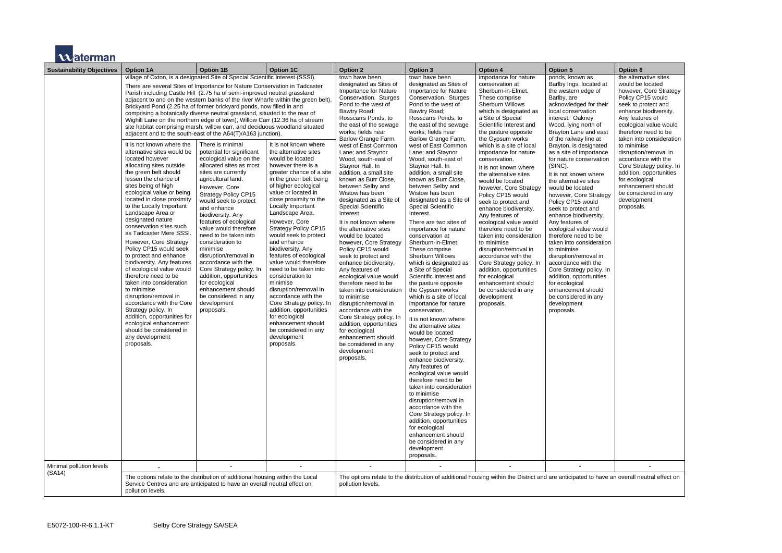

| <b>Sustainability Objectives</b> | <b>Option 1A</b>                                                                                                                                                                                                                                                                                                                                                                                                                                                                                                                                                                                                                                                                                                                                                                                                                                                                                                                                                                                                                                                                                                                                                                                                                                                                                                                                                                                                                                                                                       | <b>Option 1B</b>                                                                                                                                                                                                                                                                                                                                                                                                                                                                                                                                                              | <b>Option 1C</b>                                                                                                                                                                                                                                                                                                                                                                                                                                                                                                                                                                                                                                                                              | <b>Option 2</b>                                                                                                                                                                                                                                                                                                                                                                                                                                                                                                                                                                                                                                                                                                                                                                                                                                                                                                                                                                                  | <b>Option 3</b>                                                                                                                                                                                                                                                                                                                                                                                                                                                                                                                                                                                                                                                                                                                                                                                                                                                                                                                                                                                                                                                                                                                                                                                                                                                                                                                       | <b>Option 4</b>                                                                                                                                                                                                                                                                                                                                                                                                                                                                                                                                                                                                                                                                                                                                                                                  | <b>Option 5</b>                                                                                                                                                                                                                                                                                                                                                                                                                                                                                                                                                                                                                                                                                                                                                                                                     | Option 6                                                                                                                                                                                                                                                                                                                                                                                                                                                     |
|----------------------------------|--------------------------------------------------------------------------------------------------------------------------------------------------------------------------------------------------------------------------------------------------------------------------------------------------------------------------------------------------------------------------------------------------------------------------------------------------------------------------------------------------------------------------------------------------------------------------------------------------------------------------------------------------------------------------------------------------------------------------------------------------------------------------------------------------------------------------------------------------------------------------------------------------------------------------------------------------------------------------------------------------------------------------------------------------------------------------------------------------------------------------------------------------------------------------------------------------------------------------------------------------------------------------------------------------------------------------------------------------------------------------------------------------------------------------------------------------------------------------------------------------------|-------------------------------------------------------------------------------------------------------------------------------------------------------------------------------------------------------------------------------------------------------------------------------------------------------------------------------------------------------------------------------------------------------------------------------------------------------------------------------------------------------------------------------------------------------------------------------|-----------------------------------------------------------------------------------------------------------------------------------------------------------------------------------------------------------------------------------------------------------------------------------------------------------------------------------------------------------------------------------------------------------------------------------------------------------------------------------------------------------------------------------------------------------------------------------------------------------------------------------------------------------------------------------------------|--------------------------------------------------------------------------------------------------------------------------------------------------------------------------------------------------------------------------------------------------------------------------------------------------------------------------------------------------------------------------------------------------------------------------------------------------------------------------------------------------------------------------------------------------------------------------------------------------------------------------------------------------------------------------------------------------------------------------------------------------------------------------------------------------------------------------------------------------------------------------------------------------------------------------------------------------------------------------------------------------|---------------------------------------------------------------------------------------------------------------------------------------------------------------------------------------------------------------------------------------------------------------------------------------------------------------------------------------------------------------------------------------------------------------------------------------------------------------------------------------------------------------------------------------------------------------------------------------------------------------------------------------------------------------------------------------------------------------------------------------------------------------------------------------------------------------------------------------------------------------------------------------------------------------------------------------------------------------------------------------------------------------------------------------------------------------------------------------------------------------------------------------------------------------------------------------------------------------------------------------------------------------------------------------------------------------------------------------|--------------------------------------------------------------------------------------------------------------------------------------------------------------------------------------------------------------------------------------------------------------------------------------------------------------------------------------------------------------------------------------------------------------------------------------------------------------------------------------------------------------------------------------------------------------------------------------------------------------------------------------------------------------------------------------------------------------------------------------------------------------------------------------------------|---------------------------------------------------------------------------------------------------------------------------------------------------------------------------------------------------------------------------------------------------------------------------------------------------------------------------------------------------------------------------------------------------------------------------------------------------------------------------------------------------------------------------------------------------------------------------------------------------------------------------------------------------------------------------------------------------------------------------------------------------------------------------------------------------------------------|--------------------------------------------------------------------------------------------------------------------------------------------------------------------------------------------------------------------------------------------------------------------------------------------------------------------------------------------------------------------------------------------------------------------------------------------------------------|
| Minimal pollution levels         | village of Oxton, is a designated Site of Special Scientific Interest (SSSI).<br>There are several Sites of Importance for Nature Conservation in Tadcaster<br>Parish including Castle Hill (2.75 ha of semi-improved neutral grassland<br>adjacent to and on the western banks of the river Wharfe within the green belt),<br>Brickyard Pond (2.25 ha of former brickyard ponds, now filled in and<br>comprising a botanically diverse neutral grassland, situated to the rear of<br>Wighill Lane on the northern edge of town), Willow Carr (12.36 ha of stream<br>site habitat comprising marsh, willow carr, and deciduous woodland situated<br>adjacent and to the south-east of the A64(T)/A163 junction).<br>It is not known where the<br>alternative sites would be<br>located however<br>allocating sites outside<br>the green belt should<br>lessen the chance of<br>sites being of high<br>ecological value or being<br>located in close proximity<br>to the Locally Important<br>Landscape Area or<br>designated nature<br>conservation sites such<br>as Tadcaster Mere SSSI.<br>However, Core Strategy<br>Policy CP15 would seek<br>to protect and enhance<br>biodiversity. Any features<br>of ecological value would<br>therefore need to be<br>taken into consideration<br>to minimise<br>disruption/removal in<br>accordance with the Core<br>Strategy policy. In<br>addition, opportunities for<br>ecological enhancement<br>should be considered in<br>any development<br>proposals. | There is minimal<br>potential for significant<br>ecological value on the<br>allocated sites as most<br>sites are currently<br>agricultural land.<br>However, Core<br><b>Strategy Policy CP15</b><br>would seek to protect<br>and enhance<br>biodiversity. Any<br>features of ecological<br>value would therefore<br>need to be taken into<br>consideration to<br>minimise<br>disruption/removal in<br>accordance with the<br>Core Strategy policy. In<br>addition, opportunities<br>for ecological<br>enhancement should<br>be considered in any<br>development<br>proposals. | It is not known where<br>the alternative sites<br>would be located<br>however there is a<br>greater chance of a site<br>in the green belt being<br>of higher ecological<br>value or located in<br>close proximity to the<br>Locally Important<br>Landscape Area.<br>However, Core<br><b>Strategy Policy CP15</b><br>would seek to protect<br>and enhance<br>biodiversity. Any<br>features of ecological<br>value would therefore<br>need to be taken into<br>consideration to<br>minimise<br>disruption/removal in<br>accordance with the<br>Core Strategy policy. In<br>addition, opportunities<br>for ecological<br>enhancement should<br>be considered in any<br>development<br>proposals. | town have been<br>designated as Sites of<br>Importance for Nature<br>Conservation. Sturges<br>Pond to the west of<br>Bawtry Road;<br>Rosscarrs Ponds, to<br>the east of the sewage<br>works; fields near<br>Barlow Grange Farm,<br>west of East Common<br>Lane; and Staynor<br>Wood, south-east of<br>Staynor Hall. In<br>addition, a small site<br>known as Burr Close,<br>between Selby and<br>Wistow has been<br>designated as a Site of<br><b>Special Scientific</b><br>Interest.<br>It is not known where<br>the alternative sites<br>would be located<br>however, Core Strategy<br>Policy CP15 would<br>seek to protect and<br>enhance biodiversity.<br>Any features of<br>ecological value would<br>therefore need to be<br>taken into consideration<br>to minimise<br>disruption/removal in<br>accordance with the<br>Core Strategy policy. In<br>addition, opportunities<br>for ecological<br>enhancement should<br>be considered in any<br>development<br>proposals.<br>$\blacksquare$ | town have been<br>designated as Sites of<br>Importance for Nature<br>Conservation. Sturges<br>Pond to the west of<br>Bawtry Road;<br>Rosscarrs Ponds, to<br>the east of the sewage<br>works; fields near<br>Barlow Grange Farm,<br>west of East Common<br>Lane; and Staynor<br>Wood, south-east of<br>Staynor Hall. In<br>addition, a small site<br>known as Burr Close,<br>between Selby and<br>Wistow has been<br>designated as a Site of<br><b>Special Scientific</b><br>Interest.<br>There are two sites of<br>importance for nature<br>conservation at<br>Sherburn-in-Elmet.<br>These comprise<br><b>Sherburn Willows</b><br>which is designated as<br>a Site of Special<br>Scientific Interest and<br>the pasture opposite<br>the Gypsum works<br>which is a site of local<br>importance for nature<br>conservation.<br>It is not known where<br>the alternative sites<br>would be located<br>however, Core Strategy<br>Policy CP15 would<br>seek to protect and<br>enhance biodiversity.<br>Any features of<br>ecological value would<br>therefore need to be<br>taken into consideration<br>to minimise<br>disruption/removal in<br>accordance with the<br>Core Strategy policy. In<br>addition, opportunities<br>for ecological<br>enhancement should<br>be considered in any<br>development<br>proposals.<br>$\blacksquare$ | importance for nature<br>conservation at<br>Sherburn-in-Elmet.<br>These comprise<br><b>Sherburn Willows</b><br>which is designated as<br>a Site of Special<br>Scientific Interest and<br>the pasture opposite<br>the Gypsum works<br>which is a site of local<br>importance for nature<br>conservation.<br>It is not known where<br>the alternative sites<br>would be located<br>however, Core Strategy<br>Policy CP15 would<br>seek to protect and<br>enhance biodiversity.<br>Any features of<br>ecological value would<br>therefore need to be<br>taken into consideration<br>to minimise<br>disruption/removal in<br>accordance with the<br>Core Strategy policy. In<br>addition, opportunities<br>for ecological<br>enhancement should<br>be considered in any<br>development<br>proposals. | ponds, known as<br>Barlby Ings, located at<br>the western edge of<br>Barlby, are<br>acknowledged for their<br>local conservation<br>interest. Oakney<br>Wood, lying north of<br>Brayton Lane and east<br>of the railway line at<br>Brayton, is designated<br>as a site of importance<br>for nature conservation<br>(SINC).<br>It is not known where<br>the alternative sites<br>would be located<br>however, Core Strategy<br>Policy CP15 would<br>seek to protect and<br>enhance biodiversity.<br>Any features of<br>ecological value would<br>therefore need to be<br>taken into consideration<br>to minimise<br>disruption/removal in<br>accordance with the<br>Core Strategy policy. In<br>addition, opportunities<br>for ecological<br>enhancement should<br>be considered in any<br>development<br>proposals. | the alternative sites<br>would be located<br>however, Core Strategy<br>Policy CP15 would<br>seek to protect and<br>enhance biodiversity.<br>Any features of<br>ecological value would<br>therefore need to be<br>taken into consideration<br>to minimise<br>disruption/removal in<br>accordance with the<br>Core Strategy policy. In<br>addition, opportunities<br>for ecological<br>enhancement should<br>be considered in any<br>development<br>proposals. |
| (SA14)                           | The options relate to the distribution of additional housing within the Local                                                                                                                                                                                                                                                                                                                                                                                                                                                                                                                                                                                                                                                                                                                                                                                                                                                                                                                                                                                                                                                                                                                                                                                                                                                                                                                                                                                                                          |                                                                                                                                                                                                                                                                                                                                                                                                                                                                                                                                                                               |                                                                                                                                                                                                                                                                                                                                                                                                                                                                                                                                                                                                                                                                                               |                                                                                                                                                                                                                                                                                                                                                                                                                                                                                                                                                                                                                                                                                                                                                                                                                                                                                                                                                                                                  |                                                                                                                                                                                                                                                                                                                                                                                                                                                                                                                                                                                                                                                                                                                                                                                                                                                                                                                                                                                                                                                                                                                                                                                                                                                                                                                                       |                                                                                                                                                                                                                                                                                                                                                                                                                                                                                                                                                                                                                                                                                                                                                                                                  | The options relate to the distribution of additional housing within the District and are anticipated to have an overall neutral effect on                                                                                                                                                                                                                                                                                                                                                                                                                                                                                                                                                                                                                                                                           |                                                                                                                                                                                                                                                                                                                                                                                                                                                              |
|                                  | Service Centres and are anticipated to have an overall neutral effect on<br>pollution levels.                                                                                                                                                                                                                                                                                                                                                                                                                                                                                                                                                                                                                                                                                                                                                                                                                                                                                                                                                                                                                                                                                                                                                                                                                                                                                                                                                                                                          |                                                                                                                                                                                                                                                                                                                                                                                                                                                                                                                                                                               |                                                                                                                                                                                                                                                                                                                                                                                                                                                                                                                                                                                                                                                                                               | pollution levels.                                                                                                                                                                                                                                                                                                                                                                                                                                                                                                                                                                                                                                                                                                                                                                                                                                                                                                                                                                                |                                                                                                                                                                                                                                                                                                                                                                                                                                                                                                                                                                                                                                                                                                                                                                                                                                                                                                                                                                                                                                                                                                                                                                                                                                                                                                                                       |                                                                                                                                                                                                                                                                                                                                                                                                                                                                                                                                                                                                                                                                                                                                                                                                  |                                                                                                                                                                                                                                                                                                                                                                                                                                                                                                                                                                                                                                                                                                                                                                                                                     |                                                                                                                                                                                                                                                                                                                                                                                                                                                              |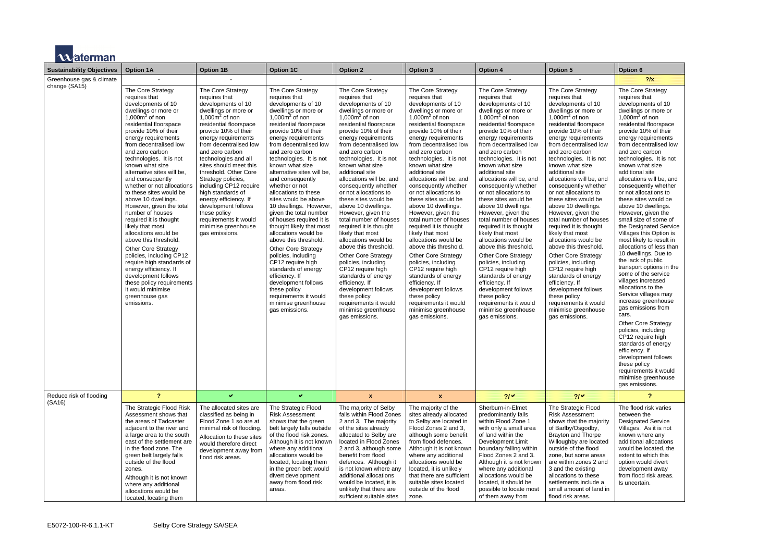|  | <b>11</b> Avaterman |
|--|---------------------|
|  |                     |

| <b>Sustainability Objectives</b>          | <b>Option 1A</b>                                                                                                                                                                                                                                                                                                                                                                                                                                                                                                                                                                  | <b>Option 1B</b>                                                                                                                                                                                                                                                                                                                                                                                                                                                                                              | <b>Option 1C</b>                                                                                                                                                                                                                                                                                                                                                                                                                                                                                                                                                                         | <b>Option 2</b>                                                                                                                                                                                                                                                                                                                                                                                                                                                                                                                                                         | <b>Option 3</b>                                                                                                                                                                                                                                                                                                                                                                                                                                                                                                                                                         | <b>Option 4</b>                                                                                                                                                                                                                                                                                                                                                                                                                                                                                                                                                         | <b>Option 5</b>                                                                                                                                                                                                                                                                                                                                                                                                                                                                                                                                                         | Option 6                                                                                                                                                                                                                                                                                                                                                                                                                                                                                                                                                                                       |
|-------------------------------------------|-----------------------------------------------------------------------------------------------------------------------------------------------------------------------------------------------------------------------------------------------------------------------------------------------------------------------------------------------------------------------------------------------------------------------------------------------------------------------------------------------------------------------------------------------------------------------------------|---------------------------------------------------------------------------------------------------------------------------------------------------------------------------------------------------------------------------------------------------------------------------------------------------------------------------------------------------------------------------------------------------------------------------------------------------------------------------------------------------------------|------------------------------------------------------------------------------------------------------------------------------------------------------------------------------------------------------------------------------------------------------------------------------------------------------------------------------------------------------------------------------------------------------------------------------------------------------------------------------------------------------------------------------------------------------------------------------------------|-------------------------------------------------------------------------------------------------------------------------------------------------------------------------------------------------------------------------------------------------------------------------------------------------------------------------------------------------------------------------------------------------------------------------------------------------------------------------------------------------------------------------------------------------------------------------|-------------------------------------------------------------------------------------------------------------------------------------------------------------------------------------------------------------------------------------------------------------------------------------------------------------------------------------------------------------------------------------------------------------------------------------------------------------------------------------------------------------------------------------------------------------------------|-------------------------------------------------------------------------------------------------------------------------------------------------------------------------------------------------------------------------------------------------------------------------------------------------------------------------------------------------------------------------------------------------------------------------------------------------------------------------------------------------------------------------------------------------------------------------|-------------------------------------------------------------------------------------------------------------------------------------------------------------------------------------------------------------------------------------------------------------------------------------------------------------------------------------------------------------------------------------------------------------------------------------------------------------------------------------------------------------------------------------------------------------------------|------------------------------------------------------------------------------------------------------------------------------------------------------------------------------------------------------------------------------------------------------------------------------------------------------------------------------------------------------------------------------------------------------------------------------------------------------------------------------------------------------------------------------------------------------------------------------------------------|
| Greenhouse gas & climate<br>change (SA15) | The Core Strategy<br>requires that<br>developments of 10<br>dwellings or more or<br>1,000 $m2$ of non<br>residential floorspace<br>provide 10% of their<br>energy requirements<br>from decentralised low<br>and zero carbon<br>technologies. It is not<br>known what size<br>alternative sites will be,<br>and consequently<br>whether or not allocations<br>to these sites would be<br>above 10 dwellings.<br>However, given the total<br>number of houses<br>required it is thought<br>likely that most<br>allocations would be<br>above this threshold.<br>Other Core Strategy | The Core Strategy<br>requires that<br>developments of 10<br>dwellings or more or<br>1,000 $m2$ of non<br>residential floorspace<br>provide 10% of their<br>energy requirements<br>from decentralised low<br>and zero carbon<br>technologies and all<br>sites should meet this<br>threshold. Other Core<br>Strategy policies,<br>including CP12 require<br>high standards of<br>energy efficiency. If<br>development follows<br>these policy<br>requirements it would<br>minimise greenhouse<br>gas emissions. | The Core Strategy<br>requires that<br>developments of 10<br>dwellings or more or<br>1,000 $m2$ of non<br>residential floorspace<br>provide 10% of their<br>energy requirements<br>from decentralised low<br>and zero carbon<br>technologies. It is not<br>known what size<br>alternative sites will be,<br>and consequently<br>whether or not<br>allocations to these<br>sites would be above<br>10 dwellings. However,<br>given the total number<br>of houses required it is<br>thought likely that most<br>allocations would be<br>above this threshold.<br><b>Other Core Strategy</b> | The Core Strategy<br>requires that<br>developments of 10<br>dwellings or more or<br>1,000 $m2$ of non<br>residential floorspace<br>provide 10% of their<br>energy requirements<br>from decentralised low<br>and zero carbon<br>technologies. It is not<br>known what size<br>additional site<br>allocations will be, and<br>consequently whether<br>or not allocations to<br>these sites would be<br>above 10 dwellings.<br>However, given the<br>total number of houses<br>required it is thought<br>likely that most<br>allocations would be<br>above this threshold. | The Core Strategy<br>requires that<br>developments of 10<br>dwellings or more or<br>1,000 $m2$ of non<br>residential floorspace<br>provide 10% of their<br>energy requirements<br>from decentralised low<br>and zero carbon<br>technologies. It is not<br>known what size<br>additional site<br>allocations will be, and<br>consequently whether<br>or not allocations to<br>these sites would be<br>above 10 dwellings.<br>However, given the<br>total number of houses<br>required it is thought<br>likely that most<br>allocations would be<br>above this threshold. | The Core Strategy<br>requires that<br>developments of 10<br>dwellings or more or<br>1,000 $m2$ of non<br>residential floorspace<br>provide 10% of their<br>energy requirements<br>from decentralised low<br>and zero carbon<br>technologies. It is not<br>known what size<br>additional site<br>allocations will be, and<br>consequently whether<br>or not allocations to<br>these sites would be<br>above 10 dwellings.<br>However, given the<br>total number of houses<br>required it is thought<br>likely that most<br>allocations would be<br>above this threshold. | The Core Strategy<br>requires that<br>developments of 10<br>dwellings or more or<br>1,000 $m2$ of non<br>residential floorspace<br>provide 10% of their<br>energy requirements<br>from decentralised low<br>and zero carbon<br>technologies. It is not<br>known what size<br>additional site<br>allocations will be, and<br>consequently whether<br>or not allocations to<br>these sites would be<br>above 10 dwellings.<br>However, given the<br>total number of houses<br>required it is thought<br>likely that most<br>allocations would be<br>above this threshold. | $?$ /x<br>The Core Strategy<br>requires that<br>developments of 10<br>dwellings or more or<br>1,000 $m2$ of non<br>residential floorspace<br>provide 10% of their<br>energy requirements<br>from decentralised low<br>and zero carbon<br>technologies. It is not<br>known what size<br>additional site<br>allocations will be, and<br>consequently whether<br>or not allocations to<br>these sites would be<br>above 10 dwellings.<br>However, given the<br>small size of some of<br>the Designated Service<br>Villages this Option is<br>most likely to result in<br>allocations of less than |
|                                           | policies, including CP12<br>require high standards of<br>energy efficiency. If<br>development follows<br>these policy requirements<br>it would minimise<br>greenhouse gas<br>emissions.                                                                                                                                                                                                                                                                                                                                                                                           |                                                                                                                                                                                                                                                                                                                                                                                                                                                                                                               | policies, including<br>CP12 require high<br>standards of energy<br>efficiency. If<br>development follows<br>these policy<br>requirements it would<br>minimise greenhouse<br>gas emissions.                                                                                                                                                                                                                                                                                                                                                                                               | <b>Other Core Strategy</b><br>policies, including<br>CP12 require high<br>standards of energy<br>efficiency. If<br>development follows<br>these policy<br>requirements it would<br>minimise greenhouse<br>gas emissions.                                                                                                                                                                                                                                                                                                                                                | <b>Other Core Strategy</b><br>policies, including<br>CP12 require high<br>standards of energy<br>efficiency. If<br>development follows<br>these policy<br>requirements it would<br>minimise greenhouse<br>gas emissions.                                                                                                                                                                                                                                                                                                                                                | <b>Other Core Strategy</b><br>policies, including<br>CP12 require high<br>standards of energy<br>efficiency. If<br>development follows<br>these policy<br>requirements it would<br>minimise greenhouse<br>gas emissions.                                                                                                                                                                                                                                                                                                                                                | <b>Other Core Strategy</b><br>policies, including<br>CP12 require high<br>standards of energy<br>efficiency. If<br>development follows<br>these policy<br>requirements it would<br>minimise greenhouse<br>gas emissions.                                                                                                                                                                                                                                                                                                                                                | 10 dwellings. Due to<br>the lack of public<br>transport options in the<br>some of the service<br>villages increased<br>allocations to the<br>Service villages may<br>increase greenhouse<br>gas emissions from<br>cars.<br><b>Other Core Strategy</b><br>policies, including<br>CP12 require high<br>standards of energy<br>efficiency. If<br>development follows<br>these policy<br>requirements it would<br>minimise greenhouse<br>gas emissions.                                                                                                                                            |
| Reduce risk of flooding                   | $\mathbf{?}$                                                                                                                                                                                                                                                                                                                                                                                                                                                                                                                                                                      | v.                                                                                                                                                                                                                                                                                                                                                                                                                                                                                                            | v.                                                                                                                                                                                                                                                                                                                                                                                                                                                                                                                                                                                       | $\mathbf{x}$                                                                                                                                                                                                                                                                                                                                                                                                                                                                                                                                                            | $\pmb{\mathsf{x}}$                                                                                                                                                                                                                                                                                                                                                                                                                                                                                                                                                      | 21 <sup>4</sup>                                                                                                                                                                                                                                                                                                                                                                                                                                                                                                                                                         | $21\checkmark$                                                                                                                                                                                                                                                                                                                                                                                                                                                                                                                                                          | 2                                                                                                                                                                                                                                                                                                                                                                                                                                                                                                                                                                                              |
| (SA16)                                    | The Strategic Flood Risk<br>Assessment shows that<br>the areas of Tadcaster<br>adjacent to the river and<br>a large area to the south<br>east of the settlement are<br>in the flood zone. The<br>green belt largely falls<br>outside of the flood<br>zones.<br>Although it is not known<br>where any additional<br>allocations would be<br>located, locating them                                                                                                                                                                                                                 | The allocated sites are<br>classified as being in<br>Flood Zone 1 so are at<br>minimal risk of flooding.<br>Allocation to these sites<br>would therefore direct<br>development away from<br>flood risk areas.                                                                                                                                                                                                                                                                                                 | The Strategic Flood<br><b>Risk Assessment</b><br>shows that the green<br>belt largely falls outside<br>of the flood risk zones.<br>Although it is not known<br>where any additional<br>allocations would be<br>located, locating them<br>in the green belt would<br>divert development<br>away from flood risk<br>areas.                                                                                                                                                                                                                                                                 | The majority of Selby<br>falls within Flood Zones<br>2 and 3. The majority<br>of the sites already<br>allocated to Selby are<br>located in Flood Zones<br>2 and 3, although some<br>benefit from flood<br>defences. Although it<br>is not known where any<br>additional allocations<br>would be located, it is<br>unlikely that there are<br>sufficient suitable sites                                                                                                                                                                                                  | The majority of the<br>sites already allocated<br>to Selby are located in<br>Flood Zones 2 and 3,<br>although some benefit<br>from flood defences.<br>Although it is not known<br>where any additional<br>allocations would be<br>located, it is unlikely<br>that there are sufficient<br>suitable sites located<br>outside of the flood<br>zone.                                                                                                                                                                                                                       | Sherburn-in-Elmet<br>predominantly falls<br>within Flood Zone 1<br>with only a small area<br>of land within the<br>Development Limit<br>boundary falling within<br>Flood Zones 2 and 3.<br>Although it is not known<br>where any additional<br>allocations would be<br>located, it should be<br>possible to locate most<br>of them away from                                                                                                                                                                                                                            | The Strategic Flood<br><b>Risk Assessment</b><br>shows that the majority<br>of Barlby/Osgodby,<br><b>Brayton and Thorpe</b><br>Willoughby are located<br>outside of the flood<br>zone, but some areas<br>are within zones 2 and<br>3 and the existing<br>allocations to these<br>settlements include a<br>small amount of land in<br>flood risk areas.                                                                                                                                                                                                                  | The flood risk varies<br>between the<br><b>Designated Service</b><br>Villages. As it is not<br>known where any<br>additional allocations<br>would be located, the<br>extent to which this<br>option would divert<br>development away<br>from flood risk areas.<br>Is uncertain.                                                                                                                                                                                                                                                                                                                |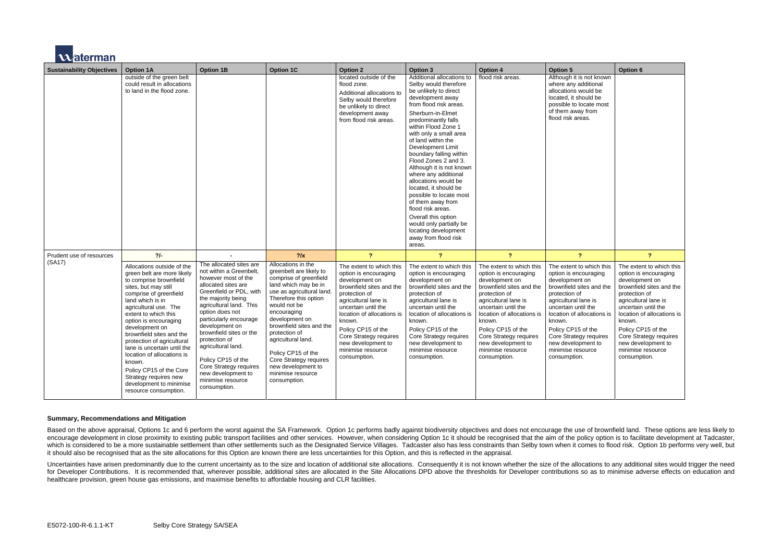

| <b>Sustainability Objectives</b> | <b>Option 1A</b>                                                                                                                                                                                                                                                                                                                                                                                                                                                                              | <b>Option 1B</b>                                                                                                                                                                                                                                                                                                                                                                                                         | <b>Option 1C</b>                                                                                                                                                                                                                                                                                                                                                                    | <b>Option 2</b>                                                                                                                                                                                                                                                                                                    | <b>Option 3</b>                                                                                                                                                                                                                                                                                                                                                                                                                                                                                                                                                                                            | <b>Option 4</b>                                                                                                                                                                                                                                                                                                    | <b>Option 5</b>                                                                                                                                                                                                                                                                                                    | Option 6                                                                                                                                                                                                                                                                                                           |
|----------------------------------|-----------------------------------------------------------------------------------------------------------------------------------------------------------------------------------------------------------------------------------------------------------------------------------------------------------------------------------------------------------------------------------------------------------------------------------------------------------------------------------------------|--------------------------------------------------------------------------------------------------------------------------------------------------------------------------------------------------------------------------------------------------------------------------------------------------------------------------------------------------------------------------------------------------------------------------|-------------------------------------------------------------------------------------------------------------------------------------------------------------------------------------------------------------------------------------------------------------------------------------------------------------------------------------------------------------------------------------|--------------------------------------------------------------------------------------------------------------------------------------------------------------------------------------------------------------------------------------------------------------------------------------------------------------------|------------------------------------------------------------------------------------------------------------------------------------------------------------------------------------------------------------------------------------------------------------------------------------------------------------------------------------------------------------------------------------------------------------------------------------------------------------------------------------------------------------------------------------------------------------------------------------------------------------|--------------------------------------------------------------------------------------------------------------------------------------------------------------------------------------------------------------------------------------------------------------------------------------------------------------------|--------------------------------------------------------------------------------------------------------------------------------------------------------------------------------------------------------------------------------------------------------------------------------------------------------------------|--------------------------------------------------------------------------------------------------------------------------------------------------------------------------------------------------------------------------------------------------------------------------------------------------------------------|
|                                  | outside of the green belt<br>could result in allocations<br>to land in the flood zone.                                                                                                                                                                                                                                                                                                                                                                                                        |                                                                                                                                                                                                                                                                                                                                                                                                                          |                                                                                                                                                                                                                                                                                                                                                                                     | located outside of the<br>flood zone.<br>Additional allocations to<br>Selby would therefore<br>be unlikely to direct<br>development away<br>from flood risk areas.                                                                                                                                                 | Additional allocations to<br>Selby would therefore<br>be unlikely to direct<br>development away<br>from flood risk areas.<br>Sherburn-in-Elmet<br>predominantly falls<br>within Flood Zone 1<br>with only a small area<br>of land within the<br>Development Limit<br>boundary falling within<br>Flood Zones 2 and 3.<br>Although it is not known<br>where any additional<br>allocations would be<br>located, it should be<br>possible to locate most<br>of them away from<br>flood risk areas.<br>Overall this option<br>would only partially be<br>locating development<br>away from flood risk<br>areas. | flood risk areas.                                                                                                                                                                                                                                                                                                  | Although it is not known<br>where any additional<br>allocations would be<br>located, it should be<br>possible to locate most<br>of them away from<br>flood risk areas.                                                                                                                                             |                                                                                                                                                                                                                                                                                                                    |
| Prudent use of resources         | 2/                                                                                                                                                                                                                                                                                                                                                                                                                                                                                            |                                                                                                                                                                                                                                                                                                                                                                                                                          | 2/x                                                                                                                                                                                                                                                                                                                                                                                 | $\overline{\mathbf{?}}$                                                                                                                                                                                                                                                                                            | $\overline{?}$                                                                                                                                                                                                                                                                                                                                                                                                                                                                                                                                                                                             | $\overline{\mathbf{?}}$                                                                                                                                                                                                                                                                                            | $\overline{\mathbf{?}}$                                                                                                                                                                                                                                                                                            | $\overline{\mathbf{?}}$                                                                                                                                                                                                                                                                                            |
| (SA17)                           | Allocations outside of the<br>green belt are more likely<br>to comprise brownfield<br>sites, but may still<br>comprise of greenfield<br>land which is in<br>agricultural use. The<br>extent to which this<br>option is encouraging<br>development on<br>brownfield sites and the<br>protection of agricultural<br>lane is uncertain until the<br>location of allocations is<br>known.<br>Policy CP15 of the Core<br>Strategy requires new<br>development to minimise<br>resource consumption. | The allocated sites are<br>not within a Greenbelt,<br>however most of the<br>allocated sites are<br>Greenfield or PDL, with<br>the majority being<br>agricultural land. This<br>option does not<br>particularly encourage<br>development on<br>brownfield sites or the<br>protection of<br>agricultural land.<br>Policy CP15 of the<br>Core Strategy requires<br>new development to<br>minimise resource<br>consumption. | Allocations in the<br>greenbelt are likely to<br>comprise of greenfield<br>land which may be in<br>use as agricultural land<br>Therefore this option<br>would not be<br>encouraging<br>development on<br>brownfield sites and the<br>protection of<br>agricultural land.<br>Policy CP15 of the<br>Core Strategy requires<br>new development to<br>minimise resource<br>consumption. | The extent to which this<br>option is encouraging<br>development on<br>brownfield sites and the<br>protection of<br>agricultural lane is<br>uncertain until the<br>location of allocations is<br>known.<br>Policy CP15 of the<br>Core Strategy requires<br>new development to<br>minimise resource<br>consumption. | The extent to which this<br>option is encouraging<br>development on<br>brownfield sites and the<br>protection of<br>agricultural lane is<br>uncertain until the<br>location of allocations is<br>known.<br>Policy CP15 of the<br>Core Strategy requires<br>new development to<br>minimise resource<br>consumption.                                                                                                                                                                                                                                                                                         | The extent to which this<br>option is encouraging<br>development on<br>brownfield sites and the<br>protection of<br>agricultural lane is<br>uncertain until the<br>location of allocations is<br>known.<br>Policy CP15 of the<br>Core Strategy requires<br>new development to<br>minimise resource<br>consumption. | The extent to which this<br>option is encouraging<br>development on<br>brownfield sites and the<br>protection of<br>agricultural lane is<br>uncertain until the<br>location of allocations is<br>known.<br>Policy CP15 of the<br>Core Strategy requires<br>new development to<br>minimise resource<br>consumption. | The extent to which this<br>option is encouraging<br>development on<br>brownfield sites and the<br>protection of<br>agricultural lane is<br>uncertain until the<br>location of allocations is<br>known.<br>Policy CP15 of the<br>Core Strategy requires<br>new development to<br>minimise resource<br>consumption. |

Uncertainties have arisen predominantly due to the current uncertainty as to the size and location of additional site allocations. Consequently it is not known whether the size of the allocations to any additional sites wo for Developer Contributions. It is recommended that, wherever possible, additional sites are allocated in the Site Allocations DPD above the thresholds for Developer contributions so as to minimise adverse effects on educa healthcare provision, green house gas emissions, and maximise benefits to affordable housing and CLR facilities.

#### **Summary, Recommendations and Mitigation**

Based on the above appraisal, Options 1c and 6 perform the worst against the SA Framework. Option 1c performs badly against biodiversity objectives and does not encourage the use of brownfield land. These options are less encourage development in close proximity to existing public transport facilities and other services. However, when considering Option 1c it should be recognised that the aim of the policy option is to facilitate developmen which is considered to be a more sustainable settlement than other settlements such as the Designated Service Villages. Tadcaster also has less constraints than Selby town when it comes to flood risk. Option 1b performs ve it should also be recognised that as the site allocations for this Option are known there are less uncertainties for this Option, and this is reflected in the appraisal.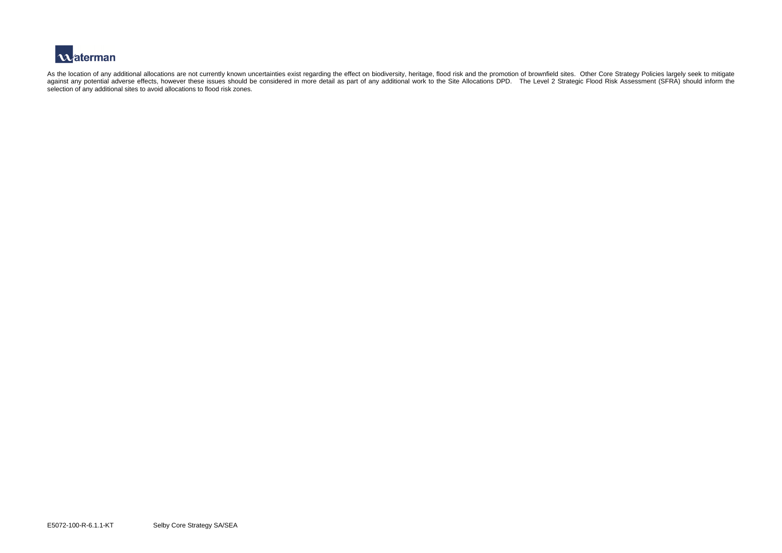

As the location of any additional allocations are not currently known uncertainties exist regarding the effect on biodiversity, heritage, flood risk and the promotion of brownfield sites. Other Core Strategy Policies large against any potential adverse effects, however these issues should be considered in more detail as part of any additional work to the Site Allocations DPD. The Level 2 Strategic Flood Risk Assessment (SFRA) should inform t selection of any additional sites to avoid allocations to flood risk zones.